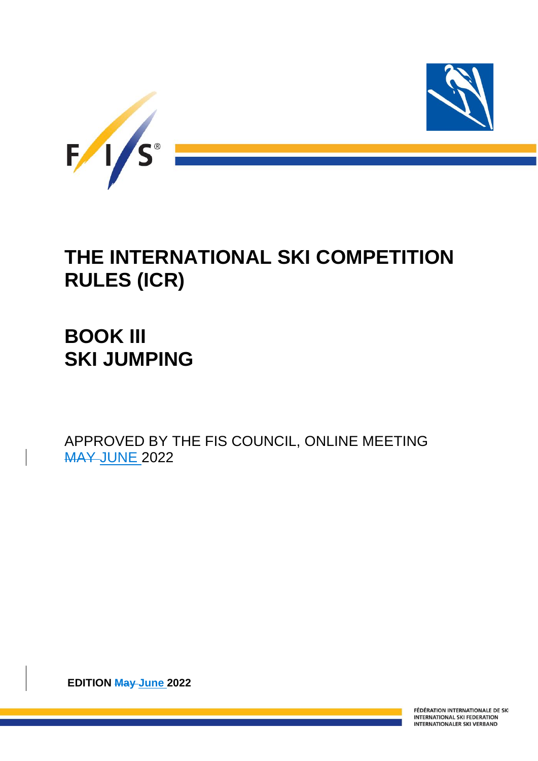

# **THE INTERNATIONAL SKI COMPETITION RULES (ICR)**

# **BOOK III SKI JUMPING**

APPROVED BY THE FIS COUNCIL, ONLINE MEETING **MAY JUNE 2022** 

**EDITION May June 2022**

FÉDÉRATION INTERNATIONALE DE SKI **INTERNATIONAL SKI FEDERATION INTERNATIONALER SKI VERBAND**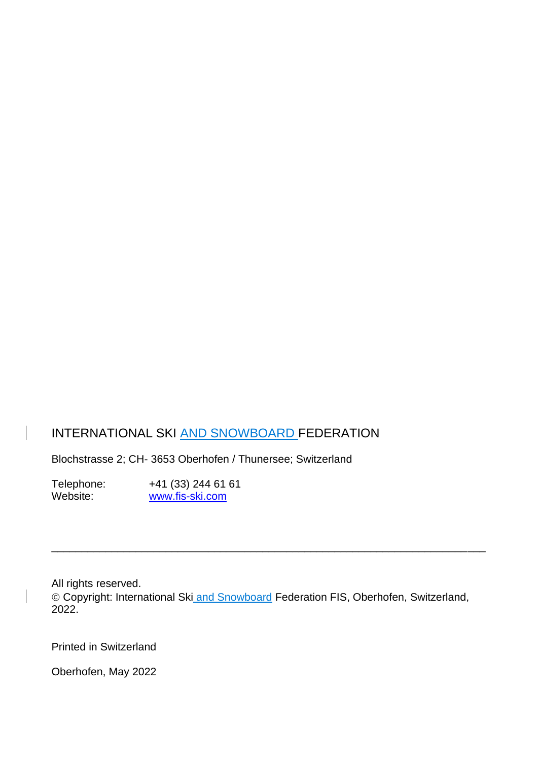# INTERNATIONAL SKI AND SNOWBOARD FEDERATION

Blochstrasse 2; CH- 3653 Oberhofen / Thunersee; Switzerland

Telephone: +41 (33) 244 61 61<br>Website: www.fis-ski.com [www.fis-ski.com](http://www.fis-ski.com/)

All rights reserved.

 $\vert$ 

© Copyright: International Ski and Snowboard Federation FIS, Oberhofen, Switzerland, 2022.

\_\_\_\_\_\_\_\_\_\_\_\_\_\_\_\_\_\_\_\_\_\_\_\_\_\_\_\_\_\_\_\_\_\_\_\_\_\_\_\_\_\_\_\_\_\_\_\_\_\_\_\_\_\_\_\_\_\_\_\_\_\_\_\_\_\_\_\_\_\_\_\_

Printed in Switzerland

Oberhofen, May 2022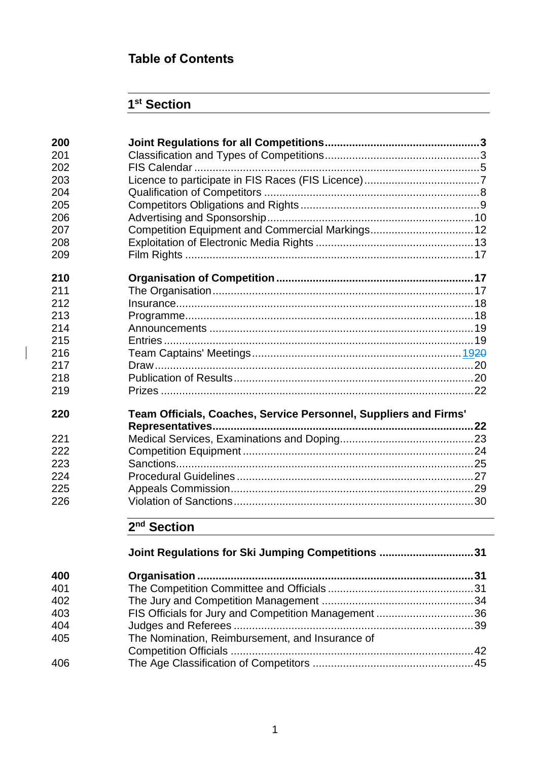# **Table of Contents**

# **st Section**

| 200 |                                                                  |  |
|-----|------------------------------------------------------------------|--|
| 201 |                                                                  |  |
| 202 |                                                                  |  |
| 203 |                                                                  |  |
| 204 |                                                                  |  |
| 205 |                                                                  |  |
| 206 |                                                                  |  |
| 207 | Competition Equipment and Commercial Markings12                  |  |
| 208 |                                                                  |  |
| 209 |                                                                  |  |
| 210 |                                                                  |  |
| 211 |                                                                  |  |
| 212 |                                                                  |  |
| 213 |                                                                  |  |
| 214 |                                                                  |  |
| 215 |                                                                  |  |
| 216 |                                                                  |  |
| 217 |                                                                  |  |
| 218 |                                                                  |  |
| 219 |                                                                  |  |
| 220 | Team Officials, Coaches, Service Personnel, Suppliers and Firms' |  |
|     |                                                                  |  |
| 221 |                                                                  |  |
| 222 |                                                                  |  |
| 223 |                                                                  |  |
| 224 |                                                                  |  |
| 225 |                                                                  |  |
| 226 |                                                                  |  |
|     | 2 <sup>nd</sup> Section                                          |  |
|     | Joint Regulations for Ski Jumping Competitions 31                |  |
| 400 |                                                                  |  |
| 401 |                                                                  |  |
| 402 |                                                                  |  |
| 403 | FIS Officials for Jury and Competition Management 36             |  |

 Judges and Referees ...............................................................................39 The Nomination, Reimbursement, and Insurance of Competition Officials ................................................................................42 The Age Classification of Competitors .....................................................45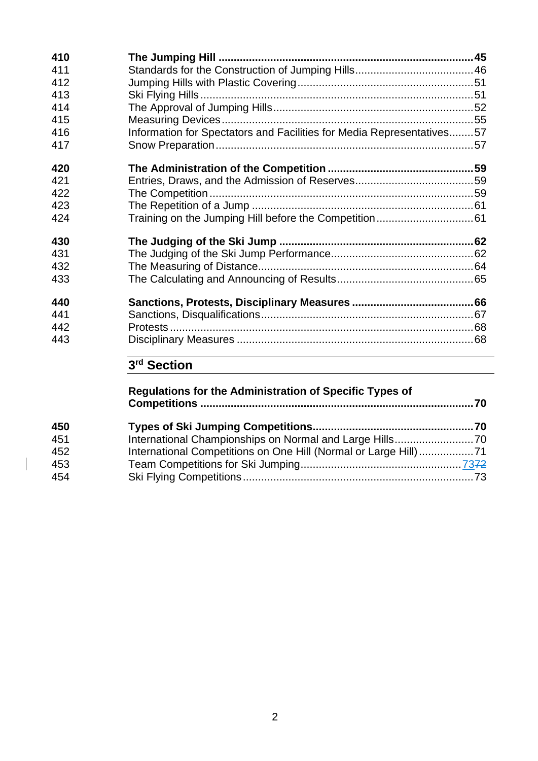| 410 |                                                                       |  |
|-----|-----------------------------------------------------------------------|--|
| 411 |                                                                       |  |
| 412 |                                                                       |  |
| 413 |                                                                       |  |
| 414 |                                                                       |  |
| 415 |                                                                       |  |
| 416 | Information for Spectators and Facilities for Media Representatives57 |  |
| 417 |                                                                       |  |
| 420 |                                                                       |  |
| 421 |                                                                       |  |
| 422 |                                                                       |  |
| 423 |                                                                       |  |
| 424 |                                                                       |  |
| 430 |                                                                       |  |
| 431 |                                                                       |  |
| 432 |                                                                       |  |
| 433 |                                                                       |  |
| 440 |                                                                       |  |
| 441 |                                                                       |  |
| 442 |                                                                       |  |
| 443 |                                                                       |  |
|     | 3 <sup>rd</sup> Section                                               |  |
|     | <b>Regulations for the Administration of Specific Types of</b>        |  |

| 450 |  |  |
|-----|--|--|
| 451 |  |  |
| 452 |  |  |
| 453 |  |  |
| 454 |  |  |

 $\overline{\phantom{a}}$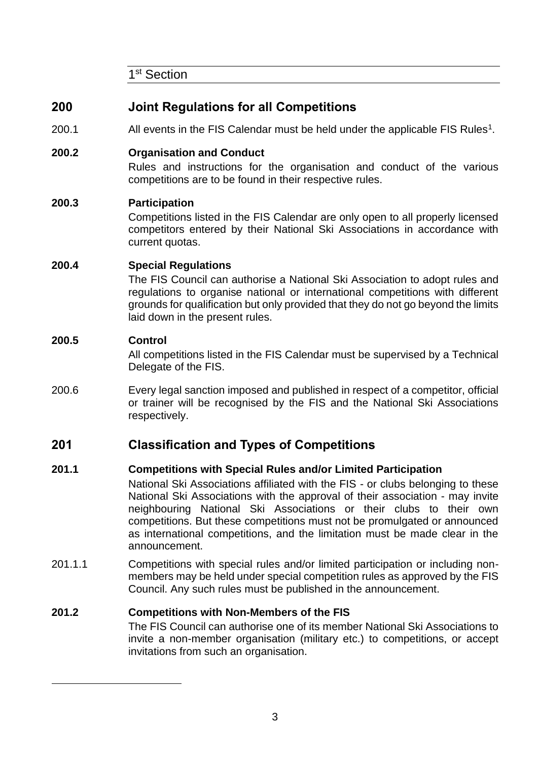1<sup>st</sup> Section

# **200 Joint Regulations for all Competitions**

200.1  $\blacksquare$  All events in the FIS Calendar must be held under the applicable FIS Rules<sup>1</sup>.

## **200.2 Organisation and Conduct**

Rules and instructions for the organisation and conduct of the various competitions are to be found in their respective rules.

#### **200.3 Participation**

Competitions listed in the FIS Calendar are only open to all properly licensed competitors entered by their National Ski Associations in accordance with current quotas.

#### **200.4 Special Regulations**

The FIS Council can authorise a National Ski Association to adopt rules and regulations to organise national or international competitions with different grounds for qualification but only provided that they do not go beyond the limits laid down in the present rules.

#### **200.5 Control**

All competitions listed in the FIS Calendar must be supervised by a Technical Delegate of the FIS.

200.6 Every legal sanction imposed and published in respect of a competitor, official or trainer will be recognised by the FIS and the National Ski Associations respectively.

# **201 Classification and Types of Competitions**

#### **201.1 Competitions with Special Rules and/or Limited Participation**

National Ski Associations affiliated with the FIS - or clubs belonging to these National Ski Associations with the approval of their association - may invite neighbouring National Ski Associations or their clubs to their own competitions. But these competitions must not be promulgated or announced as international competitions, and the limitation must be made clear in the announcement.

201.1.1 Competitions with special rules and/or limited participation or including nonmembers may be held under special competition rules as approved by the FIS Council. Any such rules must be published in the announcement.

## **201.2 Competitions with Non-Members of the FIS**

The FIS Council can authorise one of its member National Ski Associations to invite a non-member organisation (military etc.) to competitions, or accept invitations from such an organisation.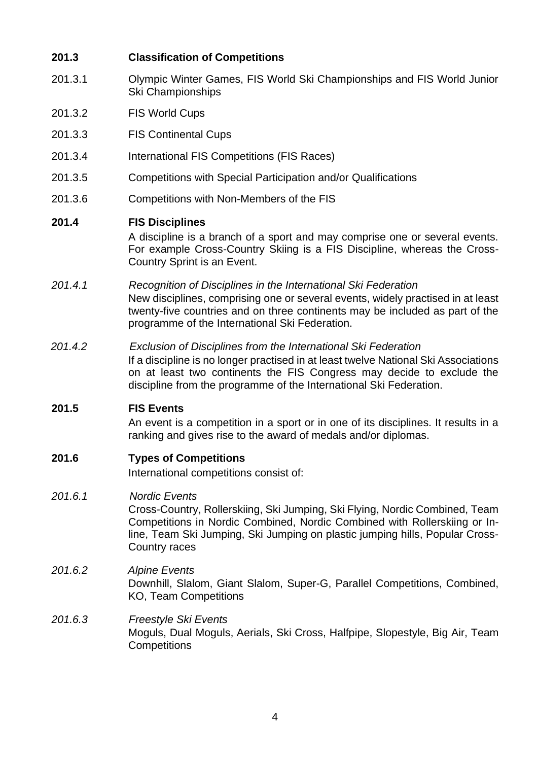## **201.3 Classification of Competitions**

- 201.3.1 Olympic Winter Games, FIS World Ski Championships and FIS World Junior Ski Championships
- 201.3.2 FIS World Cups
- 201.3.3 FIS Continental Cups
- 201.3.4 International FIS Competitions (FIS Races)
- 201.3.5 Competitions with Special Participation and/or Qualifications
- 201.3.6 Competitions with Non-Members of the FIS

#### **201.4 FIS Disciplines**

A discipline is a branch of a sport and may comprise one or several events. For example Cross-Country Skiing is a FIS Discipline, whereas the Cross-Country Sprint is an Event.

#### *201.4.1 Recognition of Disciplines in the International Ski Federation*

New disciplines, comprising one or several events, widely practised in at least twenty-five countries and on three continents may be included as part of the programme of the International Ski Federation.

*201.4.2 Exclusion of Disciplines from the International Ski Federation*

If a discipline is no longer practised in at least twelve National Ski Associations on at least two continents the FIS Congress may decide to exclude the discipline from the programme of the International Ski Federation.

#### **201.5 FIS Events**

An event is a competition in a sport or in one of its disciplines. It results in a ranking and gives rise to the award of medals and/or diplomas.

**201.6 Types of Competitions**

International competitions consist of:

#### *201.6.1 Nordic Events*

Cross-Country, Rollerskiing, Ski Jumping, Ski Flying, Nordic Combined, Team Competitions in Nordic Combined, Nordic Combined with Rollerskiing or Inline, Team Ski Jumping, Ski Jumping on plastic jumping hills, Popular Cross-Country races

- *201.6.2 Alpine Events* Downhill, Slalom, Giant Slalom, Super-G, Parallel Competitions, Combined, KO, Team Competitions
- *201.6.3 Freestyle Ski Events* Moguls, Dual Moguls, Aerials, Ski Cross, Halfpipe, Slopestyle, Big Air, Team **Competitions**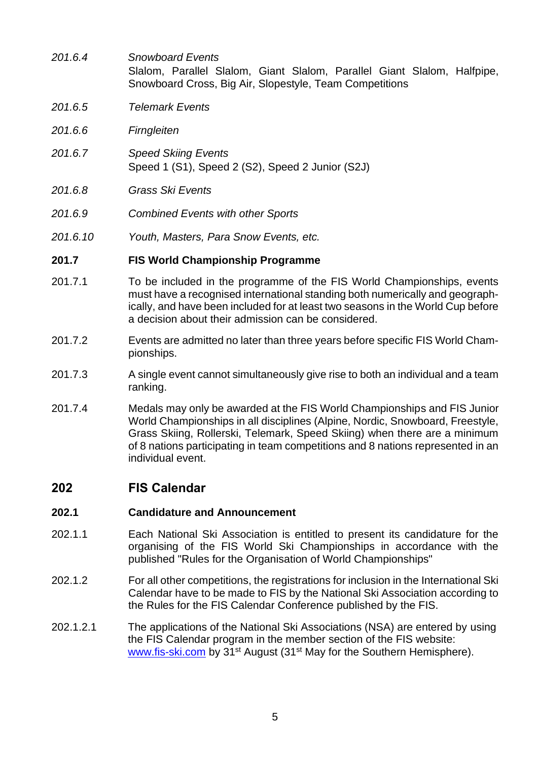- *201.6.4 Snowboard Events* Slalom, Parallel Slalom, Giant Slalom, Parallel Giant Slalom, Halfpipe, Snowboard Cross, Big Air, Slopestyle, Team Competitions
- *201.6.5 Telemark Events*
- *201.6.6 Firngleiten*
- *201.6.7 Speed Skiing Events* Speed 1 (S1), Speed 2 (S2), Speed 2 Junior (S2J)
- *201.6.8 Grass Ski Events*
- *201.6.9 Combined Events with other Sports*
- *201.6.10 Youth, Masters, Para Snow Events, etc.*

#### **201.7 FIS World Championship Programme**

- 201.7.1 To be included in the programme of the FIS World Championships, events must have a recognised international standing both numerically and geographically, and have been included for at least two seasons in the World Cup before a decision about their admission can be considered.
- 201.7.2 Events are admitted no later than three years before specific FIS World Championships.
- 201.7.3 A single event cannot simultaneously give rise to both an individual and a team ranking.
- 201.7.4 Medals may only be awarded at the FIS World Championships and FIS Junior World Championships in all disciplines (Alpine, Nordic, Snowboard, Freestyle, Grass Skiing, Rollerski, Telemark, Speed Skiing) when there are a minimum of 8 nations participating in team competitions and 8 nations represented in an individual event.

## **202 FIS Calendar**

#### **202.1 Candidature and Announcement**

- 202.1.1 Each National Ski Association is entitled to present its candidature for the organising of the FIS World Ski Championships in accordance with the published "Rules for the Organisation of World Championships"
- 202.1.2 For all other competitions, the registrations for inclusion in the International Ski Calendar have to be made to FIS by the National Ski Association according to the Rules for the FIS Calendar Conference published by the FIS.
- 202.1.2.1 The applications of the National Ski Associations (NSA) are entered by using the FIS Calendar program in the member section of the FIS website: [www.fis-ski.com](http://www.fis-ski.com/) by 31st August (31st May for the Southern Hemisphere).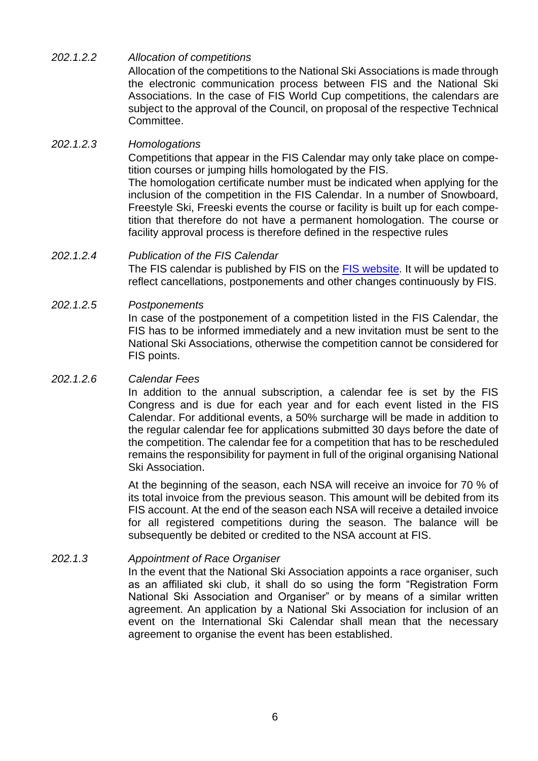#### *202.1.2.2 Allocation of competitions* Allocation of the competitions to the National Ski Associations is made through the electronic communication process between FIS and the National Ski Associations. In the case of FIS World Cup competitions, the calendars are subject to the approval of the Council, on proposal of the respective Technical Committee.

#### *202.1.2.3 Homologations*

Competitions that appear in the FIS Calendar may only take place on competition courses or jumping hills homologated by the FIS.

The homologation certificate number must be indicated when applying for the inclusion of the competition in the FIS Calendar. In a number of Snowboard, Freestyle Ski, Freeski events the course or facility is built up for each competition that therefore do not have a permanent homologation. The course or facility approval process is therefore defined in the respective rules

#### *202.1.2.4 Publication of the FIS Calendar*

The FIS calendar is published by FIS on the [FIS website.](http://www.fis-ski.com/) It will be updated to reflect cancellations, postponements and other changes continuously by FIS.

#### *202.1.2.5 Postponements*

In case of the postponement of a competition listed in the FIS Calendar, the FIS has to be informed immediately and a new invitation must be sent to the National Ski Associations, otherwise the competition cannot be considered for FIS points.

#### *202.1.2.6 Calendar Fees*

In addition to the annual subscription, a calendar fee is set by the FIS Congress and is due for each year and for each event listed in the FIS Calendar. For additional events, a 50% surcharge will be made in addition to the regular calendar fee for applications submitted 30 days before the date of the competition. The calendar fee for a competition that has to be rescheduled remains the responsibility for payment in full of the original organising National Ski Association.

At the beginning of the season, each NSA will receive an invoice for 70 % of its total invoice from the previous season. This amount will be debited from its FIS account. At the end of the season each NSA will receive a detailed invoice for all registered competitions during the season. The balance will be subsequently be debited or credited to the NSA account at FIS.

#### *202.1.3 Appointment of Race Organiser*

In the event that the National Ski Association appoints a race organiser, such as an affiliated ski club, it shall do so using the form "Registration Form National Ski Association and Organiser" or by means of a similar written agreement. An application by a National Ski Association for inclusion of an event on the International Ski Calendar shall mean that the necessary agreement to organise the event has been established.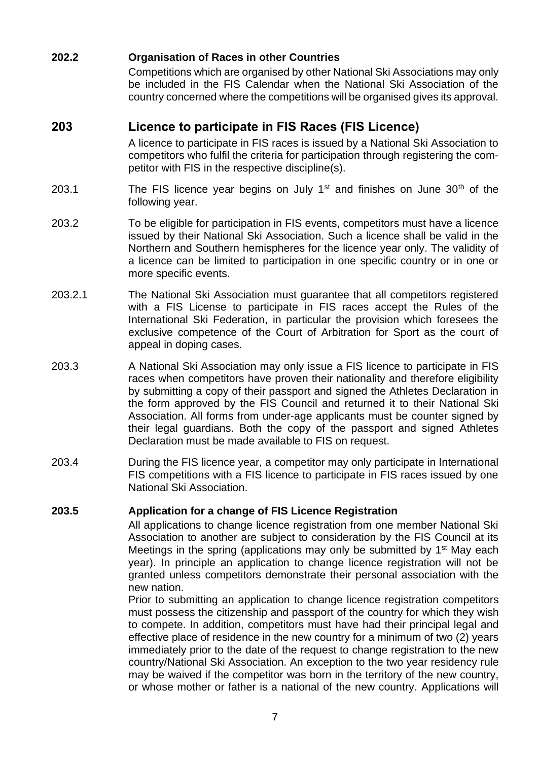## **202.2 Organisation of Races in other Countries**

Competitions which are organised by other National Ski Associations may only be included in the FIS Calendar when the National Ski Association of the country concerned where the competitions will be organised gives its approval.

# **203 Licence to participate in FIS Races (FIS Licence)**

A licence to participate in FIS races is issued by a National Ski Association to competitors who fulfil the criteria for participation through registering the competitor with FIS in the respective discipline(s).

- 203.1 The FIS licence year begins on July  $1<sup>st</sup>$  and finishes on June  $30<sup>th</sup>$  of the following year.
- 203.2 To be eligible for participation in FIS events, competitors must have a licence issued by their National Ski Association. Such a licence shall be valid in the Northern and Southern hemispheres for the licence year only. The validity of a licence can be limited to participation in one specific country or in one or more specific events.
- 203.2.1 The National Ski Association must guarantee that all competitors registered with a FIS License to participate in FIS races accept the Rules of the International Ski Federation, in particular the provision which foresees the exclusive competence of the Court of Arbitration for Sport as the court of appeal in doping cases.
- 203.3 A National Ski Association may only issue a FIS licence to participate in FIS races when competitors have proven their nationality and therefore eligibility by submitting a copy of their passport and signed the Athletes Declaration in the form approved by the FIS Council and returned it to their National Ski Association. All forms from under-age applicants must be counter signed by their legal guardians. Both the copy of the passport and signed Athletes Declaration must be made available to FIS on request.
- 203.4 During the FIS licence year, a competitor may only participate in International FIS competitions with a FIS licence to participate in FIS races issued by one National Ski Association.

#### **203.5 Application for a change of FIS Licence Registration**

All applications to change licence registration from one member National Ski Association to another are subject to consideration by the FIS Council at its Meetings in the spring (applications may only be submitted by  $1<sup>st</sup>$  May each year). In principle an application to change licence registration will not be granted unless competitors demonstrate their personal association with the new nation.

Prior to submitting an application to change licence registration competitors must possess the citizenship and passport of the country for which they wish to compete. In addition, competitors must have had their principal legal and effective place of residence in the new country for a minimum of two (2) years immediately prior to the date of the request to change registration to the new country/National Ski Association. An exception to the two year residency rule may be waived if the competitor was born in the territory of the new country, or whose mother or father is a national of the new country. Applications will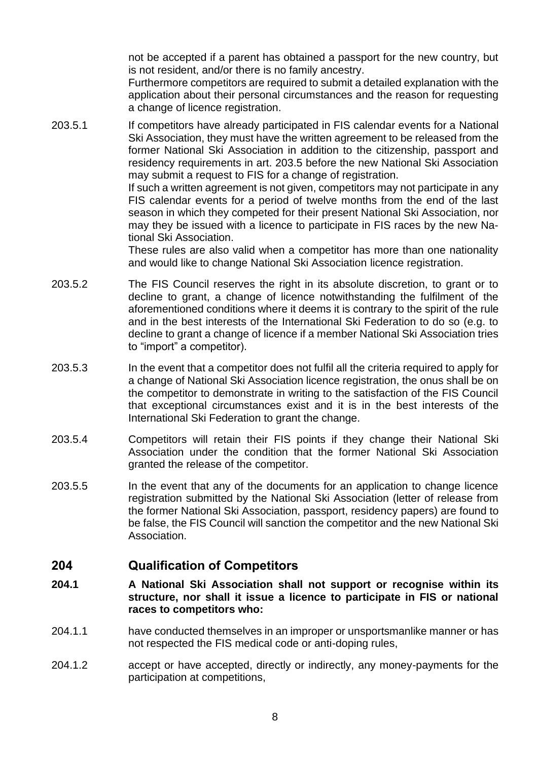not be accepted if a parent has obtained a passport for the new country, but is not resident, and/or there is no family ancestry.

Furthermore competitors are required to submit a detailed explanation with the application about their personal circumstances and the reason for requesting a change of licence registration.

203.5.1 If competitors have already participated in FIS calendar events for a National Ski Association, they must have the written agreement to be released from the former National Ski Association in addition to the citizenship, passport and residency requirements in art. 203.5 before the new National Ski Association may submit a request to FIS for a change of registration.

> If such a written agreement is not given, competitors may not participate in any FIS calendar events for a period of twelve months from the end of the last season in which they competed for their present National Ski Association, nor may they be issued with a licence to participate in FIS races by the new National Ski Association.

> These rules are also valid when a competitor has more than one nationality and would like to change National Ski Association licence registration.

- 203.5.2 The FIS Council reserves the right in its absolute discretion, to grant or to decline to grant, a change of licence notwithstanding the fulfilment of the aforementioned conditions where it deems it is contrary to the spirit of the rule and in the best interests of the International Ski Federation to do so (e.g. to decline to grant a change of licence if a member National Ski Association tries to "import" a competitor).
- 203.5.3 In the event that a competitor does not fulfil all the criteria required to apply for a change of National Ski Association licence registration, the onus shall be on the competitor to demonstrate in writing to the satisfaction of the FIS Council that exceptional circumstances exist and it is in the best interests of the International Ski Federation to grant the change.
- 203.5.4 Competitors will retain their FIS points if they change their National Ski Association under the condition that the former National Ski Association granted the release of the competitor.
- 203.5.5 In the event that any of the documents for an application to change licence registration submitted by the National Ski Association (letter of release from the former National Ski Association, passport, residency papers) are found to be false, the FIS Council will sanction the competitor and the new National Ski Association.

## **204 Qualification of Competitors**

- **204.1 A National Ski Association shall not support or recognise within its structure, nor shall it issue a licence to participate in FIS or national races to competitors who:**
- 204.1.1 have conducted themselves in an improper or unsportsmanlike manner or has not respected the FIS medical code or anti-doping rules,
- 204.1.2 accept or have accepted, directly or indirectly, any money-payments for the participation at competitions,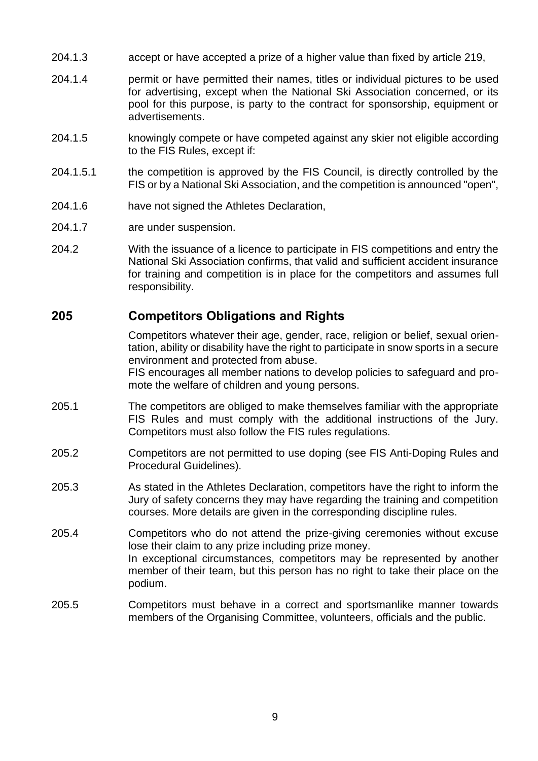- 204.1.3 accept or have accepted a prize of a higher value than fixed by article 219,
- 204.1.4 permit or have permitted their names, titles or individual pictures to be used for advertising, except when the National Ski Association concerned, or its pool for this purpose, is party to the contract for sponsorship, equipment or advertisements.
- 204.1.5 knowingly compete or have competed against any skier not eligible according to the FIS Rules, except if:
- 204.1.5.1 the competition is approved by the FIS Council, is directly controlled by the FIS or by a National Ski Association, and the competition is announced "open",
- 204.1.6 have not signed the Athletes Declaration,
- 204.1.7 are under suspension.
- 204.2 With the issuance of a licence to participate in FIS competitions and entry the National Ski Association confirms, that valid and sufficient accident insurance for training and competition is in place for the competitors and assumes full responsibility.

# **205 Competitors Obligations and Rights**

Competitors whatever their age, gender, race, religion or belief, sexual orientation, ability or disability have the right to participate in snow sports in a secure environment and protected from abuse.

FIS encourages all member nations to develop policies to safeguard and promote the welfare of children and young persons.

- 205.1 The competitors are obliged to make themselves familiar with the appropriate FIS Rules and must comply with the additional instructions of the Jury. Competitors must also follow the FIS rules regulations.
- 205.2 Competitors are not permitted to use doping (see FIS Anti-Doping Rules and Procedural Guidelines).
- 205.3 As stated in the Athletes Declaration, competitors have the right to inform the Jury of safety concerns they may have regarding the training and competition courses. More details are given in the corresponding discipline rules.
- 205.4 Competitors who do not attend the prize-giving ceremonies without excuse lose their claim to any prize including prize money. In exceptional circumstances, competitors may be represented by another member of their team, but this person has no right to take their place on the podium.
- 205.5 Competitors must behave in a correct and sportsmanlike manner towards members of the Organising Committee, volunteers, officials and the public.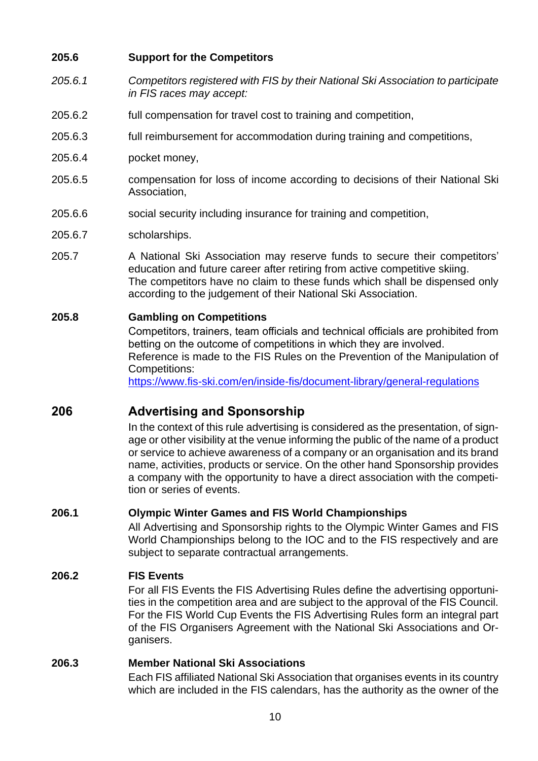#### **205.6 Support for the Competitors**

- *205.6.1 Competitors registered with FIS by their National Ski Association to participate in FIS races may accept:*
- 205.6.2 full compensation for travel cost to training and competition,
- 205.6.3 full reimbursement for accommodation during training and competitions,
- 205.6.4 pocket money,
- 205.6.5 compensation for loss of income according to decisions of their National Ski Association,
- 205.6.6 social security including insurance for training and competition,
- 205.6.7 scholarships.
- 205.7 A National Ski Association may reserve funds to secure their competitors' education and future career after retiring from active competitive skiing. The competitors have no claim to these funds which shall be dispensed only according to the judgement of their National Ski Association.

#### **205.8 Gambling on Competitions**

Competitors, trainers, team officials and technical officials are prohibited from betting on the outcome of competitions in which they are involved. Reference is made to the FIS Rules on the Prevention of the Manipulation of Competitions:

<https://www.fis-ski.com/en/inside-fis/document-library/general-regulations>

# **206 Advertising and Sponsorship**

In the context of this rule advertising is considered as the presentation, of signage or other visibility at the venue informing the public of the name of a product or service to achieve awareness of a company or an organisation and its brand name, activities, products or service. On the other hand Sponsorship provides a company with the opportunity to have a direct association with the competition or series of events.

#### **206.1 Olympic Winter Games and FIS World Championships**

All Advertising and Sponsorship rights to the Olympic Winter Games and FIS World Championships belong to the IOC and to the FIS respectively and are subject to separate contractual arrangements.

#### **206.2 FIS Events**

For all FIS Events the FIS Advertising Rules define the advertising opportunities in the competition area and are subject to the approval of the FIS Council. For the FIS World Cup Events the FIS Advertising Rules form an integral part of the FIS Organisers Agreement with the National Ski Associations and Organisers.

#### **206.3 Member National Ski Associations**

Each FIS affiliated National Ski Association that organises events in its country which are included in the FIS calendars, has the authority as the owner of the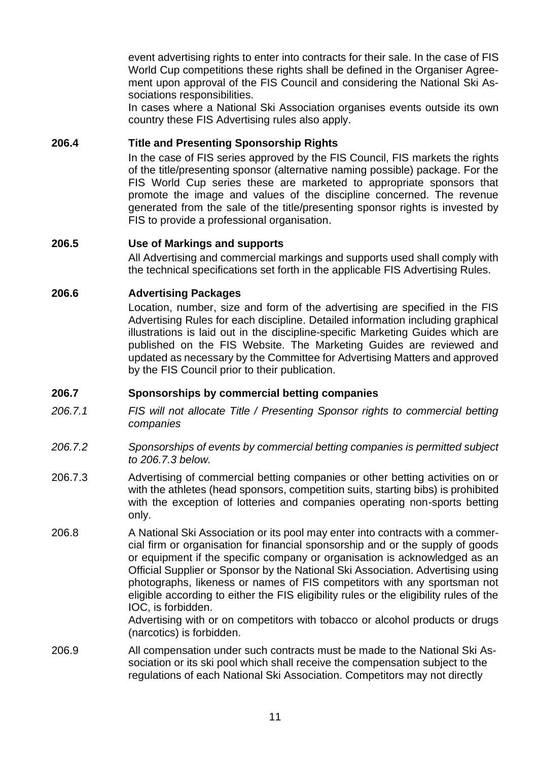event advertising rights to enter into contracts for their sale. In the case of FIS World Cup competitions these rights shall be defined in the Organiser Agreement upon approval of the FIS Council and considering the National Ski Associations responsibilities.

In cases where a National Ski Association organises events outside its own country these FIS Advertising rules also apply.

#### **206.4 Title and Presenting Sponsorship Rights**

In the case of FIS series approved by the FIS Council, FIS markets the rights of the title/presenting sponsor (alternative naming possible) package. For the FIS World Cup series these are marketed to appropriate sponsors that promote the image and values of the discipline concerned. The revenue generated from the sale of the title/presenting sponsor rights is invested by FIS to provide a professional organisation.

#### **206.5 Use of Markings and supports**

All Advertising and commercial markings and supports used shall comply with the technical specifications set forth in the applicable FIS Advertising Rules.

#### **206.6 Advertising Packages**

Location, number, size and form of the advertising are specified in the FIS Advertising Rules for each discipline. Detailed information including graphical illustrations is laid out in the discipline-specific Marketing Guides which are published on the FIS Website. The Marketing Guides are reviewed and updated as necessary by the Committee for Advertising Matters and approved by the FIS Council prior to their publication.

#### **206.7 Sponsorships by commercial betting companies**

- *206.7.1 FIS will not allocate Title / Presenting Sponsor rights to commercial betting companies*
- *206.7.2 Sponsorships of events by commercial betting companies is permitted subject to 206.7.3 below.*
- 206.7.3 Advertising of commercial betting companies or other betting activities on or with the athletes (head sponsors, competition suits, starting bibs) is prohibited with the exception of lotteries and companies operating non-sports betting only.
- 206.8 A National Ski Association or its pool may enter into contracts with a commercial firm or organisation for financial sponsorship and or the supply of goods or equipment if the specific company or organisation is acknowledged as an Official Supplier or Sponsor by the National Ski Association. Advertising using photographs, likeness or names of FIS competitors with any sportsman not eligible according to either the FIS eligibility rules or the eligibility rules of the IOC, is forbidden.

Advertising with or on competitors with tobacco or alcohol products or drugs (narcotics) is forbidden.

206.9 All compensation under such contracts must be made to the National Ski Association or its ski pool which shall receive the compensation subject to the regulations of each National Ski Association. Competitors may not directly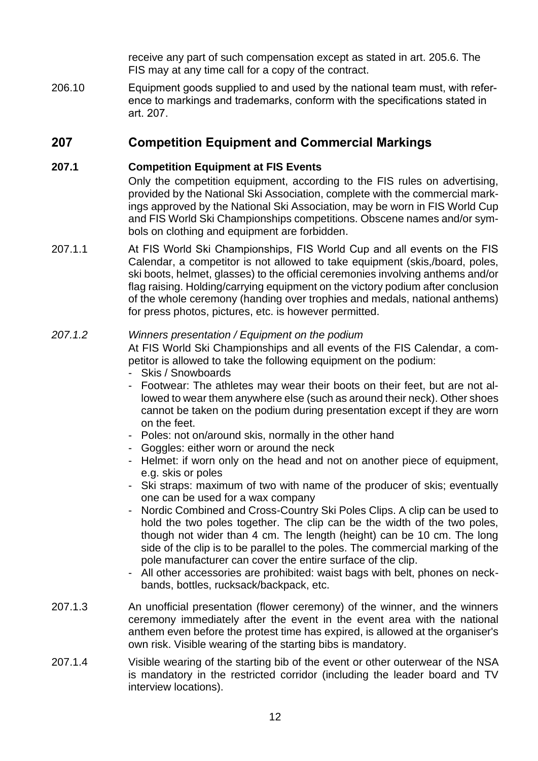receive any part of such compensation except as stated in art. 205.6. The FIS may at any time call for a copy of the contract.

206.10 Equipment goods supplied to and used by the national team must, with reference to markings and trademarks, conform with the specifications stated in art. 207.

# **207 Competition Equipment and Commercial Markings**

# **207.1 Competition Equipment at FIS Events**

Only the competition equipment, according to the FIS rules on advertising, provided by the National Ski Association, complete with the commercial markings approved by the National Ski Association, may be worn in FIS World Cup and FIS World Ski Championships competitions. Obscene names and/or symbols on clothing and equipment are forbidden.

207.1.1 At FIS World Ski Championships, FIS World Cup and all events on the FIS Calendar, a competitor is not allowed to take equipment (skis,/board, poles, ski boots, helmet, glasses) to the official ceremonies involving anthems and/or flag raising. Holding/carrying equipment on the victory podium after conclusion of the whole ceremony (handing over trophies and medals, national anthems) for press photos, pictures, etc. is however permitted.

# *207.1.2 Winners presentation / Equipment on the podium*

At FIS World Ski Championships and all events of the FIS Calendar, a competitor is allowed to take the following equipment on the podium:

- Skis / Snowboards
- Footwear: The athletes may wear their boots on their feet, but are not allowed to wear them anywhere else (such as around their neck). Other shoes cannot be taken on the podium during presentation except if they are worn on the feet.
- Poles: not on/around skis, normally in the other hand
- Goggles: either worn or around the neck
- Helmet: if worn only on the head and not on another piece of equipment, e.g. skis or poles
- Ski straps: maximum of two with name of the producer of skis; eventually one can be used for a wax company
- Nordic Combined and Cross-Country Ski Poles Clips. A clip can be used to hold the two poles together. The clip can be the width of the two poles, though not wider than 4 cm. The length (height) can be 10 cm. The long side of the clip is to be parallel to the poles. The commercial marking of the pole manufacturer can cover the entire surface of the clip.
- All other accessories are prohibited: waist bags with belt, phones on neckbands, bottles, rucksack/backpack, etc.
- 207.1.3 An unofficial presentation (flower ceremony) of the winner, and the winners ceremony immediately after the event in the event area with the national anthem even before the protest time has expired, is allowed at the organiser's own risk. Visible wearing of the starting bibs is mandatory.
- 207.1.4 Visible wearing of the starting bib of the event or other outerwear of the NSA is mandatory in the restricted corridor (including the leader board and TV interview locations).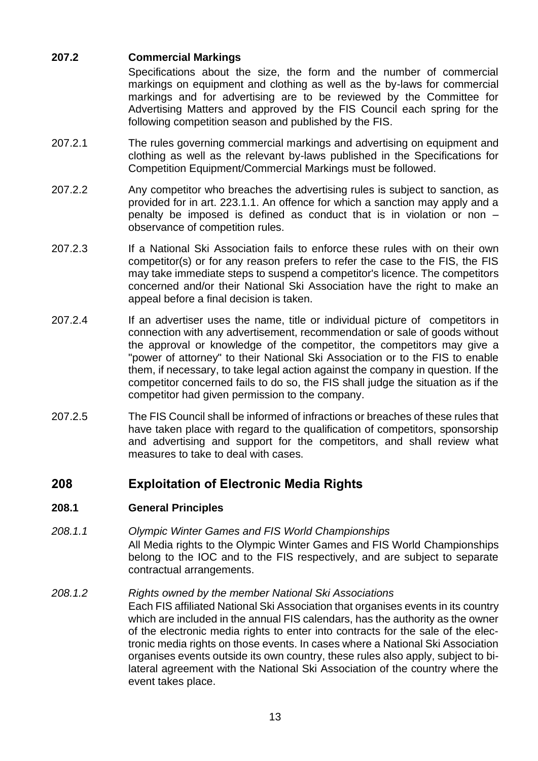# **207.2 Commercial Markings**

Specifications about the size, the form and the number of commercial markings on equipment and clothing as well as the by-laws for commercial markings and for advertising are to be reviewed by the Committee for Advertising Matters and approved by the FIS Council each spring for the following competition season and published by the FIS.

- 207.2.1 The rules governing commercial markings and advertising on equipment and clothing as well as the relevant by-laws published in the Specifications for Competition Equipment/Commercial Markings must be followed.
- 207.2.2 Any competitor who breaches the advertising rules is subject to sanction, as provided for in art. 223.1.1. An offence for which a sanction may apply and a penalty be imposed is defined as conduct that is in violation or non – observance of competition rules.
- 207.2.3 If a National Ski Association fails to enforce these rules with on their own competitor(s) or for any reason prefers to refer the case to the FIS, the FIS may take immediate steps to suspend a competitor's licence. The competitors concerned and/or their National Ski Association have the right to make an appeal before a final decision is taken.
- 207.2.4 If an advertiser uses the name, title or individual picture of competitors in connection with any advertisement, recommendation or sale of goods without the approval or knowledge of the competitor, the competitors may give a "power of attorney" to their National Ski Association or to the FIS to enable them, if necessary, to take legal action against the company in question. If the competitor concerned fails to do so, the FIS shall judge the situation as if the competitor had given permission to the company.
- 207.2.5 The FIS Council shall be informed of infractions or breaches of these rules that have taken place with regard to the qualification of competitors, sponsorship and advertising and support for the competitors, and shall review what measures to take to deal with cases.

# **208 Exploitation of Electronic Media Rights**

## **208.1 General Principles**

*208.1.1 Olympic Winter Games and FIS World Championships* All Media rights to the Olympic Winter Games and FIS World Championships belong to the IOC and to the FIS respectively, and are subject to separate contractual arrangements.

# *208.1.2 Rights owned by the member National Ski Associations*

Each FIS affiliated National Ski Association that organises events in its country which are included in the annual FIS calendars, has the authority as the owner of the electronic media rights to enter into contracts for the sale of the electronic media rights on those events. In cases where a National Ski Association organises events outside its own country, these rules also apply, subject to bilateral agreement with the National Ski Association of the country where the event takes place.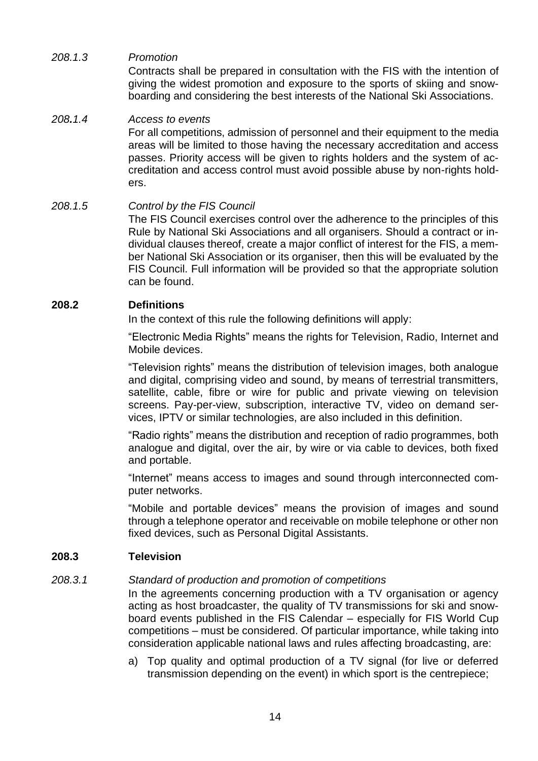## *208.1.3 Promotion*

Contracts shall be prepared in consultation with the FIS with the intention of giving the widest promotion and exposure to the sports of skiing and snowboarding and considering the best interests of the National Ski Associations.

#### *208.1.4 Access to events*

For all competitions, admission of personnel and their equipment to the media areas will be limited to those having the necessary accreditation and access passes. Priority access will be given to rights holders and the system of accreditation and access control must avoid possible abuse by non-rights holders.

#### *208.1.5 Control by the FIS Council*

The FIS Council exercises control over the adherence to the principles of this Rule by National Ski Associations and all organisers. Should a contract or individual clauses thereof, create a major conflict of interest for the FIS, a member National Ski Association or its organiser, then this will be evaluated by the FIS Council. Full information will be provided so that the appropriate solution can be found.

#### **208.2 Definitions**

In the context of this rule the following definitions will apply:

"Electronic Media Rights" means the rights for Television, Radio, Internet and Mobile devices.

"Television rights" means the distribution of television images, both analogue and digital, comprising video and sound, by means of terrestrial transmitters, satellite, cable, fibre or wire for public and private viewing on television screens. Pay-per-view, subscription, interactive TV, video on demand services, IPTV or similar technologies, are also included in this definition.

"Radio rights" means the distribution and reception of radio programmes, both analogue and digital, over the air, by wire or via cable to devices, both fixed and portable.

"Internet" means access to images and sound through interconnected computer networks.

"Mobile and portable devices" means the provision of images and sound through a telephone operator and receivable on mobile telephone or other non fixed devices, such as Personal Digital Assistants.

#### **208.3 Television**

#### *208.3.1 Standard of production and promotion of competitions*

In the agreements concerning production with a TV organisation or agency acting as host broadcaster, the quality of TV transmissions for ski and snowboard events published in the FIS Calendar – especially for FIS World Cup competitions – must be considered. Of particular importance, while taking into consideration applicable national laws and rules affecting broadcasting, are:

a) Top quality and optimal production of a TV signal (for live or deferred transmission depending on the event) in which sport is the centrepiece;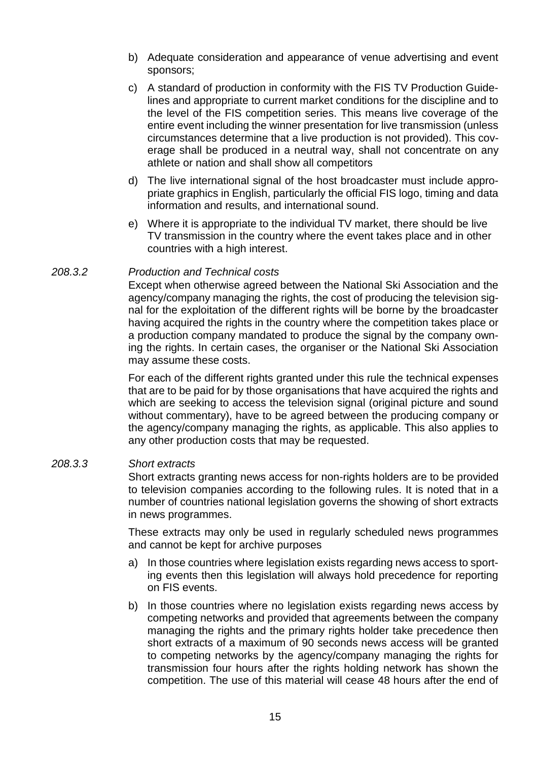- b) Adequate consideration and appearance of venue advertising and event sponsors;
- c) A standard of production in conformity with the FIS TV Production Guidelines and appropriate to current market conditions for the discipline and to the level of the FIS competition series. This means live coverage of the entire event including the winner presentation for live transmission (unless circumstances determine that a live production is not provided). This coverage shall be produced in a neutral way, shall not concentrate on any athlete or nation and shall show all competitors
- d) The live international signal of the host broadcaster must include appropriate graphics in English, particularly the official FIS logo, timing and data information and results, and international sound.
- e) Where it is appropriate to the individual TV market, there should be live TV transmission in the country where the event takes place and in other countries with a high interest.

#### *208.3.2 Production and Technical costs*

Except when otherwise agreed between the National Ski Association and the agency/company managing the rights, the cost of producing the television signal for the exploitation of the different rights will be borne by the broadcaster having acquired the rights in the country where the competition takes place or a production company mandated to produce the signal by the company owning the rights. In certain cases, the organiser or the National Ski Association may assume these costs.

For each of the different rights granted under this rule the technical expenses that are to be paid for by those organisations that have acquired the rights and which are seeking to access the television signal (original picture and sound without commentary), have to be agreed between the producing company or the agency/company managing the rights, as applicable. This also applies to any other production costs that may be requested.

#### *208.3.3 Short extracts*

Short extracts granting news access for non-rights holders are to be provided to television companies according to the following rules. It is noted that in a number of countries national legislation governs the showing of short extracts in news programmes.

These extracts may only be used in regularly scheduled news programmes and cannot be kept for archive purposes

- a) In those countries where legislation exists regarding news access to sporting events then this legislation will always hold precedence for reporting on FIS events.
- b) In those countries where no legislation exists regarding news access by competing networks and provided that agreements between the company managing the rights and the primary rights holder take precedence then short extracts of a maximum of 90 seconds news access will be granted to competing networks by the agency/company managing the rights for transmission four hours after the rights holding network has shown the competition. The use of this material will cease 48 hours after the end of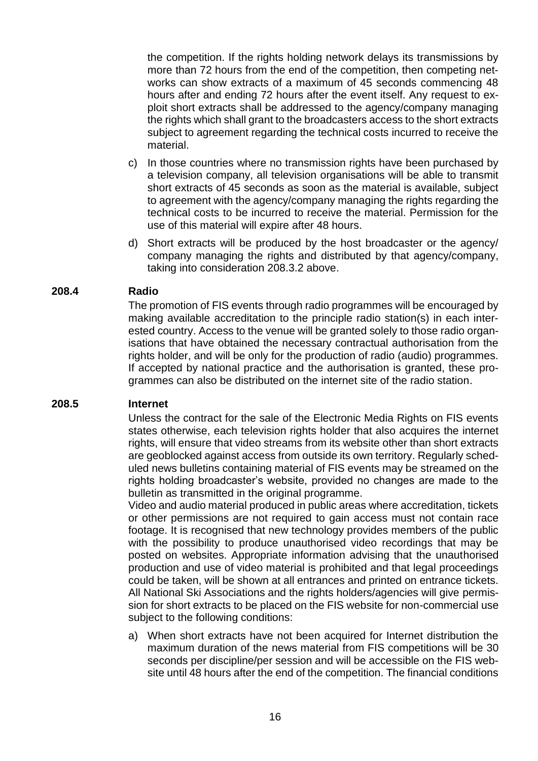the competition. If the rights holding network delays its transmissions by more than 72 hours from the end of the competition, then competing networks can show extracts of a maximum of 45 seconds commencing 48 hours after and ending 72 hours after the event itself. Any request to exploit short extracts shall be addressed to the agency/company managing the rights which shall grant to the broadcasters access to the short extracts subject to agreement regarding the technical costs incurred to receive the material.

- c) In those countries where no transmission rights have been purchased by a television company, all television organisations will be able to transmit short extracts of 45 seconds as soon as the material is available, subject to agreement with the agency/company managing the rights regarding the technical costs to be incurred to receive the material. Permission for the use of this material will expire after 48 hours.
- d) Short extracts will be produced by the host broadcaster or the agency/ company managing the rights and distributed by that agency/company, taking into consideration 208.3.2 above.

#### **208.4 Radio**

The promotion of FIS events through radio programmes will be encouraged by making available accreditation to the principle radio station(s) in each interested country. Access to the venue will be granted solely to those radio organisations that have obtained the necessary contractual authorisation from the rights holder, and will be only for the production of radio (audio) programmes. If accepted by national practice and the authorisation is granted, these programmes can also be distributed on the internet site of the radio station.

#### **208.5 Internet**

Unless the contract for the sale of the Electronic Media Rights on FIS events states otherwise, each television rights holder that also acquires the internet rights, will ensure that video streams from its website other than short extracts are geoblocked against access from outside its own territory. Regularly scheduled news bulletins containing material of FIS events may be streamed on the rights holding broadcaster's website, provided no changes are made to the bulletin as transmitted in the original programme.

Video and audio material produced in public areas where accreditation, tickets or other permissions are not required to gain access must not contain race footage. It is recognised that new technology provides members of the public with the possibility to produce unauthorised video recordings that may be posted on websites. Appropriate information advising that the unauthorised production and use of video material is prohibited and that legal proceedings could be taken, will be shown at all entrances and printed on entrance tickets. All National Ski Associations and the rights holders/agencies will give permission for short extracts to be placed on the FIS website for non-commercial use subject to the following conditions:

a) When short extracts have not been acquired for Internet distribution the maximum duration of the news material from FIS competitions will be 30 seconds per discipline/per session and will be accessible on the FIS website until 48 hours after the end of the competition. The financial conditions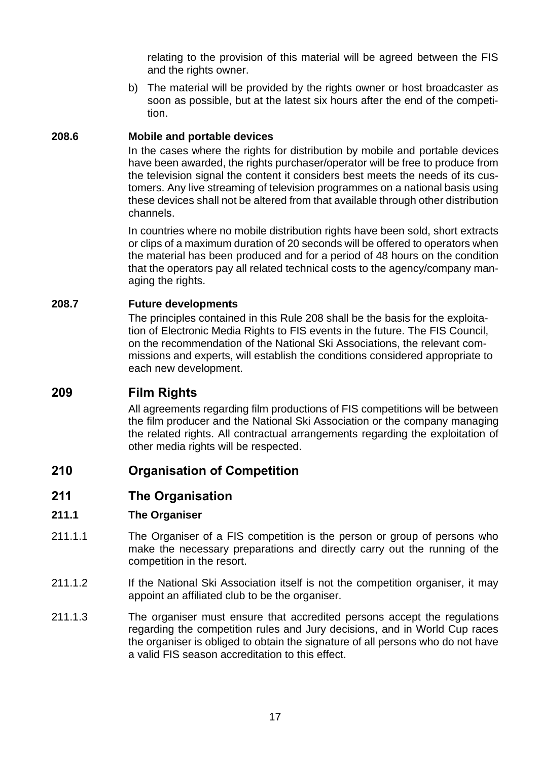relating to the provision of this material will be agreed between the FIS and the rights owner.

b) The material will be provided by the rights owner or host broadcaster as soon as possible, but at the latest six hours after the end of the competition.

## **208.6 Mobile and portable devices**

In the cases where the rights for distribution by mobile and portable devices have been awarded, the rights purchaser/operator will be free to produce from the television signal the content it considers best meets the needs of its customers. Any live streaming of television programmes on a national basis using these devices shall not be altered from that available through other distribution channels.

In countries where no mobile distribution rights have been sold, short extracts or clips of a maximum duration of 20 seconds will be offered to operators when the material has been produced and for a period of 48 hours on the condition that the operators pay all related technical costs to the agency/company managing the rights.

#### **208.7 Future developments**

The principles contained in this Rule 208 shall be the basis for the exploitation of Electronic Media Rights to FIS events in the future. The FIS Council, on the recommendation of the National Ski Associations, the relevant commissions and experts, will establish the conditions considered appropriate to each new development.

# **209 Film Rights**

All agreements regarding film productions of FIS competitions will be between the film producer and the National Ski Association or the company managing the related rights. All contractual arrangements regarding the exploitation of other media rights will be respected.

# **210 Organisation of Competition**

# **211 The Organisation**

#### **211.1 The Organiser**

- 211.1.1 The Organiser of a FIS competition is the person or group of persons who make the necessary preparations and directly carry out the running of the competition in the resort.
- 211.1.2 If the National Ski Association itself is not the competition organiser, it may appoint an affiliated club to be the organiser.
- 211.1.3 The organiser must ensure that accredited persons accept the regulations regarding the competition rules and Jury decisions, and in World Cup races the organiser is obliged to obtain the signature of all persons who do not have a valid FIS season accreditation to this effect.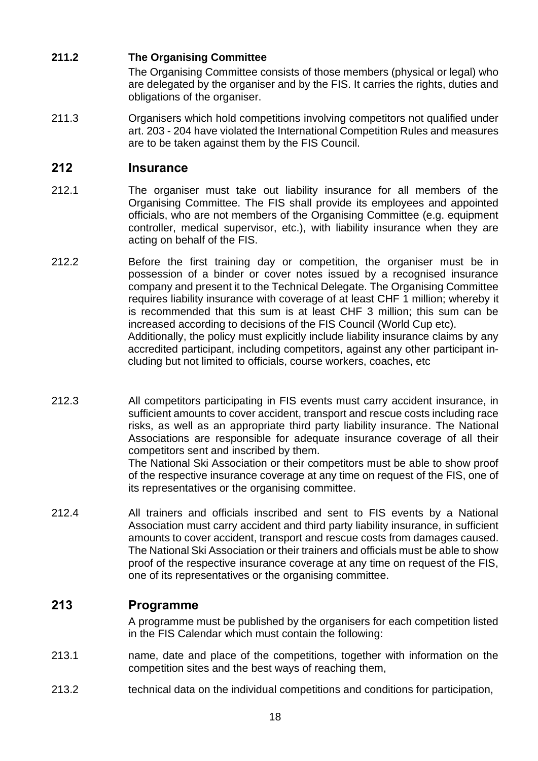# **211.2 The Organising Committee**

The Organising Committee consists of those members (physical or legal) who are delegated by the organiser and by the FIS. It carries the rights, duties and obligations of the organiser.

211.3 Organisers which hold competitions involving competitors not qualified under art. 203 - 204 have violated the International Competition Rules and measures are to be taken against them by the FIS Council.

# **212 Insurance**

- 212.1 The organiser must take out liability insurance for all members of the Organising Committee. The FIS shall provide its employees and appointed officials, who are not members of the Organising Committee (e.g. equipment controller, medical supervisor, etc.), with liability insurance when they are acting on behalf of the FIS.
- 212.2 Before the first training day or competition, the organiser must be in possession of a binder or cover notes issued by a recognised insurance company and present it to the Technical Delegate. The Organising Committee requires liability insurance with coverage of at least CHF 1 million; whereby it is recommended that this sum is at least CHF 3 million; this sum can be increased according to decisions of the FIS Council (World Cup etc). Additionally, the policy must explicitly include liability insurance claims by any accredited participant, including competitors, against any other participant including but not limited to officials, course workers, coaches, etc
- 212.3 All competitors participating in FIS events must carry accident insurance, in sufficient amounts to cover accident, transport and rescue costs including race risks, as well as an appropriate third party liability insurance. The National Associations are responsible for adequate insurance coverage of all their competitors sent and inscribed by them. The National Ski Association or their competitors must be able to show proof of the respective insurance coverage at any time on request of the FIS, one of its representatives or the organising committee.
- 212.4 All trainers and officials inscribed and sent to FIS events by a National Association must carry accident and third party liability insurance, in sufficient amounts to cover accident, transport and rescue costs from damages caused. The National Ski Association or their trainers and officials must be able to show proof of the respective insurance coverage at any time on request of the FIS, one of its representatives or the organising committee.

# **213 Programme**

A programme must be published by the organisers for each competition listed in the FIS Calendar which must contain the following:

- 213.1 name, date and place of the competitions, together with information on the competition sites and the best ways of reaching them,
- 213.2 technical data on the individual competitions and conditions for participation,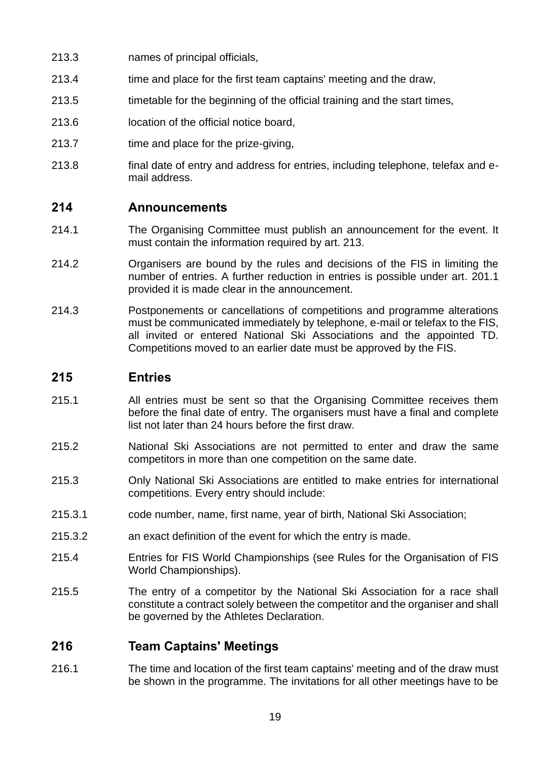- 213.3 names of principal officials,
- 213.4 time and place for the first team captains' meeting and the draw,
- 213.5 timetable for the beginning of the official training and the start times,
- 213.6 location of the official notice board,
- 213.7 time and place for the prize-giving,
- 213.8 final date of entry and address for entries, including telephone, telefax and email address.

# **214 Announcements**

- 214.1 The Organising Committee must publish an announcement for the event. It must contain the information required by art. 213.
- 214.2 Organisers are bound by the rules and decisions of the FIS in limiting the number of entries. A further reduction in entries is possible under art. 201.1 provided it is made clear in the announcement.
- 214.3 Postponements or cancellations of competitions and programme alterations must be communicated immediately by telephone, e-mail or telefax to the FIS, all invited or entered National Ski Associations and the appointed TD. Competitions moved to an earlier date must be approved by the FIS.

# **215 Entries**

- 215.1 All entries must be sent so that the Organising Committee receives them before the final date of entry. The organisers must have a final and complete list not later than 24 hours before the first draw.
- 215.2 National Ski Associations are not permitted to enter and draw the same competitors in more than one competition on the same date.
- 215.3 Only National Ski Associations are entitled to make entries for international competitions. Every entry should include:
- 215.3.1 code number, name, first name, year of birth, National Ski Association;
- 215.3.2 an exact definition of the event for which the entry is made.
- 215.4 Entries for FIS World Championships (see Rules for the Organisation of FIS World Championships).
- 215.5 The entry of a competitor by the National Ski Association for a race shall constitute a contract solely between the competitor and the organiser and shall be governed by the Athletes Declaration.

# **216 Team Captains' Meetings**

216.1 The time and location of the first team captains' meeting and of the draw must be shown in the programme. The invitations for all other meetings have to be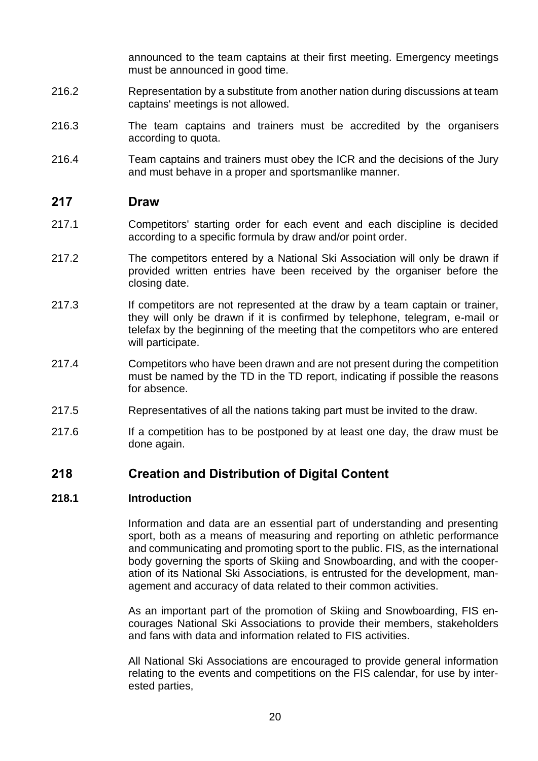announced to the team captains at their first meeting. Emergency meetings must be announced in good time.

- 216.2 Representation by a substitute from another nation during discussions at team captains' meetings is not allowed.
- 216.3 The team captains and trainers must be accredited by the organisers according to quota.
- 216.4 Team captains and trainers must obey the ICR and the decisions of the Jury and must behave in a proper and sportsmanlike manner.

#### **217 Draw**

- 217.1 Competitors' starting order for each event and each discipline is decided according to a specific formula by draw and/or point order.
- 217.2 The competitors entered by a National Ski Association will only be drawn if provided written entries have been received by the organiser before the closing date.
- 217.3 If competitors are not represented at the draw by a team captain or trainer, they will only be drawn if it is confirmed by telephone, telegram, e-mail or telefax by the beginning of the meeting that the competitors who are entered will participate.
- 217.4 Competitors who have been drawn and are not present during the competition must be named by the TD in the TD report, indicating if possible the reasons for absence.
- 217.5 Representatives of all the nations taking part must be invited to the draw.
- 217.6 If a competition has to be postponed by at least one day, the draw must be done again.

## **218 Creation and Distribution of Digital Content**

#### **218.1 Introduction**

Information and data are an essential part of understanding and presenting sport, both as a means of measuring and reporting on athletic performance and communicating and promoting sport to the public. FIS, as the international body governing the sports of Skiing and Snowboarding, and with the cooperation of its National Ski Associations, is entrusted for the development, management and accuracy of data related to their common activities.

As an important part of the promotion of Skiing and Snowboarding, FIS encourages National Ski Associations to provide their members, stakeholders and fans with data and information related to FIS activities.

All National Ski Associations are encouraged to provide general information relating to the events and competitions on the FIS calendar, for use by interested parties,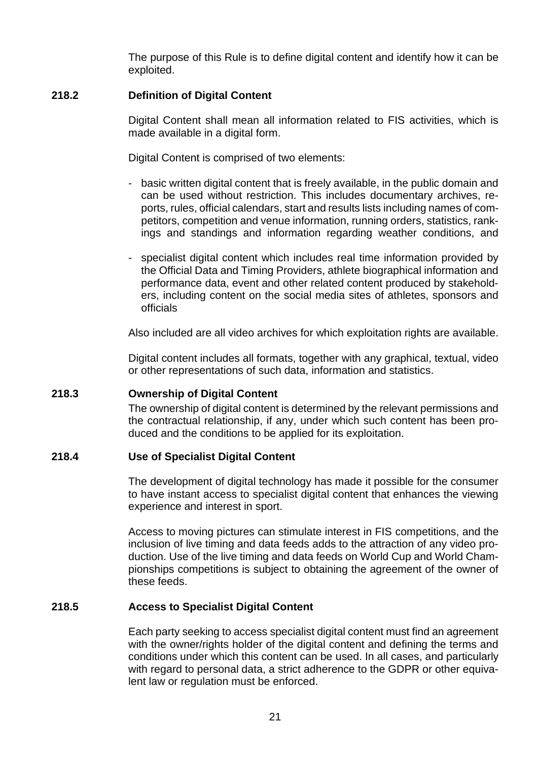The purpose of this Rule is to define digital content and identify how it can be exploited.

#### **218.2 Definition of Digital Content**

Digital Content shall mean all information related to FIS activities, which is made available in a digital form.

Digital Content is comprised of two elements:

- basic written digital content that is freely available, in the public domain and can be used without restriction. This includes documentary archives, reports, rules, official calendars, start and results lists including names of competitors, competition and venue information, running orders, statistics, rankings and standings and information regarding weather conditions, and
- specialist digital content which includes real time information provided by the Official Data and Timing Providers, athlete biographical information and performance data, event and other related content produced by stakeholders, including content on the social media sites of athletes, sponsors and officials

Also included are all video archives for which exploitation rights are available.

Digital content includes all formats, together with any graphical, textual, video or other representations of such data, information and statistics.

#### **218.3 Ownership of Digital Content**

The ownership of digital content is determined by the relevant permissions and the contractual relationship, if any, under which such content has been produced and the conditions to be applied for its exploitation.

#### **218.4 Use of Specialist Digital Content**

The development of digital technology has made it possible for the consumer to have instant access to specialist digital content that enhances the viewing experience and interest in sport.

Access to moving pictures can stimulate interest in FIS competitions, and the inclusion of live timing and data feeds adds to the attraction of any video production. Use of the live timing and data feeds on World Cup and World Championships competitions is subject to obtaining the agreement of the owner of these feeds.

#### **218.5 Access to Specialist Digital Content**

Each party seeking to access specialist digital content must find an agreement with the owner/rights holder of the digital content and defining the terms and conditions under which this content can be used. In all cases, and particularly with regard to personal data, a strict adherence to the GDPR or other equivalent law or regulation must be enforced.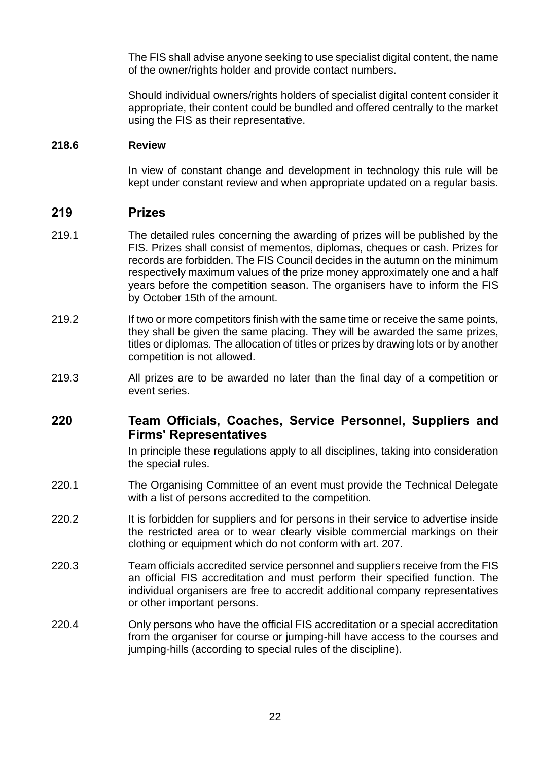The FIS shall advise anyone seeking to use specialist digital content, the name of the owner/rights holder and provide contact numbers.

Should individual owners/rights holders of specialist digital content consider it appropriate, their content could be bundled and offered centrally to the market using the FIS as their representative.

#### **218.6 Review**

In view of constant change and development in technology this rule will be kept under constant review and when appropriate updated on a regular basis.

## **219 Prizes**

- 219.1 The detailed rules concerning the awarding of prizes will be published by the FIS. Prizes shall consist of mementos, diplomas, cheques or cash. Prizes for records are forbidden. The FIS Council decides in the autumn on the minimum respectively maximum values of the prize money approximately one and a half years before the competition season. The organisers have to inform the FIS by October 15th of the amount.
- 219.2 If two or more competitors finish with the same time or receive the same points, they shall be given the same placing. They will be awarded the same prizes, titles or diplomas. The allocation of titles or prizes by drawing lots or by another competition is not allowed.
- 219.3 All prizes are to be awarded no later than the final day of a competition or event series.

# **220 Team Officials, Coaches, Service Personnel, Suppliers and Firms' Representatives**

In principle these regulations apply to all disciplines, taking into consideration the special rules.

- 220.1 The Organising Committee of an event must provide the Technical Delegate with a list of persons accredited to the competition.
- 220.2 It is forbidden for suppliers and for persons in their service to advertise inside the restricted area or to wear clearly visible commercial markings on their clothing or equipment which do not conform with art. 207.
- 220.3 Team officials accredited service personnel and suppliers receive from the FIS an official FIS accreditation and must perform their specified function. The individual organisers are free to accredit additional company representatives or other important persons.
- 220.4 Only persons who have the official FIS accreditation or a special accreditation from the organiser for course or jumping-hill have access to the courses and jumping-hills (according to special rules of the discipline).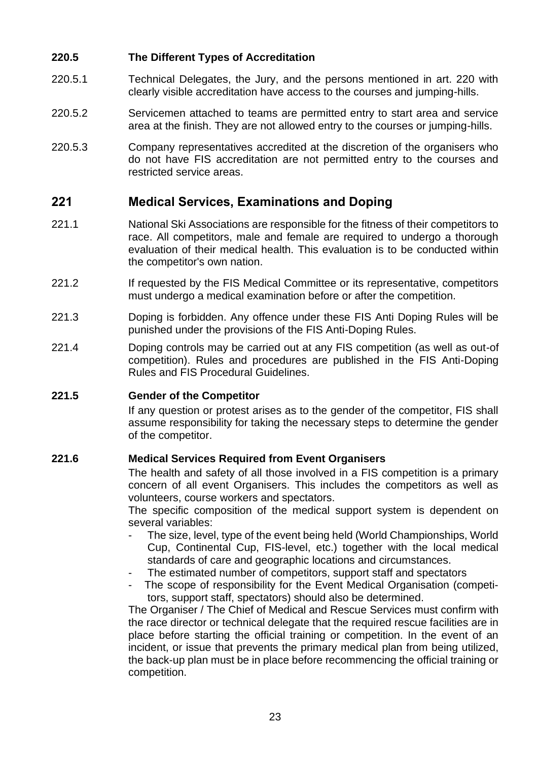#### **220.5 The Different Types of Accreditation**

- 220.5.1 Technical Delegates, the Jury, and the persons mentioned in art. 220 with clearly visible accreditation have access to the courses and jumping-hills.
- 220.5.2 Servicemen attached to teams are permitted entry to start area and service area at the finish. They are not allowed entry to the courses or jumping-hills.
- 220.5.3 Company representatives accredited at the discretion of the organisers who do not have FIS accreditation are not permitted entry to the courses and restricted service areas.

# **221 Medical Services, Examinations and Doping**

- 221.1 National Ski Associations are responsible for the fitness of their competitors to race. All competitors, male and female are required to undergo a thorough evaluation of their medical health. This evaluation is to be conducted within the competitor's own nation.
- 221.2 If requested by the FIS Medical Committee or its representative, competitors must undergo a medical examination before or after the competition.
- 221.3 Doping is forbidden. Any offence under these FIS Anti Doping Rules will be punished under the provisions of the FIS Anti-Doping Rules.
- 221.4 Doping controls may be carried out at any FIS competition (as well as out-of competition). Rules and procedures are published in the FIS Anti-Doping Rules and FIS Procedural Guidelines.

#### **221.5 Gender of the Competitor**

If any question or protest arises as to the gender of the competitor, FIS shall assume responsibility for taking the necessary steps to determine the gender of the competitor.

#### **221.6 Medical Services Required from Event Organisers**

The health and safety of all those involved in a FIS competition is a primary concern of all event Organisers. This includes the competitors as well as volunteers, course workers and spectators.

The specific composition of the medical support system is dependent on several variables:

- The size, level, type of the event being held (World Championships, World Cup, Continental Cup, FIS-level, etc.) together with the local medical standards of care and geographic locations and circumstances.
- The estimated number of competitors, support staff and spectators
- The scope of responsibility for the Event Medical Organisation (competitors, support staff, spectators) should also be determined.

The Organiser / The Chief of Medical and Rescue Services must confirm with the race director or technical delegate that the required rescue facilities are in place before starting the official training or competition. In the event of an incident, or issue that prevents the primary medical plan from being utilized, the back-up plan must be in place before recommencing the official training or competition.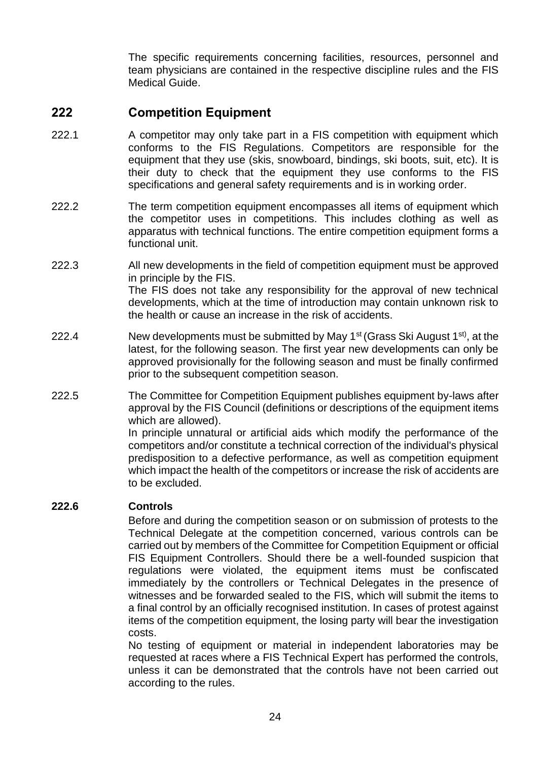The specific requirements concerning facilities, resources, personnel and team physicians are contained in the respective discipline rules and the FIS Medical Guide.

# **222 Competition Equipment**

- 222.1 A competitor may only take part in a FIS competition with equipment which conforms to the FIS Regulations. Competitors are responsible for the equipment that they use (skis, snowboard, bindings, ski boots, suit, etc). It is their duty to check that the equipment they use conforms to the FIS specifications and general safety requirements and is in working order.
- 222.2 The term competition equipment encompasses all items of equipment which the competitor uses in competitions. This includes clothing as well as apparatus with technical functions. The entire competition equipment forms a functional unit.
- 222.3 All new developments in the field of competition equipment must be approved in principle by the FIS. The FIS does not take any responsibility for the approval of new technical developments, which at the time of introduction may contain unknown risk to the health or cause an increase in the risk of accidents.
- 222.4 New developments must be submitted by May 1<sup>st</sup> (Grass Ski August 1<sup>st)</sup>, at the latest, for the following season. The first year new developments can only be approved provisionally for the following season and must be finally confirmed prior to the subsequent competition season.
- 222.5 The Committee for Competition Equipment publishes equipment by-laws after approval by the FIS Council (definitions or descriptions of the equipment items which are allowed).

In principle unnatural or artificial aids which modify the performance of the competitors and/or constitute a technical correction of the individual's physical predisposition to a defective performance, as well as competition equipment which impact the health of the competitors or increase the risk of accidents are to be excluded.

#### **222.6 Controls**

Before and during the competition season or on submission of protests to the Technical Delegate at the competition concerned, various controls can be carried out by members of the Committee for Competition Equipment or official FIS Equipment Controllers. Should there be a well-founded suspicion that regulations were violated, the equipment items must be confiscated immediately by the controllers or Technical Delegates in the presence of witnesses and be forwarded sealed to the FIS, which will submit the items to a final control by an officially recognised institution. In cases of protest against items of the competition equipment, the losing party will bear the investigation costs.

No testing of equipment or material in independent laboratories may be requested at races where a FIS Technical Expert has performed the controls, unless it can be demonstrated that the controls have not been carried out according to the rules.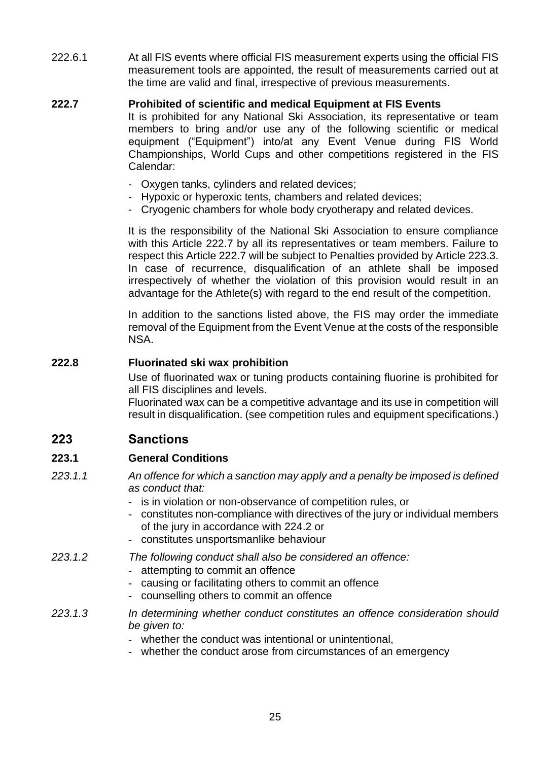222.6.1 At all FIS events where official FIS measurement experts using the official FIS measurement tools are appointed, the result of measurements carried out at the time are valid and final, irrespective of previous measurements.

#### **222.7 Prohibited of scientific and medical Equipment at FIS Events**

It is prohibited for any National Ski Association, its representative or team members to bring and/or use any of the following scientific or medical equipment ("Equipment") into/at any Event Venue during FIS World Championships, World Cups and other competitions registered in the FIS Calendar:

- Oxygen tanks, cylinders and related devices;
- Hypoxic or hyperoxic tents, chambers and related devices;
- Cryogenic chambers for whole body cryotherapy and related devices.

It is the responsibility of the National Ski Association to ensure compliance with this Article 222.7 by all its representatives or team members. Failure to respect this Article 222.7 will be subject to Penalties provided by Article 223.3. In case of recurrence, disqualification of an athlete shall be imposed irrespectively of whether the violation of this provision would result in an advantage for the Athlete(s) with regard to the end result of the competition.

In addition to the sanctions listed above, the FIS may order the immediate removal of the Equipment from the Event Venue at the costs of the responsible NSA.

#### **222.8 Fluorinated ski wax prohibition**

Use of fluorinated wax or tuning products containing fluorine is prohibited for all FIS disciplines and levels.

Fluorinated wax can be a competitive advantage and its use in competition will result in disqualification. (see competition rules and equipment specifications.)

# **223 Sanctions**

#### **223.1 General Conditions**

- *223.1.1 An offence for which a sanction may apply and a penalty be imposed is defined as conduct that:*
	- is in violation or non-observance of competition rules, or
	- constitutes non-compliance with directives of the jury or individual members of the jury in accordance with 224.2 or
	- constitutes unsportsmanlike behaviour
- *223.1.2 The following conduct shall also be considered an offence:*
	- attempting to commit an offence
	- causing or facilitating others to commit an offence
	- counselling others to commit an offence
- *223.1.3 In determining whether conduct constitutes an offence consideration should be given to:*
	- *-* whether the conduct was intentional or unintentional,
	- whether the conduct arose from circumstances of an emergency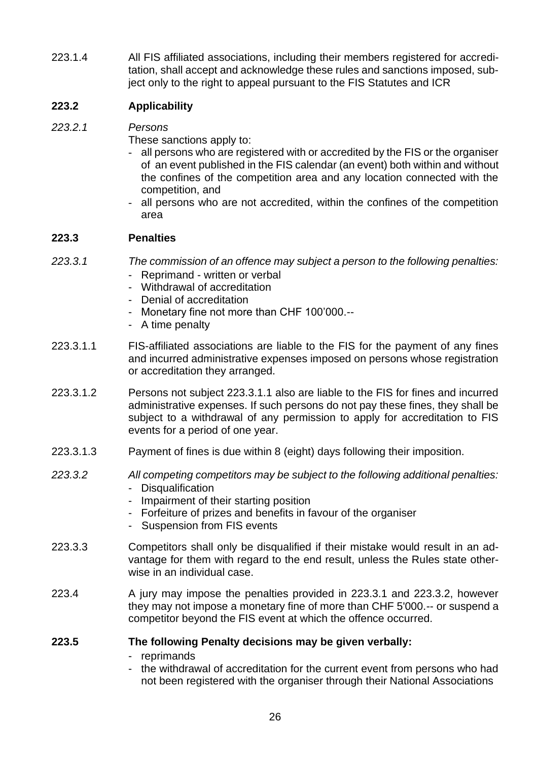223.1.4 All FIS affiliated associations, including their members registered for accreditation, shall accept and acknowledge these rules and sanctions imposed, subject only to the right to appeal pursuant to the FIS Statutes and ICR

## **223.2 Applicability**

#### *223.2.1 Persons*

These sanctions apply to:

- all persons who are registered with or accredited by the FIS or the organiser of an event published in the FIS calendar (an event) both within and without the confines of the competition area and any location connected with the competition, and
- all persons who are not accredited, within the confines of the competition area

#### **223.3 Penalties**

- *223.3.1 The commission of an offence may subject a person to the following penalties:*
	- Reprimand written or verbal
	- Withdrawal of accreditation
	- Denial of accreditation
	- Monetary fine not more than CHF 100'000.--
	- A time penalty
- 223.3.1.1 FIS-affiliated associations are liable to the FIS for the payment of any fines and incurred administrative expenses imposed on persons whose registration or accreditation they arranged.
- 223.3.1.2 Persons not subject 223.3.1.1 also are liable to the FIS for fines and incurred administrative expenses. If such persons do not pay these fines, they shall be subject to a withdrawal of any permission to apply for accreditation to FIS events for a period of one year.
- 223.3.1.3 Payment of fines is due within 8 (eight) days following their imposition.
- *223.3.2 All competing competitors may be subject to the following additional penalties:* - Disqualification
	- Impairment of their starting position
	- Forfeiture of prizes and benefits in favour of the organiser
	- Suspension from FIS events
- 223.3.3 Competitors shall only be disqualified if their mistake would result in an advantage for them with regard to the end result, unless the Rules state otherwise in an individual case.
- 223.4 A jury may impose the penalties provided in 223.3.1 and 223.3.2, however they may not impose a monetary fine of more than CHF 5'000.-- or suspend a competitor beyond the FIS event at which the offence occurred.

#### **223.5 The following Penalty decisions may be given verbally:**

- reprimands
- the withdrawal of accreditation for the current event from persons who had not been registered with the organiser through their National Associations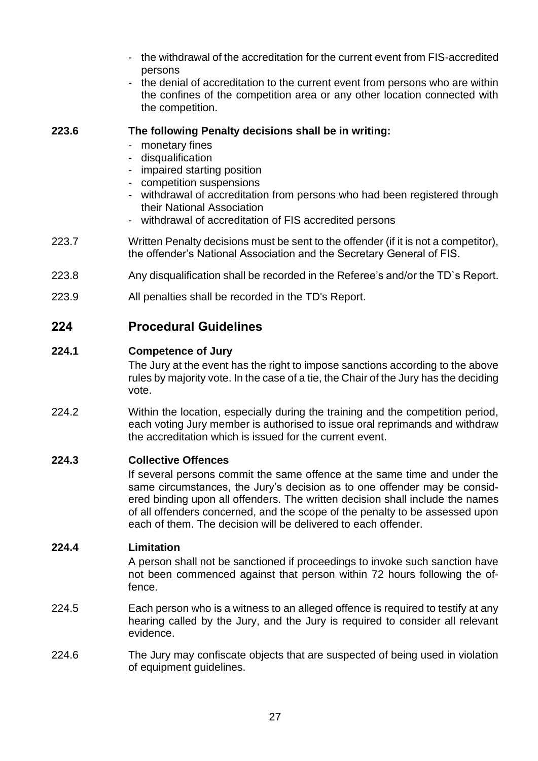- the withdrawal of the accreditation for the current event from FIS-accredited persons
- the denial of accreditation to the current event from persons who are within the confines of the competition area or any other location connected with the competition.

#### **223.6 The following Penalty decisions shall be in writing:**

- monetary fines
- disqualification
- impaired starting position
- competition suspensions
- withdrawal of accreditation from persons who had been registered through their National Association
- withdrawal of accreditation of FIS accredited persons
- 223.7 Written Penalty decisions must be sent to the offender (if it is not a competitor), the offender's National Association and the Secretary General of FIS.
- 223.8 Any disqualification shall be recorded in the Referee's and/or the TD`s Report.
- 223.9 All penalties shall be recorded in the TD's Report.

# **224 Procedural Guidelines**

## **224.1 Competence of Jury**

The Jury at the event has the right to impose sanctions according to the above rules by majority vote. In the case of a tie, the Chair of the Jury has the deciding vote.

224.2 Within the location, especially during the training and the competition period, each voting Jury member is authorised to issue oral reprimands and withdraw the accreditation which is issued for the current event.

#### **224.3 Collective Offences**

If several persons commit the same offence at the same time and under the same circumstances, the Jury's decision as to one offender may be considered binding upon all offenders. The written decision shall include the names of all offenders concerned, and the scope of the penalty to be assessed upon each of them. The decision will be delivered to each offender.

#### **224.4 Limitation**

A person shall not be sanctioned if proceedings to invoke such sanction have not been commenced against that person within 72 hours following the offence.

- 224.5 Each person who is a witness to an alleged offence is required to testify at any hearing called by the Jury, and the Jury is required to consider all relevant evidence.
- 224.6 The Jury may confiscate objects that are suspected of being used in violation of equipment guidelines.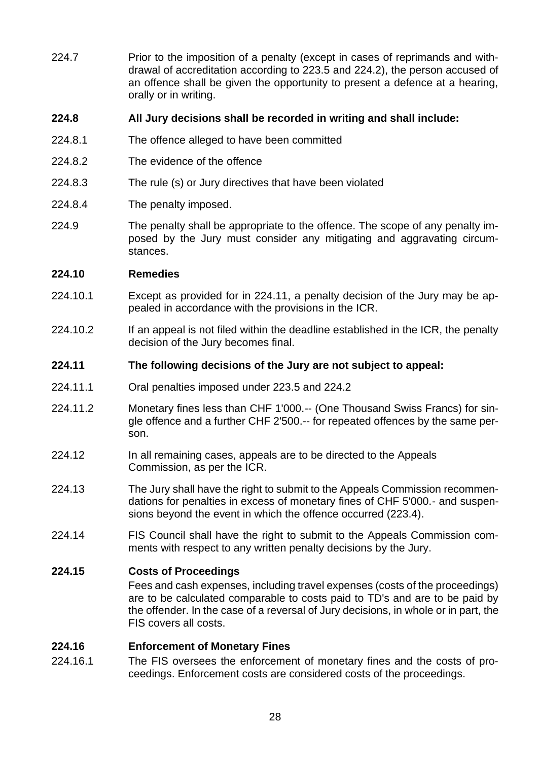224.7 Prior to the imposition of a penalty (except in cases of reprimands and withdrawal of accreditation according to 223.5 and 224.2), the person accused of an offence shall be given the opportunity to present a defence at a hearing, orally or in writing.

#### **224.8 All Jury decisions shall be recorded in writing and shall include:**

- 224.8.1 The offence alleged to have been committed
- 224.8.2 The evidence of the offence
- 224.8.3 The rule (s) or Jury directives that have been violated
- 224.8.4 The penalty imposed.
- 224.9 The penalty shall be appropriate to the offence. The scope of any penalty imposed by the Jury must consider any mitigating and aggravating circumstances.

#### **224.10 Remedies**

- 224.10.1 Except as provided for in 224.11, a penalty decision of the Jury may be appealed in accordance with the provisions in the ICR.
- 224.10.2 If an appeal is not filed within the deadline established in the ICR, the penalty decision of the Jury becomes final.

#### **224.11 The following decisions of the Jury are not subject to appeal:**

- 224.11.1 Oral penalties imposed under 223.5 and 224.2
- 224.11.2 Monetary fines less than CHF 1'000.-- (One Thousand Swiss Francs) for single offence and a further CHF 2'500.-- for repeated offences by the same person.
- 224.12 In all remaining cases, appeals are to be directed to the Appeals Commission, as per the ICR.
- 224.13 The Jury shall have the right to submit to the Appeals Commission recommendations for penalties in excess of monetary fines of CHF 5'000.- and suspensions beyond the event in which the offence occurred (223.4).
- 224.14 FIS Council shall have the right to submit to the Appeals Commission comments with respect to any written penalty decisions by the Jury.

#### **224.15 Costs of Proceedings**

Fees and cash expenses, including travel expenses (costs of the proceedings) are to be calculated comparable to costs paid to TD's and are to be paid by the offender. In the case of a reversal of Jury decisions, in whole or in part, the FIS covers all costs.

#### **224.16 Enforcement of Monetary Fines**

224.16.1 The FIS oversees the enforcement of monetary fines and the costs of proceedings. Enforcement costs are considered costs of the proceedings.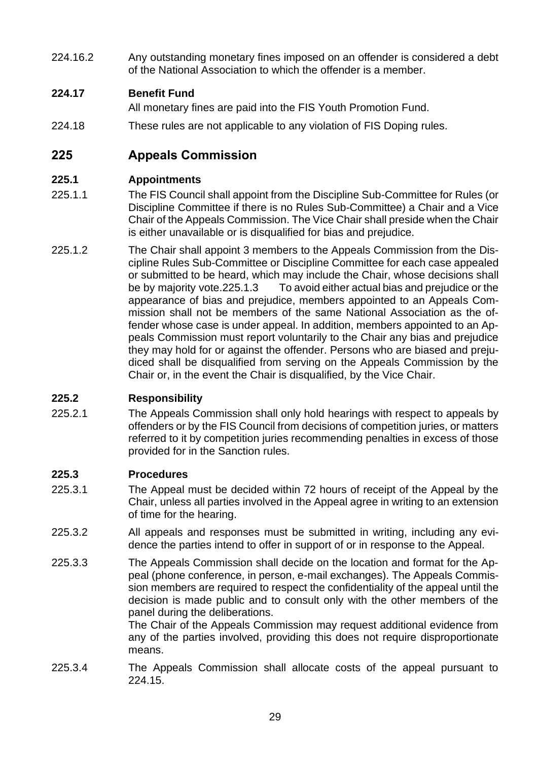224.16.2 Any outstanding monetary fines imposed on an offender is considered a debt of the National Association to which the offender is a member.

## **224.17 Benefit Fund**

All monetary fines are paid into the FIS Youth Promotion Fund.

224.18 These rules are not applicable to any violation of FIS Doping rules.

# **225 Appeals Commission**

# **225.1 Appointments**

- 225.1.1 The FIS Council shall appoint from the Discipline Sub-Committee for Rules (or Discipline Committee if there is no Rules Sub-Committee) a Chair and a Vice Chair of the Appeals Commission. The Vice Chair shall preside when the Chair is either unavailable or is disqualified for bias and prejudice.
- 225.1.2 The Chair shall appoint 3 members to the Appeals Commission from the Discipline Rules Sub-Committee or Discipline Committee for each case appealed or submitted to be heard, which may include the Chair, whose decisions shall be by majority vote.225.1.3 To avoid either actual bias and prejudice or the appearance of bias and prejudice, members appointed to an Appeals Commission shall not be members of the same National Association as the offender whose case is under appeal. In addition, members appointed to an Appeals Commission must report voluntarily to the Chair any bias and prejudice they may hold for or against the offender. Persons who are biased and prejudiced shall be disqualified from serving on the Appeals Commission by the Chair or, in the event the Chair is disqualified, by the Vice Chair.

## **225.2 Responsibility**

225.2.1 The Appeals Commission shall only hold hearings with respect to appeals by offenders or by the FIS Council from decisions of competition juries, or matters referred to it by competition juries recommending penalties in excess of those provided for in the Sanction rules.

## **225.3 Procedures**

- 225.3.1 The Appeal must be decided within 72 hours of receipt of the Appeal by the Chair, unless all parties involved in the Appeal agree in writing to an extension of time for the hearing.
- 225.3.2 All appeals and responses must be submitted in writing, including any evidence the parties intend to offer in support of or in response to the Appeal.
- 225.3.3 The Appeals Commission shall decide on the location and format for the Appeal (phone conference, in person, e-mail exchanges). The Appeals Commission members are required to respect the confidentiality of the appeal until the decision is made public and to consult only with the other members of the panel during the deliberations.

The Chair of the Appeals Commission may request additional evidence from any of the parties involved, providing this does not require disproportionate means.

225.3.4 The Appeals Commission shall allocate costs of the appeal pursuant to 224.15.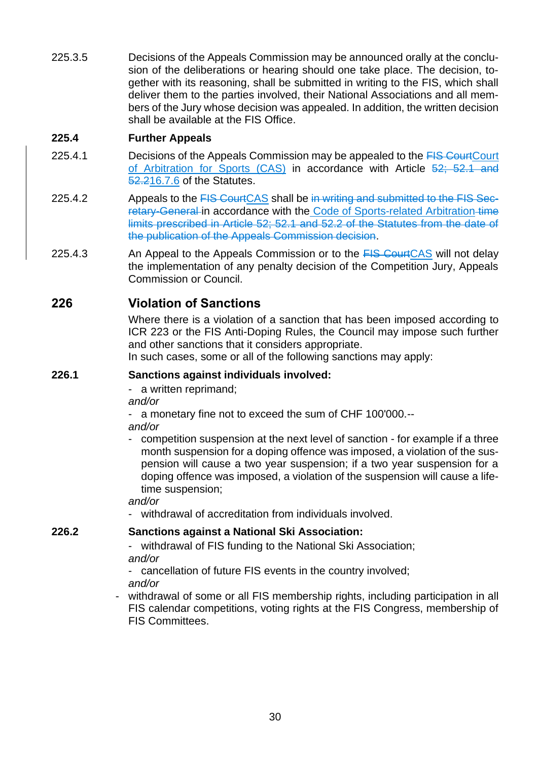225.3.5 Decisions of the Appeals Commission may be announced orally at the conclusion of the deliberations or hearing should one take place. The decision, together with its reasoning, shall be submitted in writing to the FIS, which shall deliver them to the parties involved, their National Associations and all members of the Jury whose decision was appealed. In addition, the written decision shall be available at the FIS Office.

# **225.4 Further Appeals**

- 225.4.1 Decisions of the Appeals Commission may be appealed to the FIS CourtCourt of Arbitration for Sports (CAS) in accordance with Article 52; 52.1 and 52.216.7.6 of the Statutes.
- 225.4.2 Appeals to the FIS Court CAS shall be in writing and submitted to the FIS Secretary-General in accordance with the Code of Sports-related Arbitration time limits prescribed in Article 52; 52.1 and 52.2 of the Statutes from the date of the publication of the Appeals Commission decision.
- 225.4.3 An Appeal to the Appeals Commission or to the **FIS CourtCAS** will not delay the implementation of any penalty decision of the Competition Jury, Appeals Commission or Council.

# **226 Violation of Sanctions**

Where there is a violation of a sanction that has been imposed according to ICR 223 or the FIS Anti-Doping Rules, the Council may impose such further and other sanctions that it considers appropriate.

In such cases, some or all of the following sanctions may apply:

#### **226.1 Sanctions against individuals involved:**

- a written reprimand;

*and/or*

a monetary fine not to exceed the sum of CHF 100'000.--

*and/or*

competition suspension at the next level of sanction - for example if a three month suspension for a doping offence was imposed, a violation of the suspension will cause a two year suspension; if a two year suspension for a doping offence was imposed, a violation of the suspension will cause a lifetime suspension;

#### *and/or*

- withdrawal of accreditation from individuals involved.

## **226.2 Sanctions against a National Ski Association:**

- withdrawal of FIS funding to the National Ski Association; *and/or*
- cancellation of future FIS events in the country involved;
- *and/or*
- withdrawal of some or all FIS membership rights, including participation in all FIS calendar competitions, voting rights at the FIS Congress, membership of FIS Committees.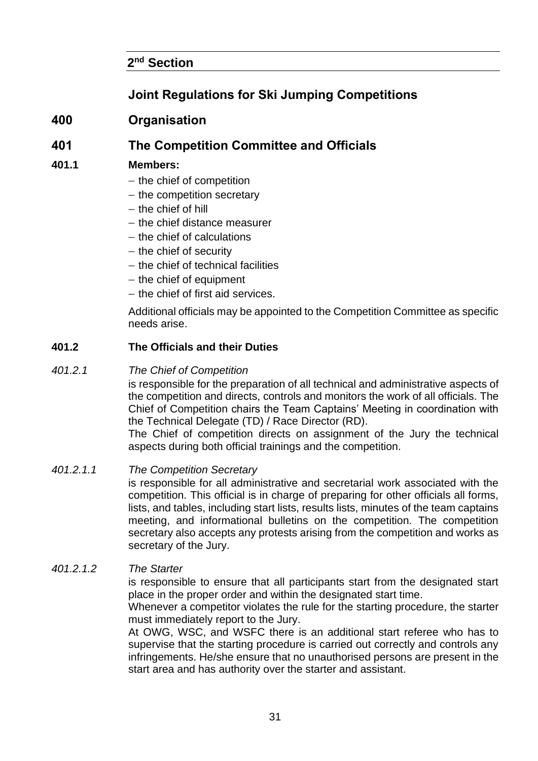# **2 nd Section**

# **Joint Regulations for Ski Jumping Competitions**

# **400 Organisation**

# **401 The Competition Committee and Officials**

## **401.1 Members:**

- − the chief of competition
- − the competition secretary
- − the chief of hill
- − the chief distance measurer
- − the chief of calculations
- − the chief of security
- − the chief of technical facilities
- − the chief of equipment
- − the chief of first aid services.

Additional officials may be appointed to the Competition Committee as specific needs arise.

#### **401.2 The Officials and their Duties**

#### *401.2.1 The Chief of Competition*

is responsible for the preparation of all technical and administrative aspects of the competition and directs, controls and monitors the work of all officials. The Chief of Competition chairs the Team Captains' Meeting in coordination with the Technical Delegate (TD) / Race Director (RD).

The Chief of competition directs on assignment of the Jury the technical aspects during both official trainings and the competition.

#### *401.2.1.1 The Competition Secretary*

is responsible for all administrative and secretarial work associated with the competition. This official is in charge of preparing for other officials all forms, lists, and tables, including start lists, results lists, minutes of the team captains meeting, and informational bulletins on the competition. The competition secretary also accepts any protests arising from the competition and works as secretary of the Jury.

#### *401.2.1.2 The Starter*

is responsible to ensure that all participants start from the designated start place in the proper order and within the designated start time.

Whenever a competitor violates the rule for the starting procedure, the starter must immediately report to the Jury.

At OWG, WSC, and WSFC there is an additional start referee who has to supervise that the starting procedure is carried out correctly and controls any infringements. He/she ensure that no unauthorised persons are present in the start area and has authority over the starter and assistant.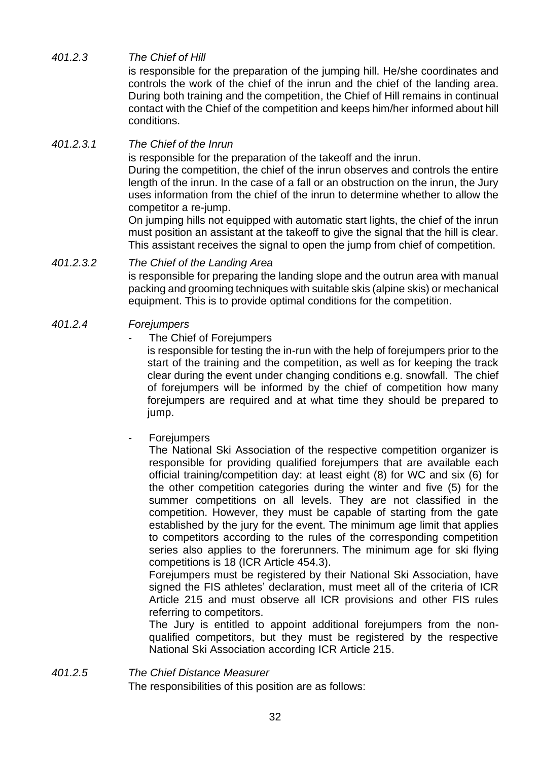*401.2.3 The Chief of Hill*

is responsible for the preparation of the jumping hill. He/she coordinates and controls the work of the chief of the inrun and the chief of the landing area. During both training and the competition, the Chief of Hill remains in continual contact with the Chief of the competition and keeps him/her informed about hill conditions.

#### *401.2.3.1 The Chief of the Inrun*

is responsible for the preparation of the takeoff and the inrun.

During the competition, the chief of the inrun observes and controls the entire length of the inrun. In the case of a fall or an obstruction on the inrun, the Jury uses information from the chief of the inrun to determine whether to allow the competitor a re-jump.

On jumping hills not equipped with automatic start lights, the chief of the inrun must position an assistant at the takeoff to give the signal that the hill is clear. This assistant receives the signal to open the jump from chief of competition.

#### *401.2.3.2 The Chief of the Landing Area*

is responsible for preparing the landing slope and the outrun area with manual packing and grooming techniques with suitable skis (alpine skis) or mechanical equipment. This is to provide optimal conditions for the competition.

#### *401.2.4 Forejumpers*

The Chief of Forejumpers

is responsible for testing the in-run with the help of forejumpers prior to the start of the training and the competition, as well as for keeping the track clear during the event under changing conditions e.g. snowfall. The chief of forejumpers will be informed by the chief of competition how many forejumpers are required and at what time they should be prepared to jump.

#### **Forejumpers**

The National Ski Association of the respective competition organizer is responsible for providing qualified forejumpers that are available each official training/competition day: at least eight (8) for WC and six (6) for the other competition categories during the winter and five (5) for the summer competitions on all levels. They are not classified in the competition. However, they must be capable of starting from the gate established by the jury for the event. The minimum age limit that applies to competitors according to the rules of the corresponding competition series also applies to the forerunners. The minimum age for ski flying competitions is 18 (ICR Article 454.3).

Forejumpers must be registered by their National Ski Association, have signed the FIS athletes' declaration, must meet all of the criteria of ICR Article 215 and must observe all ICR provisions and other FIS rules referring to competitors.

The Jury is entitled to appoint additional forejumpers from the nonqualified competitors, but they must be registered by the respective National Ski Association according ICR Article 215.

#### *401.2.5 The Chief Distance Measurer*

The responsibilities of this position are as follows: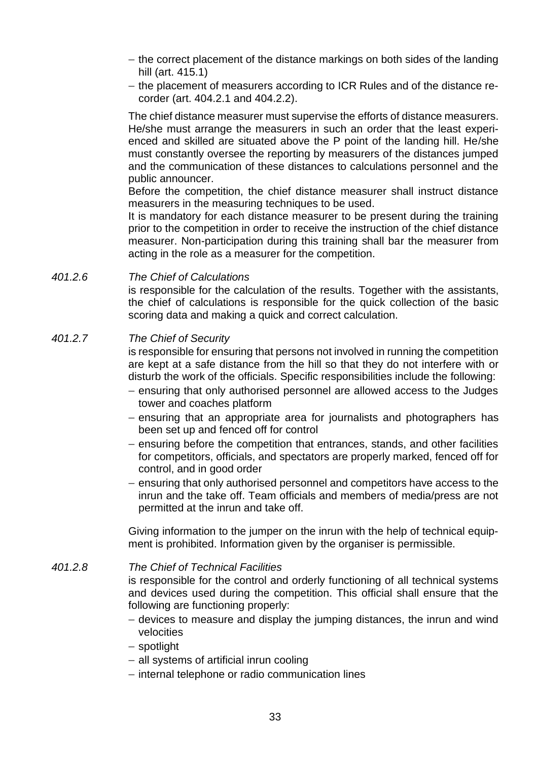- − the correct placement of the distance markings on both sides of the landing hill (art. 415.1)
- − the placement of measurers according to ICR Rules and of the distance recorder (art. 404.2.1 and 404.2.2).

The chief distance measurer must supervise the efforts of distance measurers. He/she must arrange the measurers in such an order that the least experienced and skilled are situated above the P point of the landing hill. He/she must constantly oversee the reporting by measurers of the distances jumped and the communication of these distances to calculations personnel and the public announcer.

Before the competition, the chief distance measurer shall instruct distance measurers in the measuring techniques to be used.

It is mandatory for each distance measurer to be present during the training prior to the competition in order to receive the instruction of the chief distance measurer. Non-participation during this training shall bar the measurer from acting in the role as a measurer for the competition.

*401.2.6 The Chief of Calculations*

is responsible for the calculation of the results. Together with the assistants, the chief of calculations is responsible for the quick collection of the basic scoring data and making a quick and correct calculation.

#### *401.2.7 The Chief of Security*

is responsible for ensuring that persons not involved in running the competition are kept at a safe distance from the hill so that they do not interfere with or disturb the work of the officials. Specific responsibilities include the following:

- − ensuring that only authorised personnel are allowed access to the Judges tower and coaches platform
- − ensuring that an appropriate area for journalists and photographers has been set up and fenced off for control
- − ensuring before the competition that entrances, stands, and other facilities for competitors, officials, and spectators are properly marked, fenced off for control, and in good order
- − ensuring that only authorised personnel and competitors have access to the inrun and the take off. Team officials and members of media/press are not permitted at the inrun and take off.

Giving information to the jumper on the inrun with the help of technical equipment is prohibited. Information given by the organiser is permissible.

#### *401.2.8 The Chief of Technical Facilities*

is responsible for the control and orderly functioning of all technical systems and devices used during the competition. This official shall ensure that the following are functioning properly:

- − devices to measure and display the jumping distances, the inrun and wind velocities
- − spotlight
- − all systems of artificial inrun cooling
- − internal telephone or radio communication lines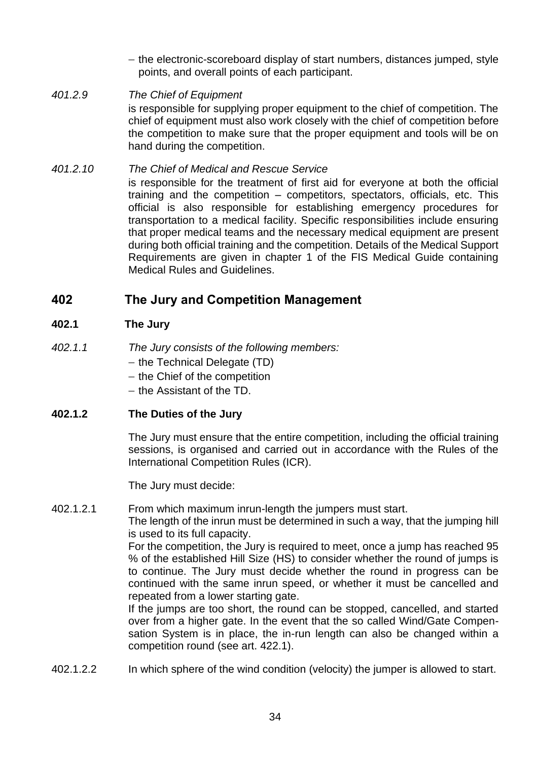− the electronic-scoreboard display of start numbers, distances jumped, style points, and overall points of each participant.

*401.2.9 The Chief of Equipment* is responsible for supplying proper equipment to the chief of competition. The chief of equipment must also work closely with the chief of competition before the competition to make sure that the proper equipment and tools will be on hand during the competition.

#### *401.2.10 The Chief of Medical and Rescue Service* is responsible for the treatment of first aid for everyone at both the official training and the competition – competitors, spectators, officials, etc. This official is also responsible for establishing emergency procedures for transportation to a medical facility. Specific responsibilities include ensuring that proper medical teams and the necessary medical equipment are present during both official training and the competition. Details of the Medical Support Requirements are given in chapter 1 of the FIS Medical Guide containing Medical Rules and Guidelines.

# **402 The Jury and Competition Management**

# **402.1 The Jury**

- *402.1.1 The Jury consists of the following members:*
	- − the Technical Delegate (TD)
	- − the Chief of the competition
	- − the Assistant of the TD.

## **402.1.2 The Duties of the Jury**

The Jury must ensure that the entire competition, including the official training sessions, is organised and carried out in accordance with the Rules of the International Competition Rules (ICR).

The Jury must decide:

402.1.2.1 From which maximum inrun-length the jumpers must start.

The length of the inrun must be determined in such a way, that the jumping hill is used to its full capacity.

For the competition, the Jury is required to meet, once a jump has reached 95 % of the established Hill Size (HS) to consider whether the round of jumps is to continue. The Jury must decide whether the round in progress can be continued with the same inrun speed, or whether it must be cancelled and repeated from a lower starting gate.

If the jumps are too short, the round can be stopped, cancelled, and started over from a higher gate. In the event that the so called Wind/Gate Compensation System is in place, the in-run length can also be changed within a competition round (see art. 422.1).

402.1.2.2 In which sphere of the wind condition (velocity) the jumper is allowed to start.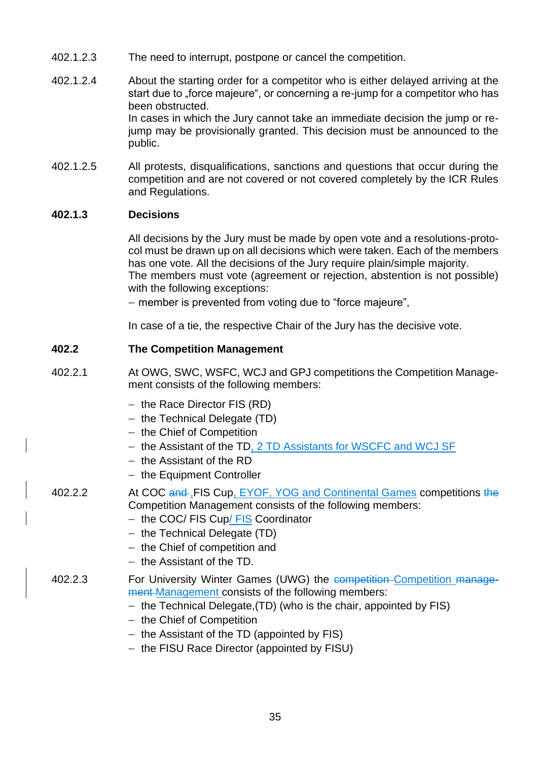- 402.1.2.3 The need to interrupt, postpone or cancel the competition.
- 402.1.2.4 About the starting order for a competitor who is either delayed arriving at the start due to "force majeure", or concerning a re-jump for a competitor who has been obstructed. In cases in which the Jury cannot take an immediate decision the jump or rejump may be provisionally granted. This decision must be announced to the public.
- 402.1.2.5 All protests, disqualifications, sanctions and questions that occur during the competition and are not covered or not covered completely by the ICR Rules and Regulations.

### **402.1.3 Decisions**

All decisions by the Jury must be made by open vote and a resolutions-protocol must be drawn up on all decisions which were taken. Each of the members has one vote. All the decisions of the Jury require plain/simple majority. The members must vote (agreement or rejection, abstention is not possible) with the following exceptions:

− member is prevented from voting due to "force majeure",

In case of a tie, the respective Chair of the Jury has the decisive vote.

### **402.2 The Competition Management**

- 402.2.1 At OWG, SWC, WSFC, WCJ and GPJ competitions the Competition Management consists of the following members:
	- − the Race Director FIS (RD)
	- − the Technical Delegate (TD)
	- − the Chief of Competition
	- − the Assistant of the TD, 2 TD Assistants for WSCFC and WCJ SF
	- − the Assistant of the RD
	- − the Equipment Controller
- 402.2.2 At COC and FIS Cup, EYOF, YOG and Continental Games competitions the Competition Management consists of the following members:
	- − the COC/ FIS Cup/ FIS Coordinator
	- − the Technical Delegate (TD)
	- − the Chief of competition and
	- − the Assistant of the TD.

#### 402.2.3 For University Winter Games (UWG) the competition-Competition management Management consists of the following members:

- − the Technical Delegate,(TD) (who is the chair, appointed by FIS)
- − the Chief of Competition
- − the Assistant of the TD (appointed by FIS)
- − the FISU Race Director (appointed by FISU)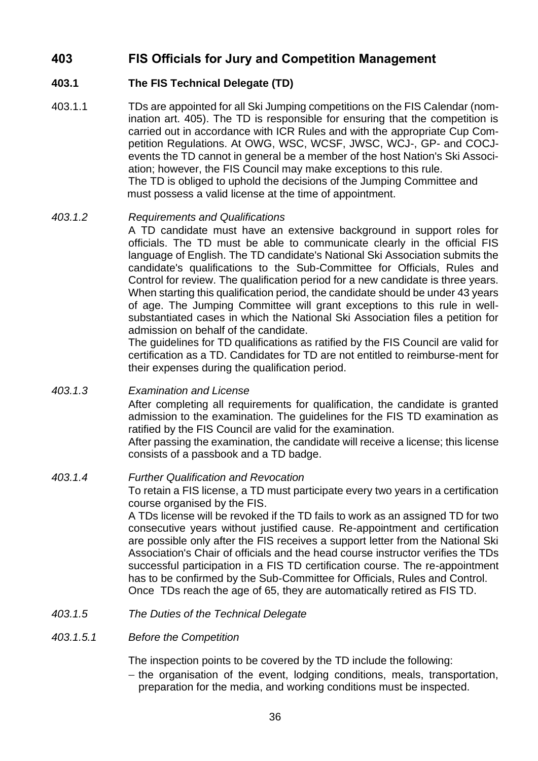# **403 FIS Officials for Jury and Competition Management**

### **403.1 The FIS Technical Delegate (TD)**

403.1.1 TDs are appointed for all Ski Jumping competitions on the FIS Calendar (nomination art. 405). The TD is responsible for ensuring that the competition is carried out in accordance with ICR Rules and with the appropriate Cup Competition Regulations. At OWG, WSC, WCSF, JWSC, WCJ-, GP- and COCJevents the TD cannot in general be a member of the host Nation's Ski Association; however, the FIS Council may make exceptions to this rule. The TD is obliged to uphold the decisions of the Jumping Committee and must possess a valid license at the time of appointment.

### *403.1.2 Requirements and Qualifications*

A TD candidate must have an extensive background in support roles for officials. The TD must be able to communicate clearly in the official FIS language of English. The TD candidate's National Ski Association submits the candidate's qualifications to the Sub-Committee for Officials, Rules and Control for review. The qualification period for a new candidate is three years. When starting this qualification period, the candidate should be under 43 years of age. The Jumping Committee will grant exceptions to this rule in wellsubstantiated cases in which the National Ski Association files a petition for admission on behalf of the candidate.

The guidelines for TD qualifications as ratified by the FIS Council are valid for certification as a TD. Candidates for TD are not entitled to reimburse-ment for their expenses during the qualification period.

## *403.1.3 Examination and License* After completing all requirements for qualification, the candidate is granted admission to the examination. The guidelines for the FIS TD examination as

ratified by the FIS Council are valid for the examination. After passing the examination, the candidate will receive a license; this license consists of a passbook and a TD badge.

### *403.1.4 Further Qualification and Revocation*

To retain a FIS license, a TD must participate every two years in a certification course organised by the FIS.

A TDs license will be revoked if the TD fails to work as an assigned TD for two consecutive years without justified cause. Re-appointment and certification are possible only after the FIS receives a support letter from the National Ski Association's Chair of officials and the head course instructor verifies the TDs successful participation in a FIS TD certification course. The re-appointment has to be confirmed by the Sub-Committee for Officials, Rules and Control. Once TDs reach the age of 65, they are automatically retired as FIS TD.

*403.1.5 The Duties of the Technical Delegate*

### *403.1.5.1 Before the Competition*

The inspection points to be covered by the TD include the following:

− the organisation of the event, lodging conditions, meals, transportation, preparation for the media, and working conditions must be inspected.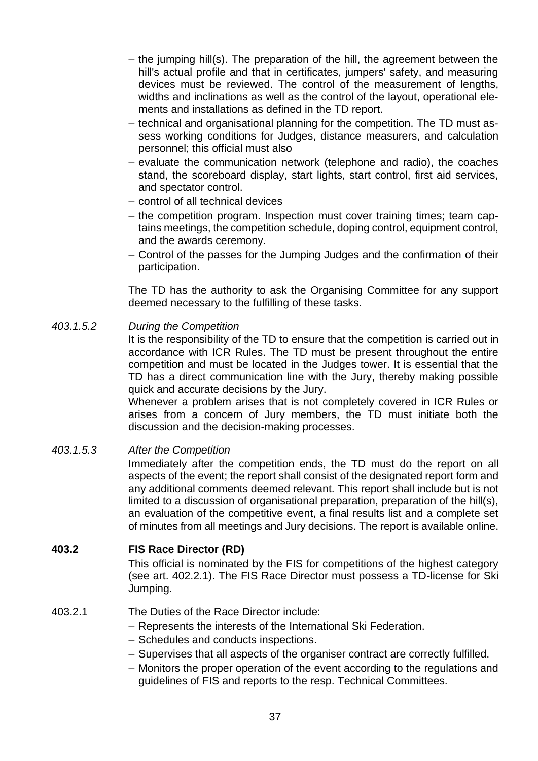- − the jumping hill(s). The preparation of the hill, the agreement between the hill's actual profile and that in certificates, jumpers' safety, and measuring devices must be reviewed. The control of the measurement of lengths, widths and inclinations as well as the control of the layout, operational elements and installations as defined in the TD report.
- − technical and organisational planning for the competition. The TD must assess working conditions for Judges, distance measurers, and calculation personnel; this official must also
- − evaluate the communication network (telephone and radio), the coaches stand, the scoreboard display, start lights, start control, first aid services, and spectator control.
- − control of all technical devices
- − the competition program. Inspection must cover training times; team captains meetings, the competition schedule, doping control, equipment control, and the awards ceremony.
- − Control of the passes for the Jumping Judges and the confirmation of their participation.

The TD has the authority to ask the Organising Committee for any support deemed necessary to the fulfilling of these tasks.

### *403.1.5.2 During the Competition*

It is the responsibility of the TD to ensure that the competition is carried out in accordance with ICR Rules. The TD must be present throughout the entire competition and must be located in the Judges tower. It is essential that the TD has a direct communication line with the Jury, thereby making possible quick and accurate decisions by the Jury.

Whenever a problem arises that is not completely covered in ICR Rules or arises from a concern of Jury members, the TD must initiate both the discussion and the decision-making processes.

### *403.1.5.3 After the Competition*

Immediately after the competition ends, the TD must do the report on all aspects of the event; the report shall consist of the designated report form and any additional comments deemed relevant. This report shall include but is not limited to a discussion of organisational preparation, preparation of the hill(s), an evaluation of the competitive event, a final results list and a complete set of minutes from all meetings and Jury decisions. The report is available online.

### **403.2 FIS Race Director (RD)**

This official is nominated by the FIS for competitions of the highest category (see art. 402.2.1). The FIS Race Director must possess a TD-license for Ski Jumping.

### 403.2.1 The Duties of the Race Director include:

- − Represents the interests of the International Ski Federation.
- − Schedules and conducts inspections.
- − Supervises that all aspects of the organiser contract are correctly fulfilled.
- − Monitors the proper operation of the event according to the regulations and guidelines of FIS and reports to the resp. Technical Committees.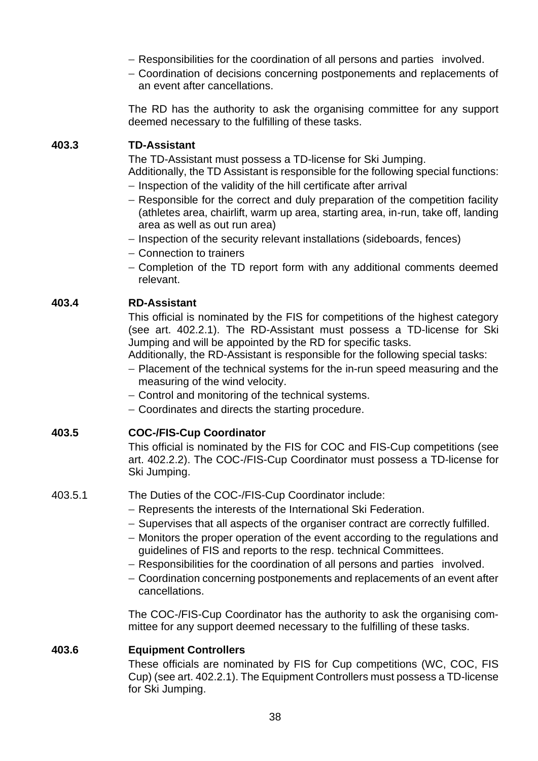- − Responsibilities for the coordination of all persons and parties involved.
- − Coordination of decisions concerning postponements and replacements of an event after cancellations.

The RD has the authority to ask the organising committee for any support deemed necessary to the fulfilling of these tasks.

### **403.3 TD-Assistant**

The TD-Assistant must possess a TD-license for Ski Jumping.

- Additionally, the TD Assistant is responsible for the following special functions: − Inspection of the validity of the hill certificate after arrival
- − Responsible for the correct and duly preparation of the competition facility (athletes area, chairlift, warm up area, starting area, in-run, take off, landing area as well as out run area)
- − Inspection of the security relevant installations (sideboards, fences)
- − Connection to trainers
- − Completion of the TD report form with any additional comments deemed relevant.

### **403.4 RD-Assistant**

This official is nominated by the FIS for competitions of the highest category (see art. 402.2.1). The RD-Assistant must possess a TD-license for Ski Jumping and will be appointed by the RD for specific tasks.

Additionally, the RD-Assistant is responsible for the following special tasks:

- − Placement of the technical systems for the in-run speed measuring and the measuring of the wind velocity.
- − Control and monitoring of the technical systems.
- − Coordinates and directs the starting procedure.

### **403.5 COC-/FIS-Cup Coordinator**

This official is nominated by the FIS for COC and FIS-Cup competitions (see art. 402.2.2). The COC-/FIS-Cup Coordinator must possess a TD-license for Ski Jumping.

403.5.1 The Duties of the COC-/FIS-Cup Coordinator include:

- − Represents the interests of the International Ski Federation.
- − Supervises that all aspects of the organiser contract are correctly fulfilled.
- − Monitors the proper operation of the event according to the regulations and guidelines of FIS and reports to the resp. technical Committees.
- − Responsibilities for the coordination of all persons and parties involved.
- − Coordination concerning postponements and replacements of an event after cancellations.

The COC-/FIS-Cup Coordinator has the authority to ask the organising committee for any support deemed necessary to the fulfilling of these tasks.

### **403.6 Equipment Controllers**

These officials are nominated by FIS for Cup competitions (WC, COC, FIS Cup) (see art. 402.2.1). The Equipment Controllers must possess a TD-license for Ski Jumping.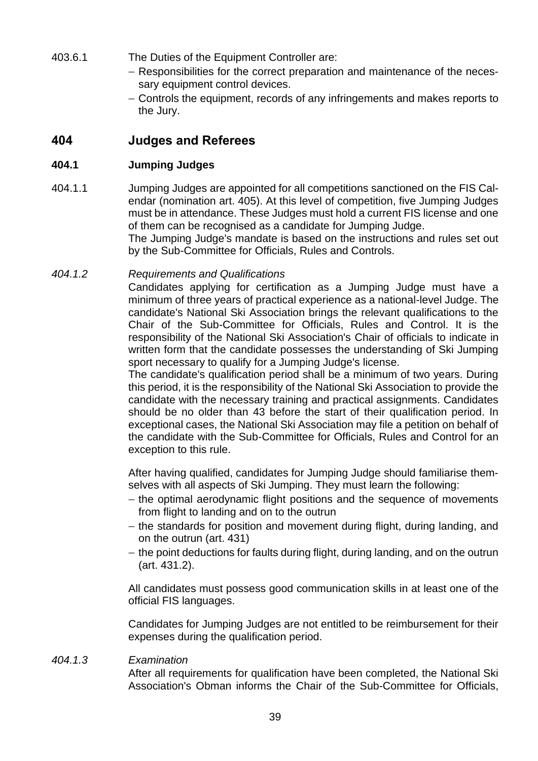- 403.6.1 The Duties of the Equipment Controller are:
	- − Responsibilities for the correct preparation and maintenance of the necessary equipment control devices.
	- − Controls the equipment, records of any infringements and makes reports to the Jury.

## **404 Judges and Referees**

### **404.1 Jumping Judges**

404.1.1 Jumping Judges are appointed for all competitions sanctioned on the FIS Calendar (nomination art. 405). At this level of competition, five Jumping Judges must be in attendance. These Judges must hold a current FIS license and one of them can be recognised as a candidate for Jumping Judge. The Jumping Judge's mandate is based on the instructions and rules set out by the Sub-Committee for Officials, Rules and Controls.

### *404.1.2 Requirements and Qualifications*

Candidates applying for certification as a Jumping Judge must have a minimum of three years of practical experience as a national-level Judge. The candidate's National Ski Association brings the relevant qualifications to the Chair of the Sub-Committee for Officials, Rules and Control. It is the responsibility of the National Ski Association's Chair of officials to indicate in written form that the candidate possesses the understanding of Ski Jumping sport necessary to qualify for a Jumping Judge's license.

The candidate's qualification period shall be a minimum of two years. During this period, it is the responsibility of the National Ski Association to provide the candidate with the necessary training and practical assignments. Candidates should be no older than 43 before the start of their qualification period. In exceptional cases, the National Ski Association may file a petition on behalf of the candidate with the Sub-Committee for Officials, Rules and Control for an exception to this rule.

After having qualified, candidates for Jumping Judge should familiarise themselves with all aspects of Ski Jumping. They must learn the following:

- − the optimal aerodynamic flight positions and the sequence of movements from flight to landing and on to the outrun
- − the standards for position and movement during flight, during landing, and on the outrun (art. 431)
- − the point deductions for faults during flight, during landing, and on the outrun (art. 431.2).

All candidates must possess good communication skills in at least one of the official FIS languages.

Candidates for Jumping Judges are not entitled to be reimbursement for their expenses during the qualification period.

#### *404.1.3 Examination*

After all requirements for qualification have been completed, the National Ski Association's Obman informs the Chair of the Sub-Committee for Officials,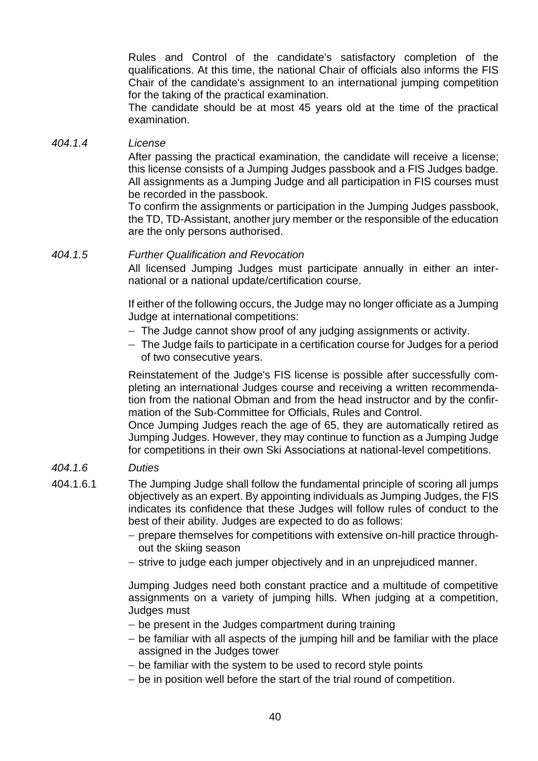Rules and Control of the candidate's satisfactory completion of the qualifications. At this time, the national Chair of officials also informs the FIS Chair of the candidate's assignment to an international jumping competition for the taking of the practical examination.

The candidate should be at most 45 years old at the time of the practical examination.

### *404.1.4 License*

After passing the practical examination, the candidate will receive a license; this license consists of a Jumping Judges passbook and a FIS Judges badge. All assignments as a Jumping Judge and all participation in FIS courses must be recorded in the passbook.

To confirm the assignments or participation in the Jumping Judges passbook, the TD, TD-Assistant, another jury member or the responsible of the education are the only persons authorised.

### *404.1.5 Further Qualification and Revocation*

All licensed Jumping Judges must participate annually in either an international or a national update/certification course.

If either of the following occurs, the Judge may no longer officiate as a Jumping Judge at international competitions:

- − The Judge cannot show proof of any judging assignments or activity.
- − The Judge fails to participate in a certification course for Judges for a period of two consecutive years.

Reinstatement of the Judge's FIS license is possible after successfully completing an international Judges course and receiving a written recommendation from the national Obman and from the head instructor and by the confirmation of the Sub-Committee for Officials, Rules and Control.

Once Jumping Judges reach the age of 65, they are automatically retired as Jumping Judges. However, they may continue to function as a Jumping Judge for competitions in their own Ski Associations at national-level competitions.

### *404.1.6 Duties*

- 404.1.6.1 The Jumping Judge shall follow the fundamental principle of scoring all jumps objectively as an expert. By appointing individuals as Jumping Judges, the FIS indicates its confidence that these Judges will follow rules of conduct to the best of their ability. Judges are expected to do as follows:
	- − prepare themselves for competitions with extensive on-hill practice throughout the skiing season
	- − strive to judge each jumper objectively and in an unprejudiced manner.

Jumping Judges need both constant practice and a multitude of competitive assignments on a variety of jumping hills. When judging at a competition, Judges must

- − be present in the Judges compartment during training
- − be familiar with all aspects of the jumping hill and be familiar with the place assigned in the Judges tower
- − be familiar with the system to be used to record style points
- − be in position well before the start of the trial round of competition.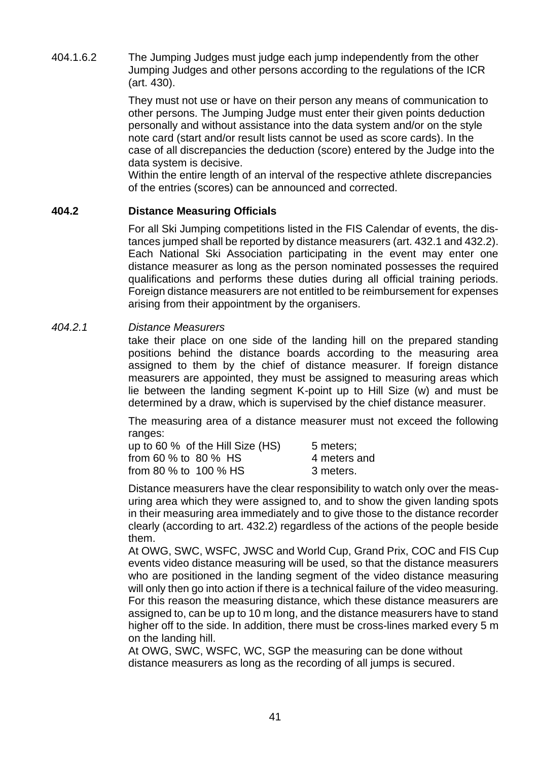404.1.6.2 The Jumping Judges must judge each jump independently from the other Jumping Judges and other persons according to the regulations of the ICR (art. 430).

> They must not use or have on their person any means of communication to other persons. The Jumping Judge must enter their given points deduction personally and without assistance into the data system and/or on the style note card (start and/or result lists cannot be used as score cards). In the case of all discrepancies the deduction (score) entered by the Judge into the data system is decisive.

> Within the entire length of an interval of the respective athlete discrepancies of the entries (scores) can be announced and corrected.

### **404.2 Distance Measuring Officials**

For all Ski Jumping competitions listed in the FIS Calendar of events, the distances jumped shall be reported by distance measurers (art. 432.1 and 432.2). Each National Ski Association participating in the event may enter one distance measurer as long as the person nominated possesses the required qualifications and performs these duties during all official training periods. Foreign distance measurers are not entitled to be reimbursement for expenses arising from their appointment by the organisers.

### *404.2.1 Distance Measurers*

take their place on one side of the landing hill on the prepared standing positions behind the distance boards according to the measuring area assigned to them by the chief of distance measurer. If foreign distance measurers are appointed, they must be assigned to measuring areas which lie between the landing segment K-point up to Hill Size (w) and must be determined by a draw, which is supervised by the chief distance measurer.

The measuring area of a distance measurer must not exceed the following ranges:

| up to 60 % of the Hill Size (HS) | 5 meters;    |
|----------------------------------|--------------|
| from 60 % to 80 % HS             | 4 meters and |
| from 80 % to 100 % HS            | 3 meters.    |

Distance measurers have the clear responsibility to watch only over the measuring area which they were assigned to, and to show the given landing spots in their measuring area immediately and to give those to the distance recorder clearly (according to art. 432.2) regardless of the actions of the people beside them.

At OWG, SWC, WSFC, JWSC and World Cup, Grand Prix, COC and FIS Cup events video distance measuring will be used, so that the distance measurers who are positioned in the landing segment of the video distance measuring will only then go into action if there is a technical failure of the video measuring. For this reason the measuring distance, which these distance measurers are assigned to, can be up to 10 m long, and the distance measurers have to stand higher off to the side. In addition, there must be cross-lines marked every 5 m on the landing hill.

At OWG, SWC, WSFC, WC, SGP the measuring can be done without distance measurers as long as the recording of all jumps is secured.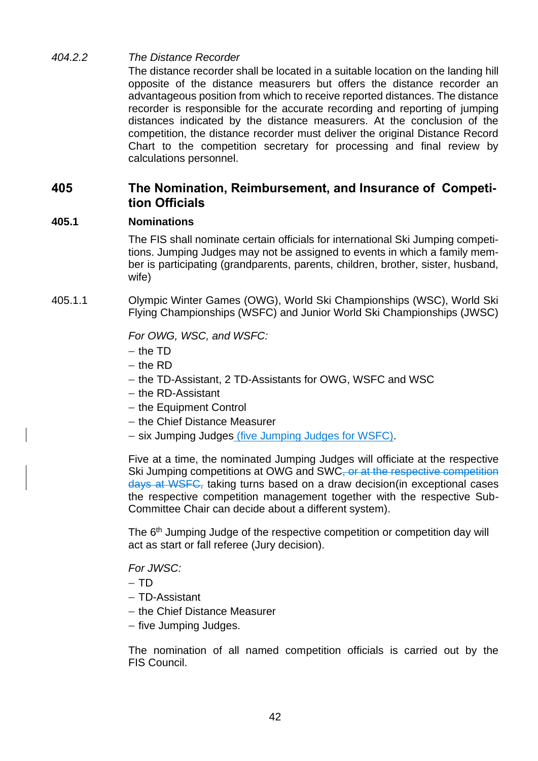### *404.2.2 The Distance Recorder*

The distance recorder shall be located in a suitable location on the landing hill opposite of the distance measurers but offers the distance recorder an advantageous position from which to receive reported distances. The distance recorder is responsible for the accurate recording and reporting of jumping distances indicated by the distance measurers. At the conclusion of the competition, the distance recorder must deliver the original Distance Record Chart to the competition secretary for processing and final review by calculations personnel.

## **405 The Nomination, Reimbursement, and Insurance of Competition Officials**

### **405.1 Nominations**

The FIS shall nominate certain officials for international Ski Jumping competitions. Jumping Judges may not be assigned to events in which a family member is participating (grandparents, parents, children, brother, sister, husband, wife)

405.1.1 Olympic Winter Games (OWG), World Ski Championships (WSC), World Ski Flying Championships (WSFC) and Junior World Ski Championships (JWSC)

*For OWG, WSC, and WSFC:*

- − the TD
- − the RD
- − the TD-Assistant, 2 TD-Assistants for OWG, WSFC and WSC
- − the RD-Assistant
- − the Equipment Control
- − the Chief Distance Measurer
- − six Jumping Judges (five Jumping Judges for WSFC).

Five at a time, the nominated Jumping Judges will officiate at the respective Ski Jumping competitions at OWG and SWC<del>, or at the respective competition</del> days at WSFC, taking turns based on a draw decision(in exceptional cases the respective competition management together with the respective Sub-Committee Chair can decide about a different system).

The 6<sup>th</sup> Jumping Judge of the respective competition or competition day will act as start or fall referee (Jury decision).

*For JWSC:*

− TD

- − TD-Assistant
- − the Chief Distance Measurer
- − five Jumping Judges.

The nomination of all named competition officials is carried out by the FIS Council.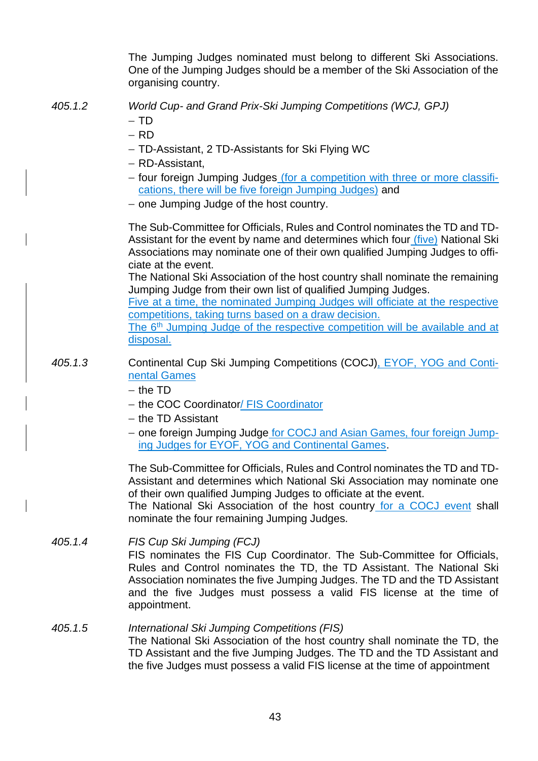|         | The Jumping Judges nominated must belong to different Ski Associations.<br>One of the Jumping Judges should be a member of the Ski Association of the<br>organising country.                                                                                                                                                                                                                      |
|---------|---------------------------------------------------------------------------------------------------------------------------------------------------------------------------------------------------------------------------------------------------------------------------------------------------------------------------------------------------------------------------------------------------|
| 405.1.2 | World Cup- and Grand Prix-Ski Jumping Competitions (WCJ, GPJ)<br>$-$ TD<br>$-$ RD                                                                                                                                                                                                                                                                                                                 |
|         | - TD-Assistant, 2 TD-Assistants for Ski Flying WC<br>- RD-Assistant,<br>- four foreign Jumping Judges (for a competition with three or more classifi-<br>cations, there will be five foreign Jumping Judges) and<br>- one Jumping Judge of the host country.                                                                                                                                      |
|         | The Sub-Committee for Officials, Rules and Control nominates the TD and TD-<br>Assistant for the event by name and determines which four (five) National Ski<br>Associations may nominate one of their own qualified Jumping Judges to offi-<br>ciate at the event.                                                                                                                               |
|         | The National Ski Association of the host country shall nominate the remaining<br>Jumping Judge from their own list of qualified Jumping Judges.<br>Five at a time, the nominated Jumping Judges will officiate at the respective<br>competitions, taking turns based on a draw decision.<br>The 6 <sup>th</sup> Jumping Judge of the respective competition will be available and at<br>disposal. |
| 405.1.3 | Continental Cup Ski Jumping Competitions (COCJ), EYOF, YOG and Conti-<br>nental Games<br>$-$ the TD<br>- the COC Coordinator/ FIS Coordinator<br>$-$ the TD Assistant                                                                                                                                                                                                                             |
|         | - one foreign Jumping Judge for COCJ and Asian Games, four foreign Jump-<br>ing Judges for EYOF, YOG and Continental Games.                                                                                                                                                                                                                                                                       |
|         | The Sub-Committee for Officials, Rules and Control nominates the TD and TD-<br>Assistant and determines which National Ski Association may nominate one<br>of their own qualified Jumping Judges to officiate at the event.<br>The National Ski Association of the host country for a COCJ event shall<br>nominate the four remaining Jumping Judges.                                             |
| 405.1.4 | FIS Cup Ski Jumping (FCJ)<br>FIS nominates the FIS Cup Coordinator. The Sub-Committee for Officials,<br>Rules and Control nominates the TD, the TD Assistant. The National Ski<br>Association nominates the five Jumping Judges. The TD and the TD Assistant<br>and the five Judges must possess a valid FIS license at the time of<br>appointment.                                               |
| 405.1.5 | International Ski Jumping Competitions (FIS)<br>The National Ski Association of the host country shall nominate the TD, the<br>TD Assistant and the five Jumping Judges. The TD and the TD Assistant and<br>the five Judges must possess a valid FIS license at the time of appointment                                                                                                           |

 $\overline{\phantom{a}}$ 

 $\begin{array}{c} \rule{0pt}{2.5ex} \rule{0pt}{2.5ex} \rule{0pt}{2.5ex} \rule{0pt}{2.5ex} \rule{0pt}{2.5ex} \rule{0pt}{2.5ex} \rule{0pt}{2.5ex} \rule{0pt}{2.5ex} \rule{0pt}{2.5ex} \rule{0pt}{2.5ex} \rule{0pt}{2.5ex} \rule{0pt}{2.5ex} \rule{0pt}{2.5ex} \rule{0pt}{2.5ex} \rule{0pt}{2.5ex} \rule{0pt}{2.5ex} \rule{0pt}{2.5ex} \rule{0pt}{2.5ex} \rule{0pt}{2.5ex} \rule{0$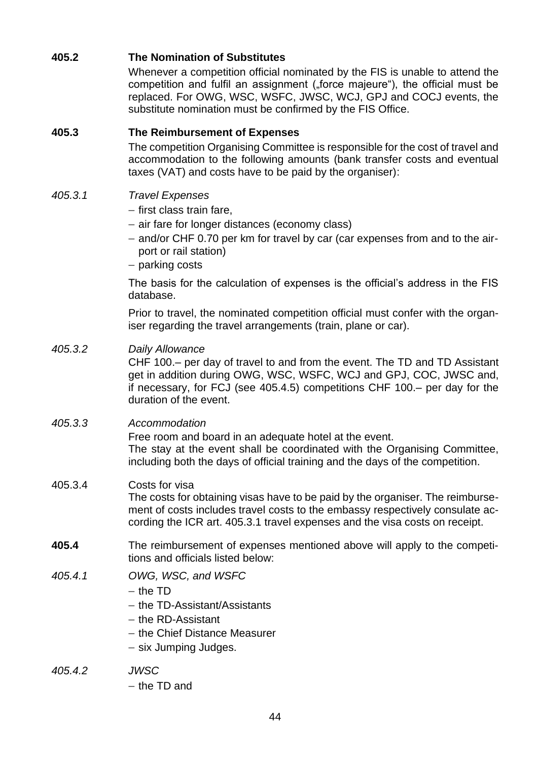### **405.2 The Nomination of Substitutes**

Whenever a competition official nominated by the FIS is unable to attend the competition and fulfil an assignment ("force majeure"), the official must be replaced. For OWG, WSC, WSFC, JWSC, WCJ, GPJ and COCJ events, the substitute nomination must be confirmed by the FIS Office.

### **405.3 The Reimbursement of Expenses**

The competition Organising Committee is responsible for the cost of travel and accommodation to the following amounts (bank transfer costs and eventual taxes (VAT) and costs have to be paid by the organiser):

### *405.3.1 Travel Expenses*

- − first class train fare,
- − air fare for longer distances (economy class)
- − and/or CHF 0.70 per km for travel by car (car expenses from and to the airport or rail station)
- − parking costs

The basis for the calculation of expenses is the official's address in the FIS database.

Prior to travel, the nominated competition official must confer with the organiser regarding the travel arrangements (train, plane or car).

### *405.3.2 Daily Allowance*

CHF 100.– per day of travel to and from the event. The TD and TD Assistant get in addition during OWG, WSC, WSFC, WCJ and GPJ, COC, JWSC and, if necessary, for FCJ (see 405.4.5) competitions CHF 100.– per day for the duration of the event.

### *405.3.3 Accommodation*

Free room and board in an adequate hotel at the event. The stay at the event shall be coordinated with the Organising Committee, including both the days of official training and the days of the competition.

### 405.3.4 Costs for visa

The costs for obtaining visas have to be paid by the organiser. The reimbursement of costs includes travel costs to the embassy respectively consulate according the ICR art. 405.3.1 travel expenses and the visa costs on receipt.

- **405.4** The reimbursement of expenses mentioned above will apply to the competitions and officials listed below:
- *405.4.1 OWG, WSC, and WSFC*
	- − the TD
	- − the TD-Assistant/Assistants
	- − the RD-Assistant
	- − the Chief Distance Measurer
	- − six Jumping Judges.
- *405.4.2 JWSC*
	- − the TD and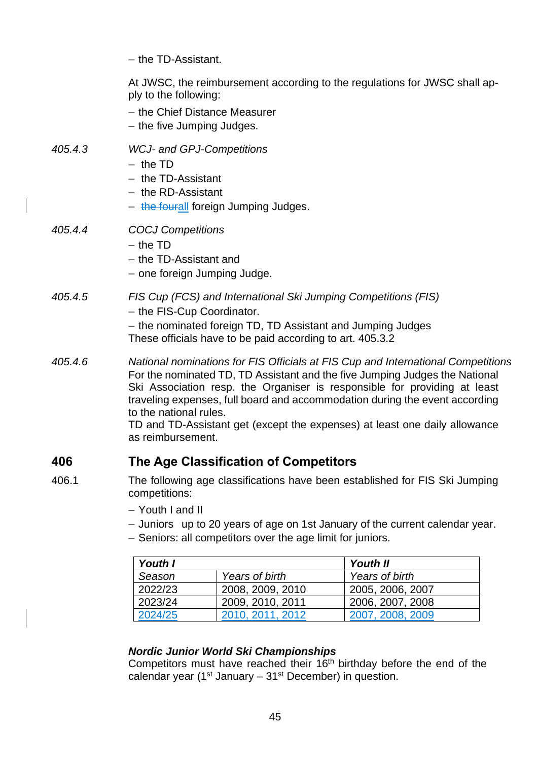|         | - the TD-Assistant.                                                                                                                                                                                                                                                                                                                                                                                                                                      |
|---------|----------------------------------------------------------------------------------------------------------------------------------------------------------------------------------------------------------------------------------------------------------------------------------------------------------------------------------------------------------------------------------------------------------------------------------------------------------|
|         | At JWSC, the reimbursement according to the regulations for JWSC shall ap-<br>ply to the following:<br>- the Chief Distance Measurer<br>- the five Jumping Judges.                                                                                                                                                                                                                                                                                       |
| 405.4.3 | <b>WCJ- and GPJ-Competitions</b><br>$-$ the TD<br>- the TD-Assistant<br>$-$ the RD-Assistant<br>- the fourall foreign Jumping Judges.                                                                                                                                                                                                                                                                                                                    |
| 405.4.4 | <b>COCJ Competitions</b><br>$-$ the TD<br>- the TD-Assistant and<br>- one foreign Jumping Judge.                                                                                                                                                                                                                                                                                                                                                         |
| 405.4.5 | FIS Cup (FCS) and International Ski Jumping Competitions (FIS)<br>- the FIS-Cup Coordinator.<br>- the nominated foreign TD, TD Assistant and Jumping Judges<br>These officials have to be paid according to art. 405.3.2                                                                                                                                                                                                                                 |
| 405.4.6 | National nominations for FIS Officials at FIS Cup and International Competitions<br>For the nominated TD, TD Assistant and the five Jumping Judges the National<br>Ski Association resp. the Organiser is responsible for providing at least<br>traveling expenses, full board and accommodation during the event according<br>to the national rules.<br>TD and TD-Assistant get (except the expenses) at least one daily allowance<br>as reimbursement. |
| 406     | The Age Classification of Competitors                                                                                                                                                                                                                                                                                                                                                                                                                    |
| 406.1   | The following age classifications have been established for FIS Ski Jumping                                                                                                                                                                                                                                                                                                                                                                              |

- 406.1 The following age classifications have been established for FIS Ski Jumping competitions:
	- − Youth I and II
	- − Juniors up to 20 years of age on 1st January of the current calendar year.
	- − Seniors: all competitors over the age limit for juniors.

| Youth I |                  | Youth II         |
|---------|------------------|------------------|
| Season  | Years of birth   | Years of birth   |
| 2022/23 | 2008, 2009, 2010 | 2005, 2006, 2007 |
| 2023/24 | 2009, 2010, 2011 | 2006, 2007, 2008 |
| 2024/25 | 2010, 2011, 2012 | 2007, 2008, 2009 |

## *Nordic Junior World Ski Championships*

Competitors must have reached their  $16<sup>th</sup>$  birthday before the end of the calendar year (1<sup>st</sup> January – 31<sup>st</sup> December) in question.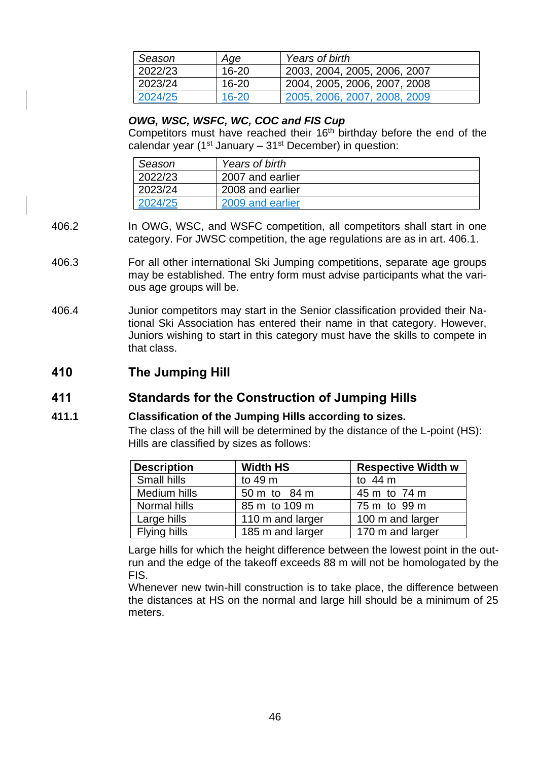| Season  | Age       | Years of birth               |
|---------|-----------|------------------------------|
| 2022/23 | $16 - 20$ | 2003, 2004, 2005, 2006, 2007 |
| 2023/24 | $16 - 20$ | 2004, 2005, 2006, 2007, 2008 |
| 2024/25 | $16 - 20$ | 2005, 2006, 2007, 2008, 2009 |

#### *OWG, WSC, WSFC, WC, COC and FIS Cup*

Competitors must have reached their  $16<sup>th</sup>$  birthday before the end of the calendar year ( $1<sup>st</sup>$  January –  $31<sup>st</sup>$  December) in question:

| Season  | Years of birth   |
|---------|------------------|
| 2022/23 | 2007 and earlier |
| 2023/24 | 2008 and earlier |
| 2024/25 | 2009 and earlier |

- 406.2 In OWG, WSC, and WSFC competition, all competitors shall start in one category. For JWSC competition, the age regulations are as in art. 406.1.
- 406.3 For all other international Ski Jumping competitions, separate age groups may be established. The entry form must advise participants what the various age groups will be.
- 406.4 Junior competitors may start in the Senior classification provided their National Ski Association has entered their name in that category. However, Juniors wishing to start in this category must have the skills to compete in that class.
- **410 The Jumping Hill**

### **411 Standards for the Construction of Jumping Hills**

### **411.1 Classification of the Jumping Hills according to sizes.**

The class of the hill will be determined by the distance of the L-point (HS): Hills are classified by sizes as follows:

| <b>Description</b> | <b>Width HS</b>  | <b>Respective Width w</b> |
|--------------------|------------------|---------------------------|
| Small hills        | to 49 m          | to $44 \text{ m}$         |
| Medium hills       | 50 m to 84 m     | 45 m to 74 m              |
| Normal hills       | 85 m to 109 m    | 75 m to 99 m              |
| Large hills        | 110 m and larger | 100 m and larger          |
| Flying hills       | 185 m and larger | 170 m and larger          |

Large hills for which the height difference between the lowest point in the outrun and the edge of the takeoff exceeds 88 m will not be homologated by the FIS.

Whenever new twin-hill construction is to take place, the difference between the distances at HS on the normal and large hill should be a minimum of 25 meters.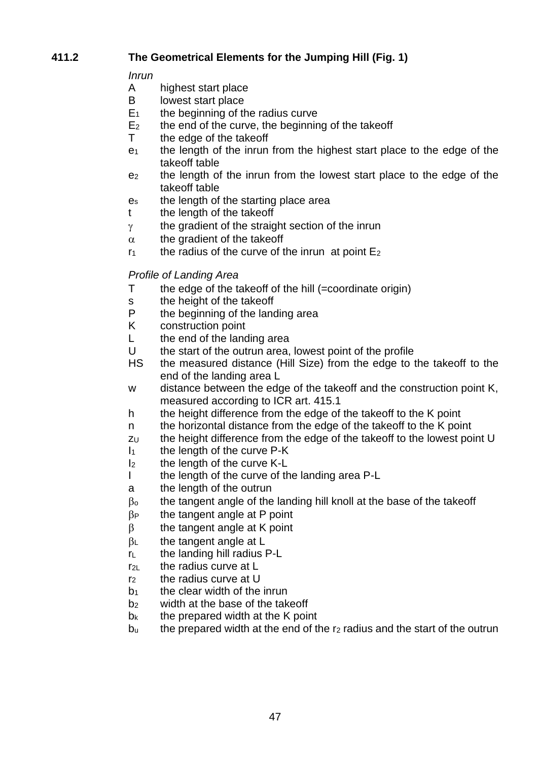## **411.2 The Geometrical Elements for the Jumping Hill (Fig. 1)**

*Inrun*

- highest start place
- B lowest start place
- $E_1$  the beginning of the radius curve
- $E<sub>2</sub>$  the end of the curve, the beginning of the takeoff
- T the edge of the takeoff
- $e_1$  the length of the inrun from the highest start place to the edge of the takeoff table
- e<sup>2</sup> the length of the inrun from the lowest start place to the edge of the takeoff table
- e<sup>s</sup> the length of the starting place area
- t the length of the takeoff
- $\gamma$  the gradient of the straight section of the inrun
- $\alpha$  the gradient of the takeoff
- $r_1$  the radius of the curve of the inrun at point  $E_2$

### *Profile of Landing Area*

- T the edge of the takeoff of the hill (=coordinate origin)
- s the height of the takeoff<br>P the beginning of the land
- the beginning of the landing area
- K construction point
- L the end of the landing area
- U the start of the outrun area, lowest point of the profile
- HS the measured distance (Hill Size) from the edge to the takeoff to the end of the landing area L
- w distance between the edge of the takeoff and the construction point K, measured according to ICR art. 415.1
- h the height difference from the edge of the takeoff to the K point
- n the horizontal distance from the edge of the takeoff to the K point
- $z<sub>U</sub>$  the height difference from the edge of the takeoff to the lowest point U
- $I_1$  the length of the curve P-K
- I<sub>2</sub> the length of the curve K-L
- I the length of the curve of the landing area P-L
- a the length of the outrun
- $\beta$ <sub>o</sub> the tangent angle of the landing hill knoll at the base of the takeoff
- $\beta$  the tangent angle at P point
- $\beta$  the tangent angle at K point
- $\beta$ <sub>L</sub> the tangent angle at L
- $r_{L}$  the landing hill radius P-L
- $r<sub>2</sub>$  the radius curve at L
- r<sub>2</sub> the radius curve at U
- $b_1$  the clear width of the inrun
- b<sub>2</sub> width at the base of the takeoff
- $b_k$  the prepared width at the K point
- $b<sub>u</sub>$  the prepared width at the end of the r<sub>2</sub> radius and the start of the outrun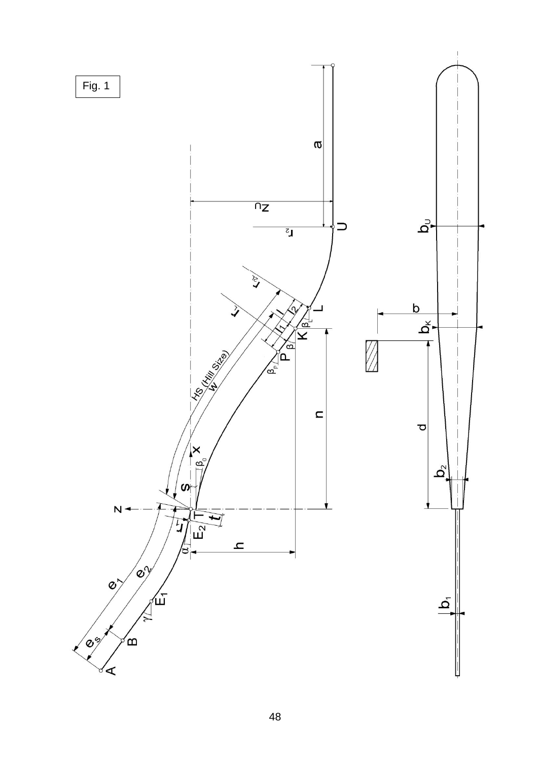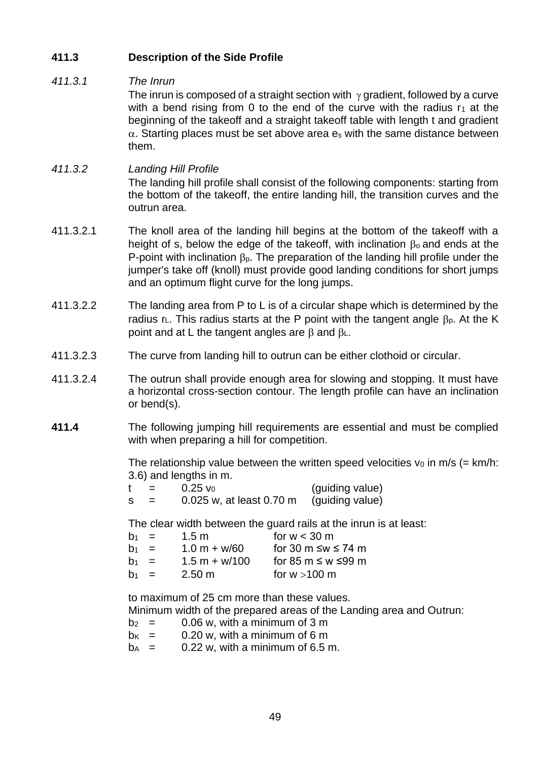## **411.3 Description of the Side Profile**

### *411.3.1 The Inrun*

The inrun is composed of a straight section with  $\gamma$  gradient, followed by a curve with a bend rising from 0 to the end of the curve with the radius  $r_1$  at the beginning of the takeoff and a straight takeoff table with length t and gradient  $\alpha$ . Starting places must be set above area es with the same distance between them.

### *411.3.2 Landing Hill Profile*

The landing hill profile shall consist of the following components: starting from the bottom of the takeoff, the entire landing hill, the transition curves and the outrun area.

- 411.3.2.1 The knoll area of the landing hill begins at the bottom of the takeoff with a height of s, below the edge of the takeoff, with inclination  $\beta_0$  and ends at the P-point with inclination  $\beta_{p}$ . The preparation of the landing hill profile under the jumper's take off (knoll) must provide good landing conditions for short jumps and an optimum flight curve for the long jumps.
- 411.3.2.2 The landing area from P to L is of a circular shape which is determined by the radius r<sub>L</sub>. This radius starts at the P point with the tangent angle  $\beta_p$ . At the K point and at L the tangent angles are  $\beta$  and  $\beta$ <sub>L</sub>.
- 411.3.2.3 The curve from landing hill to outrun can be either clothoid or circular.
- 411.3.2.4 The outrun shall provide enough area for slowing and stopping. It must have a horizontal cross-section contour. The length profile can have an inclination or bend(s).
- **411.4** The following jumping hill requirements are essential and must be complied with when preparing a hill for competition.

The relationship value between the written speed velocities  $v_0$  in m/s (= km/h: 3.6) and lengths in m.

 $t = 0.25 v_0$  (guiding value)  $s = 0.025$  w, at least 0.70 m (quiding value)

The clear width between the guard rails at the inrun is at least:

| $h_1 =$ | 1.5 m            | for $w < 30$ m              |
|---------|------------------|-----------------------------|
| $b_1 =$ | $1.0 m + w/60$   | for 30 m $\leq w \leq 74$ m |
| $b_1 =$ | $1.5 m + w/100$  | for 85 m $\leq w \leq 99$ m |
| $b_1 =$ | $2.50 \text{ m}$ | for $w > 100$ m             |

to maximum of 25 cm more than these values. Minimum width of the prepared areas of the Landing area and Outrun:

- $b_2 = 0.06$  w, with a minimum of 3 m
- $b_{K}$  = 0.20 w, with a minimum of 6 m
- $b_A = 0.22$  w, with a minimum of 6.5 m.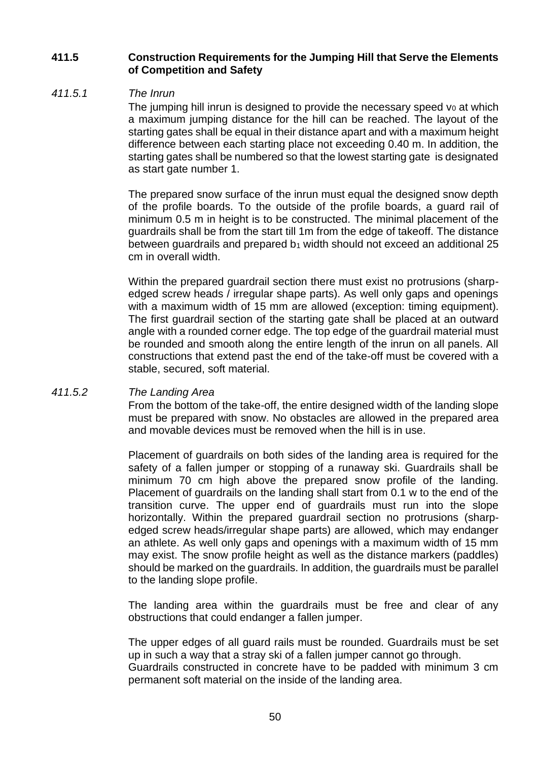### **411.5 Construction Requirements for the Jumping Hill that Serve the Elements of Competition and Safety**

#### *411.5.1 The Inrun*

The jumping hill inrun is designed to provide the necessary speed  $v_0$  at which a maximum jumping distance for the hill can be reached. The layout of the starting gates shall be equal in their distance apart and with a maximum height difference between each starting place not exceeding 0.40 m. In addition, the starting gates shall be numbered so that the lowest starting gate is designated as start gate number 1.

The prepared snow surface of the inrun must equal the designed snow depth of the profile boards. To the outside of the profile boards, a guard rail of minimum 0.5 m in height is to be constructed. The minimal placement of the guardrails shall be from the start till 1m from the edge of takeoff. The distance between guardrails and prepared  $b_1$  width should not exceed an additional 25 cm in overall width.

Within the prepared guardrail section there must exist no protrusions (sharpedged screw heads / irregular shape parts). As well only gaps and openings with a maximum width of 15 mm are allowed (exception: timing equipment). The first guardrail section of the starting gate shall be placed at an outward angle with a rounded corner edge. The top edge of the guardrail material must be rounded and smooth along the entire length of the inrun on all panels. All constructions that extend past the end of the take-off must be covered with a stable, secured, soft material.

#### *411.5.2 The Landing Area*

From the bottom of the take-off, the entire designed width of the landing slope must be prepared with snow. No obstacles are allowed in the prepared area and movable devices must be removed when the hill is in use.

Placement of guardrails on both sides of the landing area is required for the safety of a fallen jumper or stopping of a runaway ski. Guardrails shall be minimum 70 cm high above the prepared snow profile of the landing. Placement of guardrails on the landing shall start from 0.1 w to the end of the transition curve. The upper end of guardrails must run into the slope horizontally. Within the prepared guardrail section no protrusions (sharpedged screw heads/irregular shape parts) are allowed, which may endanger an athlete. As well only gaps and openings with a maximum width of 15 mm may exist. The snow profile height as well as the distance markers (paddles) should be marked on the guardrails. In addition, the guardrails must be parallel to the landing slope profile.

The landing area within the guardrails must be free and clear of any obstructions that could endanger a fallen jumper.

The upper edges of all guard rails must be rounded. Guardrails must be set up in such a way that a stray ski of a fallen jumper cannot go through.

Guardrails constructed in concrete have to be padded with minimum 3 cm permanent soft material on the inside of the landing area.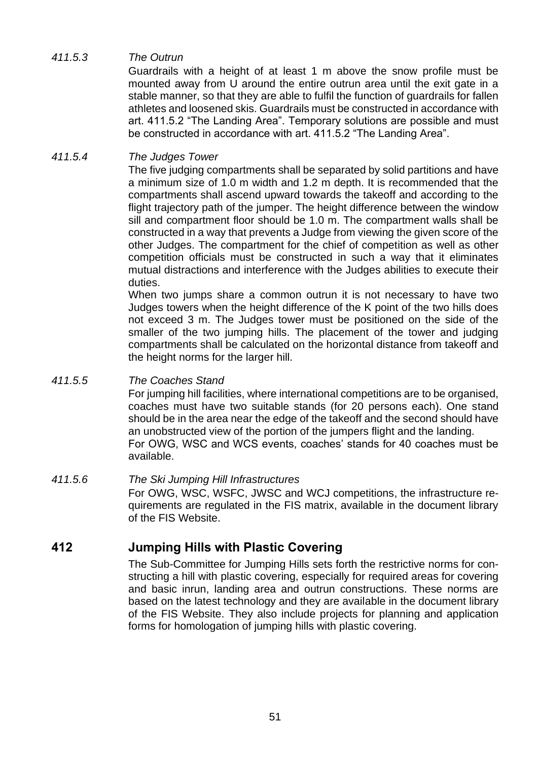### *411.5.3 The Outrun*

Guardrails with a height of at least 1 m above the snow profile must be mounted away from U around the entire outrun area until the exit gate in a stable manner, so that they are able to fulfil the function of guardrails for fallen athletes and loosened skis. Guardrails must be constructed in accordance with art. 411.5.2 "The Landing Area". Temporary solutions are possible and must be constructed in accordance with art. 411.5.2 "The Landing Area".

### *411.5.4 The Judges Tower*

The five judging compartments shall be separated by solid partitions and have a minimum size of 1.0 m width and 1.2 m depth. It is recommended that the compartments shall ascend upward towards the takeoff and according to the flight trajectory path of the jumper. The height difference between the window sill and compartment floor should be 1.0 m. The compartment walls shall be constructed in a way that prevents a Judge from viewing the given score of the other Judges. The compartment for the chief of competition as well as other competition officials must be constructed in such a way that it eliminates mutual distractions and interference with the Judges abilities to execute their duties.

When two jumps share a common outrun it is not necessary to have two Judges towers when the height difference of the K point of the two hills does not exceed 3 m. The Judges tower must be positioned on the side of the smaller of the two jumping hills. The placement of the tower and judging compartments shall be calculated on the horizontal distance from takeoff and the height norms for the larger hill.

### *411.5.5 The Coaches Stand*

For jumping hill facilities, where international competitions are to be organised, coaches must have two suitable stands (for 20 persons each). One stand should be in the area near the edge of the takeoff and the second should have an unobstructed view of the portion of the jumpers flight and the landing. For OWG, WSC and WCS events, coaches' stands for 40 coaches must be available.

#### *411.5.6 The Ski Jumping Hill Infrastructures* For OWG, WSC, WSFC, JWSC and WCJ competitions, the infrastructure requirements are regulated in the FIS matrix, available in the document library of the FIS Website.

## **412 Jumping Hills with Plastic Covering**

The Sub-Committee for Jumping Hills sets forth the restrictive norms for constructing a hill with plastic covering, especially for required areas for covering and basic inrun, landing area and outrun constructions. These norms are based on the latest technology and they are available in the document library of the FIS Website. They also include projects for planning and application forms for homologation of jumping hills with plastic covering.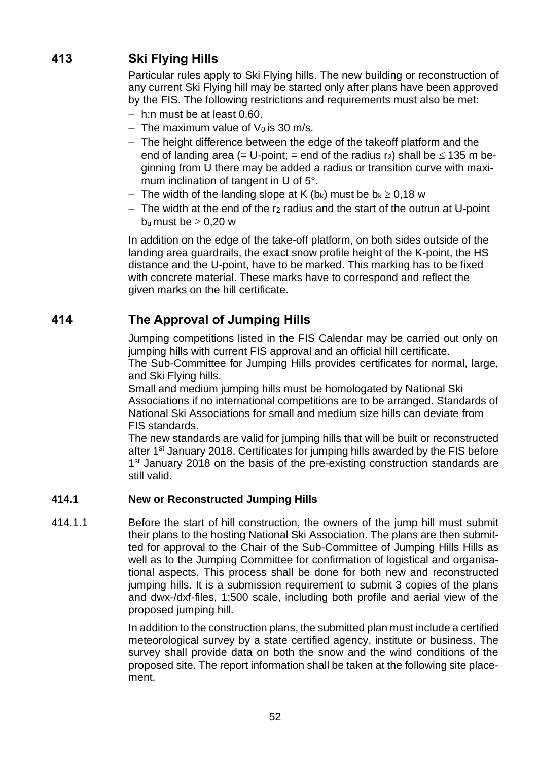# **413 Ski Flying Hills**

Particular rules apply to Ski Flying hills. The new building or reconstruction of any current Ski Flying hill may be started only after plans have been approved by the FIS. The following restrictions and requirements must also be met:

- − h:n must be at least 0.60.
- $-$  The maximum value of V<sub>0</sub> is 30 m/s.
- − The height difference between the edge of the takeoff platform and the end of landing area (= U-point; = end of the radius  $r_2$ ) shall be  $\leq 135$  m beginning from U there may be added a radius or transition curve with maximum inclination of tangent in U of 5°.
- − The width of the landing slope at K (b<sub>k</sub>) must be  $b_k \ge 0.18$  w
- − The width at the end of the r<sup>2</sup> radius and the start of the outrun at U-point  $b_u$  must be  $\geq 0,20$  w

In addition on the edge of the take-off platform, on both sides outside of the landing area guardrails, the exact snow profile height of the K-point, the HS distance and the U-point, have to be marked. This marking has to be fixed with concrete material. These marks have to correspond and reflect the given marks on the hill certificate.

## **414 The Approval of Jumping Hills**

Jumping competitions listed in the FIS Calendar may be carried out only on jumping hills with current FIS approval and an official hill certificate. The Sub-Committee for Jumping Hills provides certificates for normal, large, and Ski Flying hills.

Small and medium jumping hills must be homologated by National Ski Associations if no international competitions are to be arranged. Standards of National Ski Associations for small and medium size hills can deviate from FIS standards.

The new standards are valid for jumping hills that will be built or reconstructed after 1st January 2018. Certificates for jumping hills awarded by the FIS before 1<sup>st</sup> January 2018 on the basis of the pre-existing construction standards are still valid.

### **414.1 New or Reconstructed Jumping Hills**

414.1.1 Before the start of hill construction, the owners of the jump hill must submit their plans to the hosting National Ski Association. The plans are then submitted for approval to the Chair of the Sub-Committee of Jumping Hills Hills as well as to the Jumping Committee for confirmation of logistical and organisational aspects. This process shall be done for both new and reconstructed jumping hills. It is a submission requirement to submit 3 copies of the plans and dwx-/dxf-files, 1:500 scale, including both profile and aerial view of the proposed jumping hill.

> In addition to the construction plans, the submitted plan must include a certified meteorological survey by a state certified agency, institute or business. The survey shall provide data on both the snow and the wind conditions of the proposed site. The report information shall be taken at the following site placement.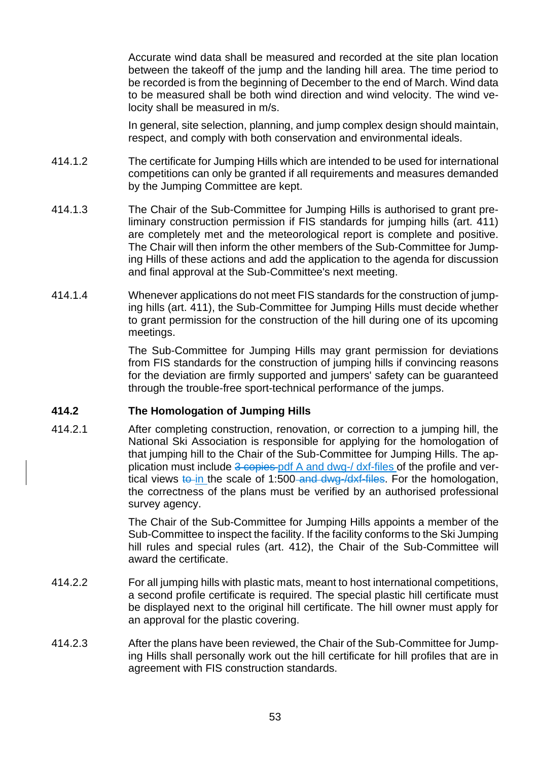Accurate wind data shall be measured and recorded at the site plan location between the takeoff of the jump and the landing hill area. The time period to be recorded is from the beginning of December to the end of March. Wind data to be measured shall be both wind direction and wind velocity. The wind velocity shall be measured in m/s.

In general, site selection, planning, and jump complex design should maintain, respect, and comply with both conservation and environmental ideals.

- 414.1.2 The certificate for Jumping Hills which are intended to be used for international competitions can only be granted if all requirements and measures demanded by the Jumping Committee are kept.
- 414.1.3 The Chair of the Sub-Committee for Jumping Hills is authorised to grant preliminary construction permission if FIS standards for jumping hills (art. 411) are completely met and the meteorological report is complete and positive. The Chair will then inform the other members of the Sub-Committee for Jumping Hills of these actions and add the application to the agenda for discussion and final approval at the Sub-Committee's next meeting.
- 414.1.4 Whenever applications do not meet FIS standards for the construction of jumping hills (art. 411), the Sub-Committee for Jumping Hills must decide whether to grant permission for the construction of the hill during one of its upcoming meetings.

The Sub-Committee for Jumping Hills may grant permission for deviations from FIS standards for the construction of jumping hills if convincing reasons for the deviation are firmly supported and jumpers' safety can be guaranteed through the trouble-free sport-technical performance of the jumps.

### **414.2 The Homologation of Jumping Hills**

414.2.1 After completing construction, renovation, or correction to a jumping hill, the National Ski Association is responsible for applying for the homologation of that jumping hill to the Chair of the Sub-Committee for Jumping Hills. The application must include 3 copies pdf A and dwg-/ dxf-files of the profile and vertical views to in the scale of 1:500-and dwg- $\frac{dx}{dt}$ -files. For the homologation, the correctness of the plans must be verified by an authorised professional survey agency.

> The Chair of the Sub-Committee for Jumping Hills appoints a member of the Sub-Committee to inspect the facility. If the facility conforms to the Ski Jumping hill rules and special rules (art. 412), the Chair of the Sub-Committee will award the certificate.

- 414.2.2 For all jumping hills with plastic mats, meant to host international competitions, a second profile certificate is required. The special plastic hill certificate must be displayed next to the original hill certificate. The hill owner must apply for an approval for the plastic covering.
- 414.2.3 After the plans have been reviewed, the Chair of the Sub-Committee for Jumping Hills shall personally work out the hill certificate for hill profiles that are in agreement with FIS construction standards.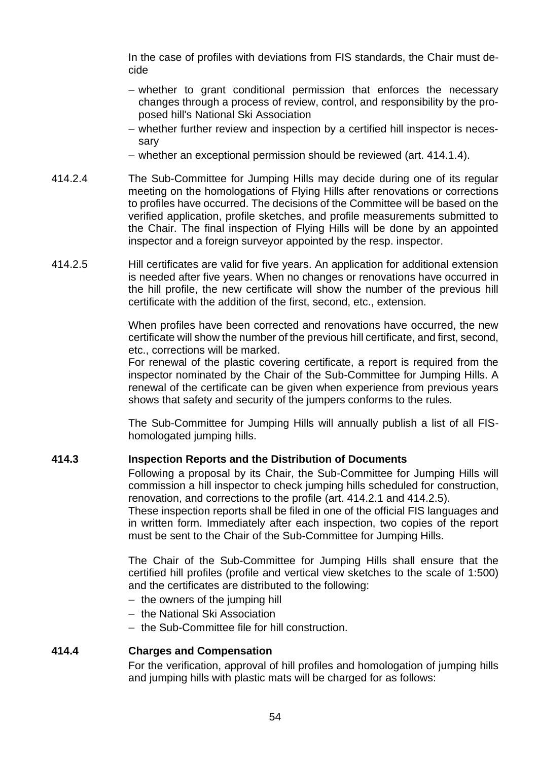In the case of profiles with deviations from FIS standards, the Chair must decide

- − whether to grant conditional permission that enforces the necessary changes through a process of review, control, and responsibility by the proposed hill's National Ski Association
- − whether further review and inspection by a certified hill inspector is necessary
- − whether an exceptional permission should be reviewed (art. 414.1.4).
- 414.2.4 The Sub-Committee for Jumping Hills may decide during one of its regular meeting on the homologations of Flying Hills after renovations or corrections to profiles have occurred. The decisions of the Committee will be based on the verified application, profile sketches, and profile measurements submitted to the Chair. The final inspection of Flying Hills will be done by an appointed inspector and a foreign surveyor appointed by the resp. inspector.
- 414.2.5 Hill certificates are valid for five years. An application for additional extension is needed after five years. When no changes or renovations have occurred in the hill profile, the new certificate will show the number of the previous hill certificate with the addition of the first, second, etc., extension.

When profiles have been corrected and renovations have occurred, the new certificate will show the number of the previous hill certificate, and first, second, etc., corrections will be marked.

For renewal of the plastic covering certificate, a report is required from the inspector nominated by the Chair of the Sub-Committee for Jumping Hills. A renewal of the certificate can be given when experience from previous years shows that safety and security of the jumpers conforms to the rules.

The Sub-Committee for Jumping Hills will annually publish a list of all FIShomologated jumping hills.

### **414.3 Inspection Reports and the Distribution of Documents**

Following a proposal by its Chair, the Sub-Committee for Jumping Hills will commission a hill inspector to check jumping hills scheduled for construction, renovation, and corrections to the profile (art. 414.2.1 and 414.2.5).

These inspection reports shall be filed in one of the official FIS languages and in written form. Immediately after each inspection, two copies of the report must be sent to the Chair of the Sub-Committee for Jumping Hills.

The Chair of the Sub-Committee for Jumping Hills shall ensure that the certified hill profiles (profile and vertical view sketches to the scale of 1:500) and the certificates are distributed to the following:

- − the owners of the jumping hill
- − the National Ski Association
- − the Sub-Committee file for hill construction.

### **414.4 Charges and Compensation**

For the verification, approval of hill profiles and homologation of jumping hills and jumping hills with plastic mats will be charged for as follows: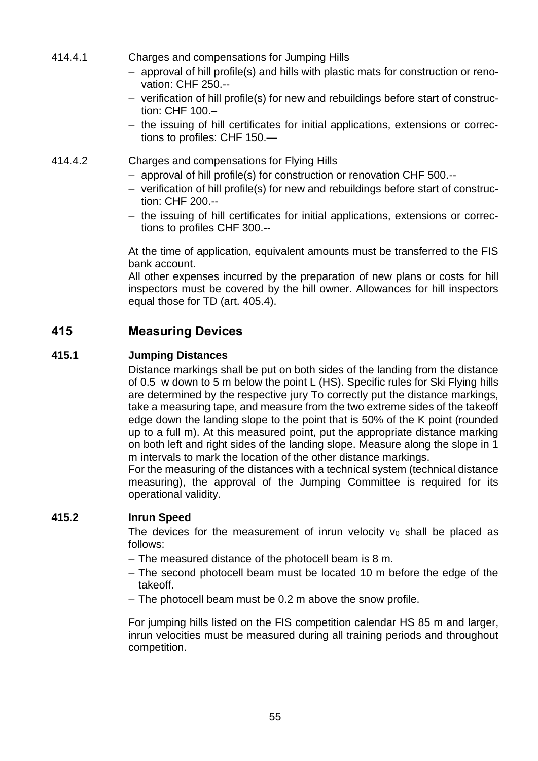- 414.4.1 Charges and compensations for Jumping Hills
	- − approval of hill profile(s) and hills with plastic mats for construction or renovation: CHF 250.--
	- − verification of hill profile(s) for new and rebuildings before start of construction: CHF 100.–
	- − the issuing of hill certificates for initial applications, extensions or corrections to profiles: CHF 150.—
- 414.4.2 Charges and compensations for Flying Hills
	- − approval of hill profile(s) for construction or renovation CHF 500.--
	- − verification of hill profile(s) for new and rebuildings before start of construction: CHF 200.--
	- − the issuing of hill certificates for initial applications, extensions or corrections to profiles CHF 300.--

At the time of application, equivalent amounts must be transferred to the FIS bank account.

All other expenses incurred by the preparation of new plans or costs for hill inspectors must be covered by the hill owner. Allowances for hill inspectors equal those for TD (art. 405.4).

# **415 Measuring Devices**

### **415.1 Jumping Distances**

Distance markings shall be put on both sides of the landing from the distance of 0.5 w down to 5 m below the point L (HS). Specific rules for Ski Flying hills are determined by the respective jury To correctly put the distance markings, take a measuring tape, and measure from the two extreme sides of the takeoff edge down the landing slope to the point that is 50% of the K point (rounded up to a full m). At this measured point, put the appropriate distance marking on both left and right sides of the landing slope. Measure along the slope in 1 m intervals to mark the location of the other distance markings.

For the measuring of the distances with a technical system (technical distance measuring), the approval of the Jumping Committee is required for its operational validity.

### **415.2 Inrun Speed**

The devices for the measurement of inrun velocity  $v_0$  shall be placed as follows:

- − The measured distance of the photocell beam is 8 m.
- − The second photocell beam must be located 10 m before the edge of the takeoff.
- − The photocell beam must be 0.2 m above the snow profile.

For jumping hills listed on the FIS competition calendar HS 85 m and larger, inrun velocities must be measured during all training periods and throughout competition.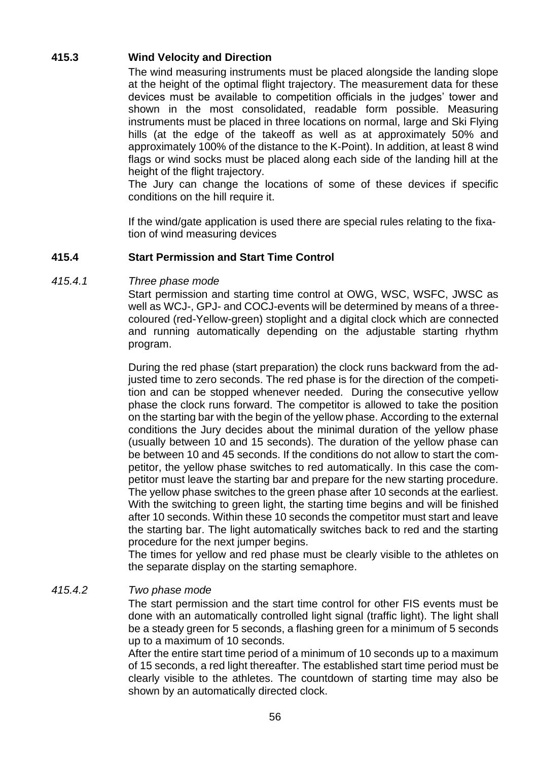### **415.3 Wind Velocity and Direction**

The wind measuring instruments must be placed alongside the landing slope at the height of the optimal flight trajectory. The measurement data for these devices must be available to competition officials in the judges' tower and shown in the most consolidated, readable form possible. Measuring instruments must be placed in three locations on normal, large and Ski Flying hills (at the edge of the takeoff as well as at approximately 50% and approximately 100% of the distance to the K-Point). In addition, at least 8 wind flags or wind socks must be placed along each side of the landing hill at the height of the flight trajectory.

The Jury can change the locations of some of these devices if specific conditions on the hill require it.

If the wind/gate application is used there are special rules relating to the fixation of wind measuring devices

### **415.4 Start Permission and Start Time Control**

### *415.4.1 Three phase mode*

Start permission and starting time control at OWG, WSC, WSFC, JWSC as well as WCJ-, GPJ- and COCJ-events will be determined by means of a threecoloured (red-Yellow-green) stoplight and a digital clock which are connected and running automatically depending on the adjustable starting rhythm program.

During the red phase (start preparation) the clock runs backward from the adjusted time to zero seconds. The red phase is for the direction of the competition and can be stopped whenever needed. During the consecutive yellow phase the clock runs forward. The competitor is allowed to take the position on the starting bar with the begin of the yellow phase. According to the external conditions the Jury decides about the minimal duration of the yellow phase (usually between 10 and 15 seconds). The duration of the yellow phase can be between 10 and 45 seconds. If the conditions do not allow to start the competitor, the yellow phase switches to red automatically. In this case the competitor must leave the starting bar and prepare for the new starting procedure. The yellow phase switches to the green phase after 10 seconds at the earliest. With the switching to green light, the starting time begins and will be finished after 10 seconds. Within these 10 seconds the competitor must start and leave the starting bar. The light automatically switches back to red and the starting procedure for the next jumper begins.

The times for yellow and red phase must be clearly visible to the athletes on the separate display on the starting semaphore.

### *415.4.2 Two phase mode*

The start permission and the start time control for other FIS events must be done with an automatically controlled light signal (traffic light). The light shall be a steady green for 5 seconds, a flashing green for a minimum of 5 seconds up to a maximum of 10 seconds.

After the entire start time period of a minimum of 10 seconds up to a maximum of 15 seconds, a red light thereafter. The established start time period must be clearly visible to the athletes. The countdown of starting time may also be shown by an automatically directed clock.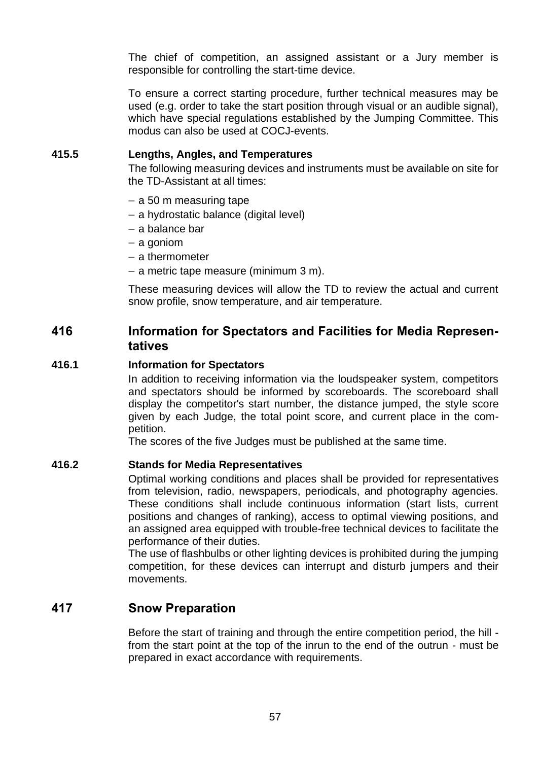The chief of competition, an assigned assistant or a Jury member is responsible for controlling the start-time device.

To ensure a correct starting procedure, further technical measures may be used (e.g. order to take the start position through visual or an audible signal), which have special regulations established by the Jumping Committee. This modus can also be used at COCJ-events.

### **415.5 Lengths, Angles, and Temperatures**

The following measuring devices and instruments must be available on site for the TD-Assistant at all times:

- − a 50 m measuring tape
- − a hydrostatic balance (digital level)
- − a balance bar
- − a goniom
- − a thermometer
- − a metric tape measure (minimum 3 m).

These measuring devices will allow the TD to review the actual and current snow profile, snow temperature, and air temperature.

## **416 Information for Spectators and Facilities for Media Representatives**

#### **416.1 Information for Spectators**

In addition to receiving information via the loudspeaker system, competitors and spectators should be informed by scoreboards. The scoreboard shall display the competitor's start number, the distance jumped, the style score given by each Judge, the total point score, and current place in the competition.

The scores of the five Judges must be published at the same time.

#### **416.2 Stands for Media Representatives**

Optimal working conditions and places shall be provided for representatives from television, radio, newspapers, periodicals, and photography agencies. These conditions shall include continuous information (start lists, current positions and changes of ranking), access to optimal viewing positions, and an assigned area equipped with trouble-free technical devices to facilitate the performance of their duties.

The use of flashbulbs or other lighting devices is prohibited during the jumping competition, for these devices can interrupt and disturb jumpers and their movements.

### **417 Snow Preparation**

Before the start of training and through the entire competition period, the hill from the start point at the top of the inrun to the end of the outrun - must be prepared in exact accordance with requirements.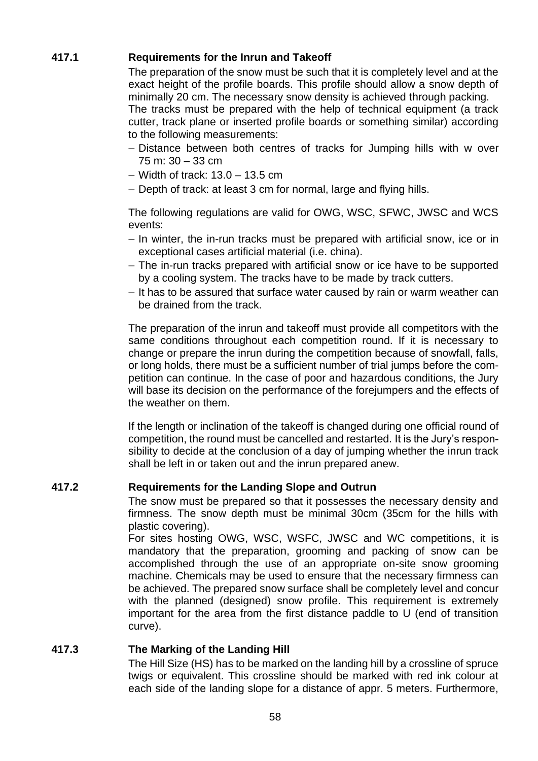### **417.1 Requirements for the Inrun and Takeoff**

The preparation of the snow must be such that it is completely level and at the exact height of the profile boards. This profile should allow a snow depth of minimally 20 cm. The necessary snow density is achieved through packing. The tracks must be prepared with the help of technical equipment (a track cutter, track plane or inserted profile boards or something similar) according to the following measurements:

- − Distance between both centres of tracks for Jumping hills with w over 75 m: 30 – 33 cm
- − Width of track: 13.0 13.5 cm
- − Depth of track: at least 3 cm for normal, large and flying hills.

The following regulations are valid for OWG, WSC, SFWC, JWSC and WCS events:

- − In winter, the in-run tracks must be prepared with artificial snow, ice or in exceptional cases artificial material (i.e. china).
- − The in-run tracks prepared with artificial snow or ice have to be supported by a cooling system. The tracks have to be made by track cutters.
- − It has to be assured that surface water caused by rain or warm weather can be drained from the track.

The preparation of the inrun and takeoff must provide all competitors with the same conditions throughout each competition round. If it is necessary to change or prepare the inrun during the competition because of snowfall, falls, or long holds, there must be a sufficient number of trial jumps before the competition can continue. In the case of poor and hazardous conditions, the Jury will base its decision on the performance of the forejumpers and the effects of the weather on them.

If the length or inclination of the takeoff is changed during one official round of competition, the round must be cancelled and restarted. It is the Jury's responsibility to decide at the conclusion of a day of jumping whether the inrun track shall be left in or taken out and the inrun prepared anew.

### **417.2 Requirements for the Landing Slope and Outrun**

The snow must be prepared so that it possesses the necessary density and firmness. The snow depth must be minimal 30cm (35cm for the hills with plastic covering).

For sites hosting OWG, WSC, WSFC, JWSC and WC competitions, it is mandatory that the preparation, grooming and packing of snow can be accomplished through the use of an appropriate on-site snow grooming machine. Chemicals may be used to ensure that the necessary firmness can be achieved. The prepared snow surface shall be completely level and concur with the planned (designed) snow profile. This requirement is extremely important for the area from the first distance paddle to U (end of transition curve).

### **417.3 The Marking of the Landing Hill**

The Hill Size (HS) has to be marked on the landing hill by a crossline of spruce twigs or equivalent. This crossline should be marked with red ink colour at each side of the landing slope for a distance of appr. 5 meters. Furthermore,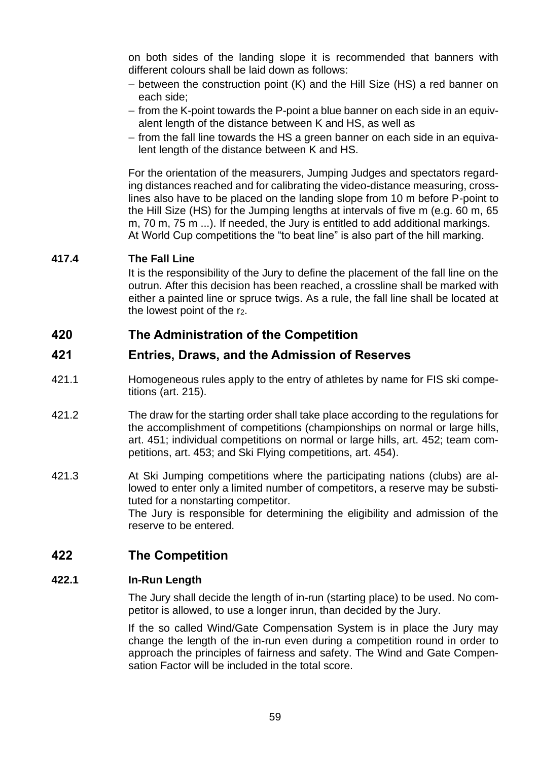on both sides of the landing slope it is recommended that banners with different colours shall be laid down as follows:

- − between the construction point (K) and the Hill Size (HS) a red banner on each side;
- − from the K-point towards the P-point a blue banner on each side in an equivalent length of the distance between K and HS, as well as
- − from the fall line towards the HS a green banner on each side in an equivalent length of the distance between K and HS.

For the orientation of the measurers, Jumping Judges and spectators regarding distances reached and for calibrating the video-distance measuring, crosslines also have to be placed on the landing slope from 10 m before P-point to the Hill Size (HS) for the Jumping lengths at intervals of five m (e.g. 60 m, 65 m, 70 m, 75 m ...). If needed, the Jury is entitled to add additional markings. At World Cup competitions the "to beat line" is also part of the hill marking.

### **417.4 The Fall Line**

It is the responsibility of the Jury to define the placement of the fall line on the outrun. After this decision has been reached, a crossline shall be marked with either a painted line or spruce twigs. As a rule, the fall line shall be located at the lowest point of the r<sub>2</sub>.

## **420 The Administration of the Competition**

## **421 Entries, Draws, and the Admission of Reserves**

- 421.1 Homogeneous rules apply to the entry of athletes by name for FIS ski competitions (art. 215).
- 421.2 The draw for the starting order shall take place according to the regulations for the accomplishment of competitions (championships on normal or large hills, art. 451; individual competitions on normal or large hills, art. 452; team competitions, art. 453; and Ski Flying competitions, art. 454).
- 421.3 At Ski Jumping competitions where the participating nations (clubs) are allowed to enter only a limited number of competitors, a reserve may be substituted for a nonstarting competitor. The Jury is responsible for determining the eligibility and admission of the reserve to be entered.

## **422 The Competition**

### **422.1 In-Run Length**

The Jury shall decide the length of in-run (starting place) to be used. No competitor is allowed, to use a longer inrun, than decided by the Jury.

If the so called Wind/Gate Compensation System is in place the Jury may change the length of the in-run even during a competition round in order to approach the principles of fairness and safety. The Wind and Gate Compensation Factor will be included in the total score.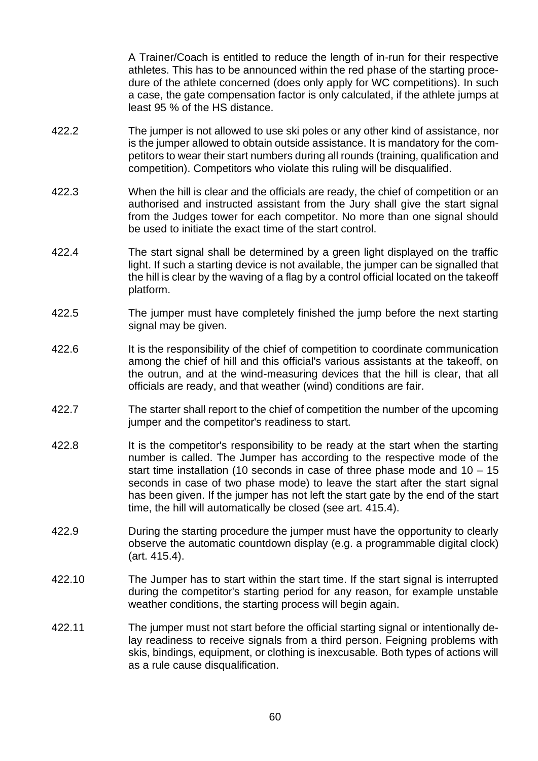A Trainer/Coach is entitled to reduce the length of in-run for their respective athletes. This has to be announced within the red phase of the starting procedure of the athlete concerned (does only apply for WC competitions). In such a case, the gate compensation factor is only calculated, if the athlete jumps at least 95 % of the HS distance.

- 422.2 The jumper is not allowed to use ski poles or any other kind of assistance, nor is the jumper allowed to obtain outside assistance. It is mandatory for the competitors to wear their start numbers during all rounds (training, qualification and competition). Competitors who violate this ruling will be disqualified.
- 422.3 When the hill is clear and the officials are ready, the chief of competition or an authorised and instructed assistant from the Jury shall give the start signal from the Judges tower for each competitor. No more than one signal should be used to initiate the exact time of the start control.
- 422.4 The start signal shall be determined by a green light displayed on the traffic light. If such a starting device is not available, the jumper can be signalled that the hill is clear by the waving of a flag by a control official located on the takeoff platform.
- 422.5 The jumper must have completely finished the jump before the next starting signal may be given.
- 422.6 It is the responsibility of the chief of competition to coordinate communication among the chief of hill and this official's various assistants at the takeoff, on the outrun, and at the wind-measuring devices that the hill is clear, that all officials are ready, and that weather (wind) conditions are fair.
- 422.7 The starter shall report to the chief of competition the number of the upcoming jumper and the competitor's readiness to start.
- 422.8 It is the competitor's responsibility to be ready at the start when the starting number is called. The Jumper has according to the respective mode of the start time installation (10 seconds in case of three phase mode and 10 – 15 seconds in case of two phase mode) to leave the start after the start signal has been given. If the jumper has not left the start gate by the end of the start time, the hill will automatically be closed (see art. 415.4).
- 422.9 During the starting procedure the jumper must have the opportunity to clearly observe the automatic countdown display (e.g. a programmable digital clock) (art. 415.4).
- 422.10 The Jumper has to start within the start time. If the start signal is interrupted during the competitor's starting period for any reason, for example unstable weather conditions, the starting process will begin again.
- 422.11 The jumper must not start before the official starting signal or intentionally delay readiness to receive signals from a third person. Feigning problems with skis, bindings, equipment, or clothing is inexcusable. Both types of actions will as a rule cause disqualification.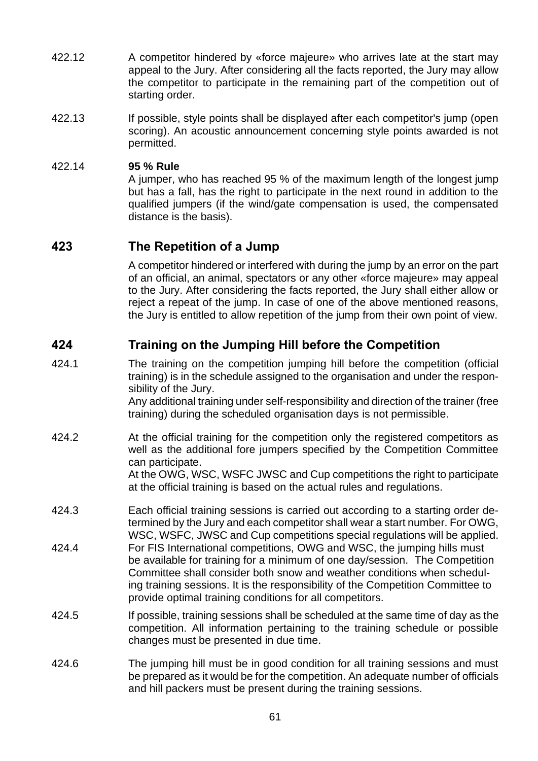- 422.12 A competitor hindered by «force majeure» who arrives late at the start may appeal to the Jury. After considering all the facts reported, the Jury may allow the competitor to participate in the remaining part of the competition out of starting order.
- 422.13 If possible, style points shall be displayed after each competitor's jump (open scoring). An acoustic announcement concerning style points awarded is not permitted.

### 422.14 **95 % Rule**

A jumper, who has reached 95 % of the maximum length of the longest jump but has a fall, has the right to participate in the next round in addition to the qualified jumpers (if the wind/gate compensation is used, the compensated distance is the basis).

## **423 The Repetition of a Jump**

A competitor hindered or interfered with during the jump by an error on the part of an official, an animal, spectators or any other «force majeure» may appeal to the Jury. After considering the facts reported, the Jury shall either allow or reject a repeat of the jump. In case of one of the above mentioned reasons, the Jury is entitled to allow repetition of the jump from their own point of view.

## **424 Training on the Jumping Hill before the Competition**

424.1 The training on the competition jumping hill before the competition (official training) is in the schedule assigned to the organisation and under the responsibility of the Jury.

Any additional training under self-responsibility and direction of the trainer (free training) during the scheduled organisation days is not permissible.

- 424.2 At the official training for the competition only the registered competitors as well as the additional fore jumpers specified by the Competition Committee can participate. At the OWG, WSC, WSFC JWSC and Cup competitions the right to participate at the official training is based on the actual rules and regulations.
- 424.3 Each official training sessions is carried out according to a starting order determined by the Jury and each competitor shall wear a start number. For OWG, WSC, WSFC, JWSC and Cup competitions special regulations will be applied.
- 424.4 For FIS International competitions, OWG and WSC, the jumping hills must be available for training for a minimum of one day/session. The Competition Committee shall consider both snow and weather conditions when scheduling training sessions. It is the responsibility of the Competition Committee to provide optimal training conditions for all competitors.
- 424.5 If possible, training sessions shall be scheduled at the same time of day as the competition. All information pertaining to the training schedule or possible changes must be presented in due time.
- 424.6 The jumping hill must be in good condition for all training sessions and must be prepared as it would be for the competition. An adequate number of officials and hill packers must be present during the training sessions.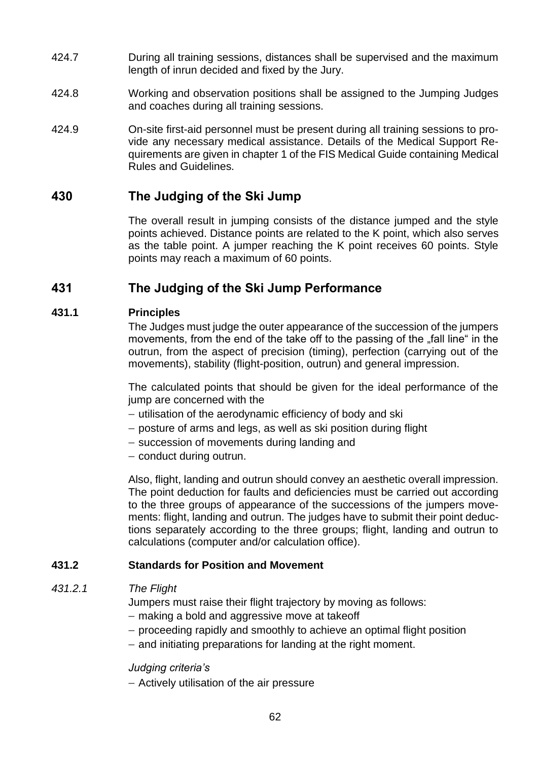- 424.7 During all training sessions, distances shall be supervised and the maximum length of inrun decided and fixed by the Jury.
- 424.8 Working and observation positions shall be assigned to the Jumping Judges and coaches during all training sessions.
- 424.9 On-site first-aid personnel must be present during all training sessions to provide any necessary medical assistance. Details of the Medical Support Requirements are given in chapter 1 of the FIS Medical Guide containing Medical Rules and Guidelines.

## **430 The Judging of the Ski Jump**

The overall result in jumping consists of the distance jumped and the style points achieved. Distance points are related to the K point, which also serves as the table point. A jumper reaching the K point receives 60 points. Style points may reach a maximum of 60 points.

## **431 The Judging of the Ski Jump Performance**

### **431.1 Principles**

The Judges must judge the outer appearance of the succession of the jumpers movements, from the end of the take off to the passing of the "fall line" in the outrun, from the aspect of precision (timing), perfection (carrying out of the movements), stability (flight-position, outrun) and general impression.

The calculated points that should be given for the ideal performance of the jump are concerned with the

- − utilisation of the aerodynamic efficiency of body and ski
- − posture of arms and legs, as well as ski position during flight
- − succession of movements during landing and
- − conduct during outrun.

Also, flight, landing and outrun should convey an aesthetic overall impression. The point deduction for faults and deficiencies must be carried out according to the three groups of appearance of the successions of the jumpers movements: flight, landing and outrun. The judges have to submit their point deductions separately according to the three groups; flight, landing and outrun to calculations (computer and/or calculation office).

### **431.2 Standards for Position and Movement**

### *431.2.1 The Flight*

Jumpers must raise their flight trajectory by moving as follows:

- − making a bold and aggressive move at takeoff
- − proceeding rapidly and smoothly to achieve an optimal flight position
- − and initiating preparations for landing at the right moment.

### *Judging criteria's*

− Actively utilisation of the air pressure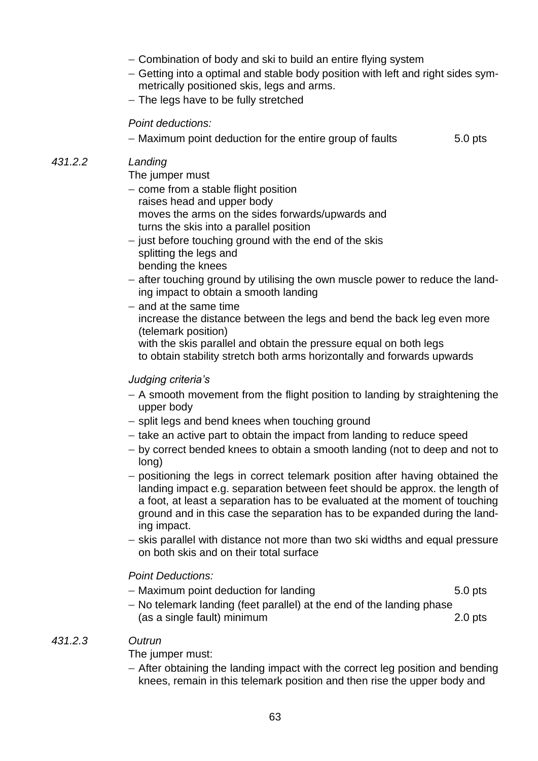- − Combination of body and ski to build an entire flying system
- − Getting into a optimal and stable body position with left and right sides symmetrically positioned skis, legs and arms.
- − The legs have to be fully stretched

### *Point deductions:*

− Maximum point deduction for the entire group of faults 5.0 pts

### *431.2.2 Landing*

The jumper must

- − come from a stable flight position raises head and upper body moves the arms on the sides forwards/upwards and turns the skis into a parallel position
- − just before touching ground with the end of the skis splitting the legs and bending the knees
- − after touching ground by utilising the own muscle power to reduce the landing impact to obtain a smooth landing
- − and at the same time increase the distance between the legs and bend the back leg even more (telemark position) with the skis parallel and obtain the pressure equal on both legs
	- to obtain stability stretch both arms horizontally and forwards upwards

### *Judging criteria's*

- − A smooth movement from the flight position to landing by straightening the upper body
- − split legs and bend knees when touching ground
- − take an active part to obtain the impact from landing to reduce speed
- − by correct bended knees to obtain a smooth landing (not to deep and not to long)
- − positioning the legs in correct telemark position after having obtained the landing impact e.g. separation between feet should be approx. the length of a foot, at least a separation has to be evaluated at the moment of touching ground and in this case the separation has to be expanded during the landing impact.
- − skis parallel with distance not more than two ski widths and equal pressure on both skis and on their total surface

### *Point Deductions:*

- − Maximum point deduction for landing 5.0 pts
- − No telemark landing (feet parallel) at the end of the landing phase (as a single fault) minimum 2.0 pts

### *431.2.3 Outrun*

The jumper must:

− After obtaining the landing impact with the correct leg position and bending knees, remain in this telemark position and then rise the upper body and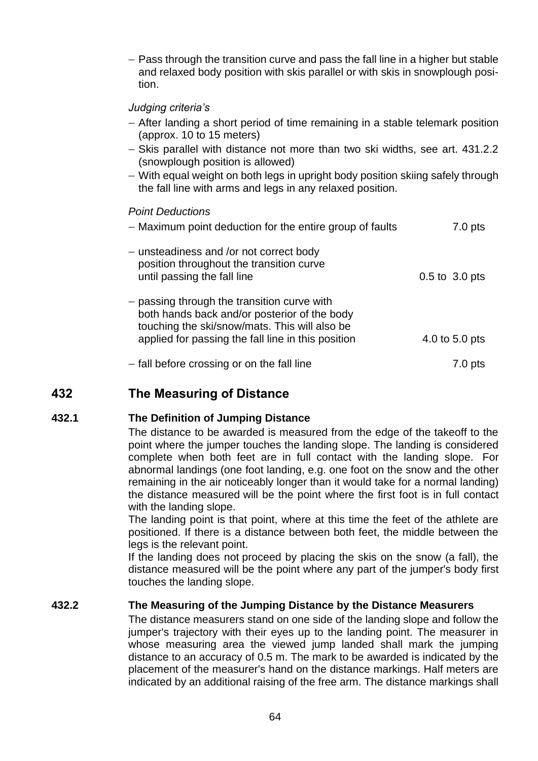− Pass through the transition curve and pass the fall line in a higher but stable and relaxed body position with skis parallel or with skis in snowplough position.

### *Judging criteria's*

- − After landing a short period of time remaining in a stable telemark position (approx. 10 to 15 meters)
- − Skis parallel with distance not more than two ski widths, see art. 431.2.2 (snowplough position is allowed)
- − With equal weight on both legs in upright body position skiing safely through the fall line with arms and legs in any relaxed position.

### *Point Deductions*

| - Maximum point deduction for the entire group of faults                                                                                                                                           | 7.0 pts            |
|----------------------------------------------------------------------------------------------------------------------------------------------------------------------------------------------------|--------------------|
| - unsteadiness and /or not correct body<br>position throughout the transition curve<br>until passing the fall line                                                                                 | $0.5$ to $3.0$ pts |
| - passing through the transition curve with<br>both hands back and/or posterior of the body<br>touching the ski/snow/mats. This will also be<br>applied for passing the fall line in this position | 4.0 to 5.0 pts     |
| - fall before crossing or on the fall line                                                                                                                                                         | $7.0$ pts          |

## **432 The Measuring of Distance**

### **432.1 The Definition of Jumping Distance**

The distance to be awarded is measured from the edge of the takeoff to the point where the jumper touches the landing slope. The landing is considered complete when both feet are in full contact with the landing slope. For abnormal landings (one foot landing, e.g. one foot on the snow and the other remaining in the air noticeably longer than it would take for a normal landing) the distance measured will be the point where the first foot is in full contact with the landing slope.

The landing point is that point, where at this time the feet of the athlete are positioned. If there is a distance between both feet, the middle between the legs is the relevant point.

If the landing does not proceed by placing the skis on the snow (a fall), the distance measured will be the point where any part of the jumper's body first touches the landing slope.

### **432.2 The Measuring of the Jumping Distance by the Distance Measurers**

The distance measurers stand on one side of the landing slope and follow the jumper's trajectory with their eyes up to the landing point. The measurer in whose measuring area the viewed jump landed shall mark the jumping distance to an accuracy of 0.5 m. The mark to be awarded is indicated by the placement of the measurer's hand on the distance markings. Half meters are indicated by an additional raising of the free arm. The distance markings shall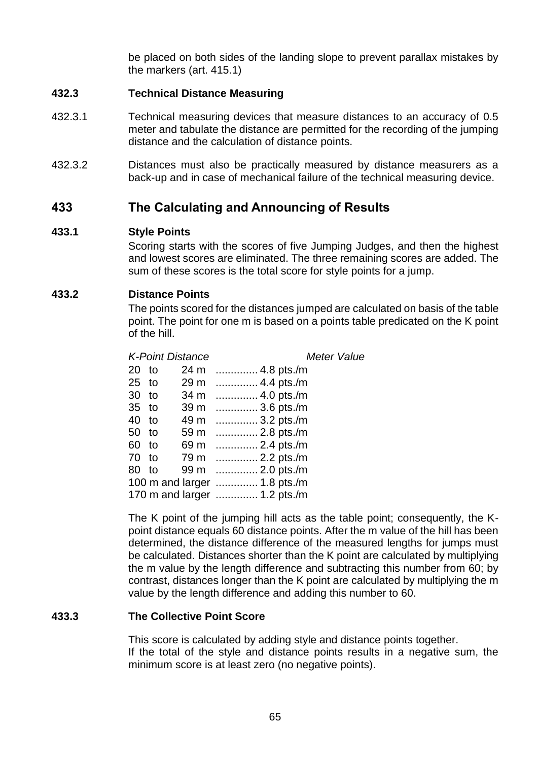be placed on both sides of the landing slope to prevent parallax mistakes by the markers (art. 415.1)

### **432.3 Technical Distance Measuring**

- 432.3.1 Technical measuring devices that measure distances to an accuracy of 0.5 meter and tabulate the distance are permitted for the recording of the jumping distance and the calculation of distance points.
- 432.3.2 Distances must also be practically measured by distance measurers as a back-up and in case of mechanical failure of the technical measuring device.

### **433 The Calculating and Announcing of Results**

#### **433.1 Style Points**

Scoring starts with the scores of five Jumping Judges, and then the highest and lowest scores are eliminated. The three remaining scores are added. The sum of these scores is the total score for style points for a jump.

#### **433.2 Distance Points**

The points scored for the distances jumped are calculated on basis of the table point. The point for one m is based on a points table predicated on the K point of the hill.

*K-Point Distance Meter Value*

| 20      | to | 24 m | 4.8 pts./m                   |
|---------|----|------|------------------------------|
| $25$ to |    | 29 m | 4.4 pts./m                   |
| 30      | to | 34 m | 4.0 pts./m                   |
| 35      | to | 39 m | 3.6 pts./m                   |
| 40 to   |    | 49 m | 3.2 pts./m                   |
| 50      | to | 59 m | 2.8 pts./m                   |
| 60      | to | 69 m | 2.4 pts./m                   |
| $70$ to |    |      | 79 m  2.2 pts./m             |
| 80      | to |      | 99 m  2.0 pts./m             |
|         |    |      | 100 m and larger  1.8 pts./m |
|         |    |      | 170 m and larger  1.2 pts./m |

The K point of the jumping hill acts as the table point; consequently, the Kpoint distance equals 60 distance points. After the m value of the hill has been determined, the distance difference of the measured lengths for jumps must be calculated. Distances shorter than the K point are calculated by multiplying the m value by the length difference and subtracting this number from 60; by contrast, distances longer than the K point are calculated by multiplying the m value by the length difference and adding this number to 60.

#### **433.3 The Collective Point Score**

This score is calculated by adding style and distance points together. If the total of the style and distance points results in a negative sum, the minimum score is at least zero (no negative points).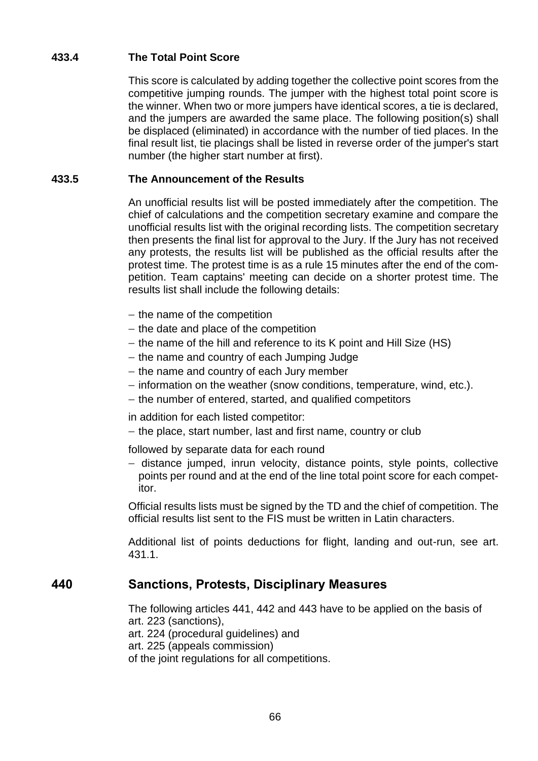### **433.4 The Total Point Score**

This score is calculated by adding together the collective point scores from the competitive jumping rounds. The jumper with the highest total point score is the winner. When two or more jumpers have identical scores, a tie is declared, and the jumpers are awarded the same place. The following position(s) shall be displaced (eliminated) in accordance with the number of tied places. In the final result list, tie placings shall be listed in reverse order of the jumper's start number (the higher start number at first).

### **433.5 The Announcement of the Results**

An unofficial results list will be posted immediately after the competition. The chief of calculations and the competition secretary examine and compare the unofficial results list with the original recording lists. The competition secretary then presents the final list for approval to the Jury. If the Jury has not received any protests, the results list will be published as the official results after the protest time. The protest time is as a rule 15 minutes after the end of the competition. Team captains' meeting can decide on a shorter protest time. The results list shall include the following details:

- − the name of the competition
- − the date and place of the competition
- − the name of the hill and reference to its K point and Hill Size (HS)
- − the name and country of each Jumping Judge
- − the name and country of each Jury member
- − information on the weather (snow conditions, temperature, wind, etc.).
- − the number of entered, started, and qualified competitors

in addition for each listed competitor:

− the place, start number, last and first name, country or club

followed by separate data for each round

− distance jumped, inrun velocity, distance points, style points, collective points per round and at the end of the line total point score for each competitor.

Official results lists must be signed by the TD and the chief of competition. The official results list sent to the FIS must be written in Latin characters.

Additional list of points deductions for flight, landing and out-run, see art. 431.1.

### **440 Sanctions, Protests, Disciplinary Measures**

The following articles 441, 442 and 443 have to be applied on the basis of art. 223 (sanctions), art. 224 (procedural guidelines) and

art. 225 (appeals commission)

of the joint regulations for all competitions.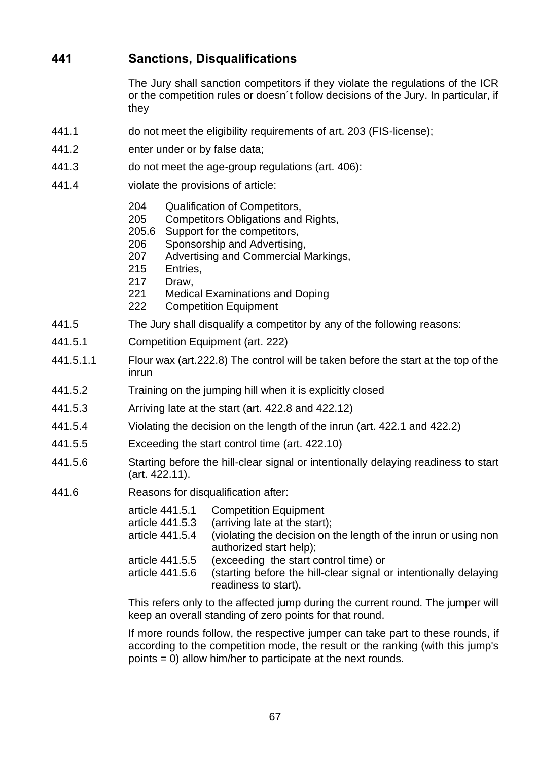# **441 Sanctions, Disqualifications**

The Jury shall sanction competitors if they violate the regulations of the ICR or the competition rules or doesn´t follow decisions of the Jury. In particular, if they

- 441.1 do not meet the eligibility requirements of art. 203 (FIS-license);
- 441.2 enter under or by false data;
- 441.3 do not meet the age-group regulations (art. 406):
- 441.4 violate the provisions of article:
	- 204 Qualification of Competitors,
	- 205 Competitors Obligations and Rights,
	- 205.6 Support for the competitors,
	- 206 Sponsorship and Advertising,
	- 207 Advertising and Commercial Markings,
	- 215 Entries,
	- 217 Draw,
	- 221 Medical Examinations and Doping
	- 222 Competition Equipment
- 441.5 The Jury shall disqualify a competitor by any of the following reasons:
- 441.5.1 Competition Equipment (art. 222)
- 441.5.1.1 Flour wax (art.222.8) The control will be taken before the start at the top of the inrun
- 441.5.2 Training on the jumping hill when it is explicitly closed
- 441.5.3 Arriving late at the start (art. 422.8 and 422.12)
- 441.5.4 Violating the decision on the length of the inrun (art. 422.1 and 422.2)
- 441.5.5 Exceeding the start control time (art. 422.10)
- 441.5.6 Starting before the hill-clear signal or intentionally delaying readiness to start (art. 422.11).
- 441.6 Reasons for disqualification after:
	- article 441.5.1 Competition Equipment
	- article 441.5.3 (arriving late at the start);
	- article 441.5.4 (violating the decision on the length of the inrun or using non authorized start help);
	- article 441.5.5 (exceeding the start control time) or
	- article 441.5.6 (starting before the hill-clear signal or intentionally delaying readiness to start).

This refers only to the affected jump during the current round. The jumper will keep an overall standing of zero points for that round.

If more rounds follow, the respective jumper can take part to these rounds, if according to the competition mode, the result or the ranking (with this jump's points = 0) allow him/her to participate at the next rounds.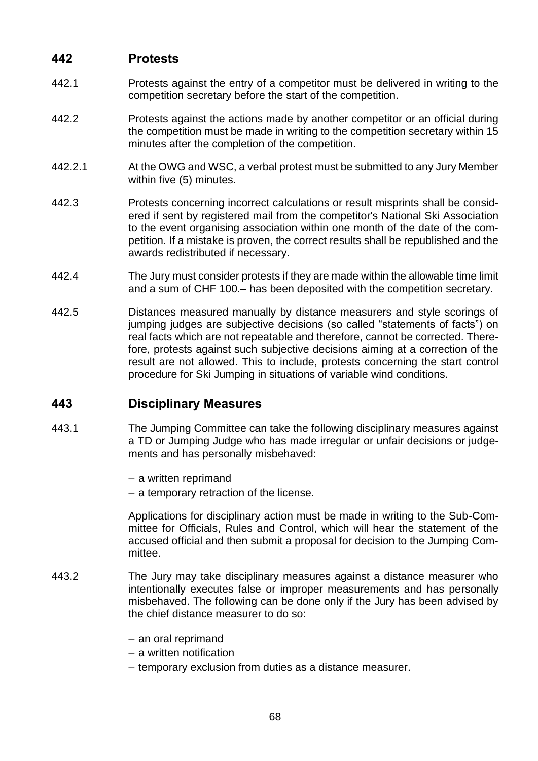## **442 Protests**

- 442.1 Protests against the entry of a competitor must be delivered in writing to the competition secretary before the start of the competition.
- 442.2 Protests against the actions made by another competitor or an official during the competition must be made in writing to the competition secretary within 15 minutes after the completion of the competition.
- 442.2.1 At the OWG and WSC, a verbal protest must be submitted to any Jury Member within five (5) minutes.
- 442.3 Protests concerning incorrect calculations or result misprints shall be considered if sent by registered mail from the competitor's National Ski Association to the event organising association within one month of the date of the competition. If a mistake is proven, the correct results shall be republished and the awards redistributed if necessary.
- 442.4 The Jury must consider protests if they are made within the allowable time limit and a sum of CHF 100.– has been deposited with the competition secretary.
- 442.5 Distances measured manually by distance measurers and style scorings of jumping judges are subjective decisions (so called "statements of facts") on real facts which are not repeatable and therefore, cannot be corrected. Therefore, protests against such subjective decisions aiming at a correction of the result are not allowed. This to include, protests concerning the start control procedure for Ski Jumping in situations of variable wind conditions.

## **443 Disciplinary Measures**

- 443.1 The Jumping Committee can take the following disciplinary measures against a TD or Jumping Judge who has made irregular or unfair decisions or judgements and has personally misbehaved:
	- − a written reprimand
	- − a temporary retraction of the license.

Applications for disciplinary action must be made in writing to the Sub-Committee for Officials, Rules and Control, which will hear the statement of the accused official and then submit a proposal for decision to the Jumping Committee.

- 443.2 The Jury may take disciplinary measures against a distance measurer who intentionally executes false or improper measurements and has personally misbehaved. The following can be done only if the Jury has been advised by the chief distance measurer to do so:
	- − an oral reprimand
	- − a written notification
	- − temporary exclusion from duties as a distance measurer.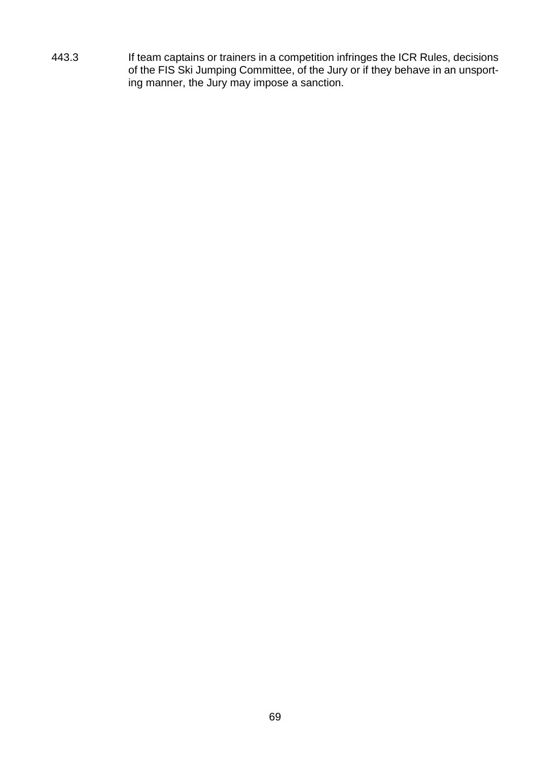443.3 If team captains or trainers in a competition infringes the ICR Rules, decisions of the FIS Ski Jumping Committee, of the Jury or if they behave in an unsporting manner, the Jury may impose a sanction.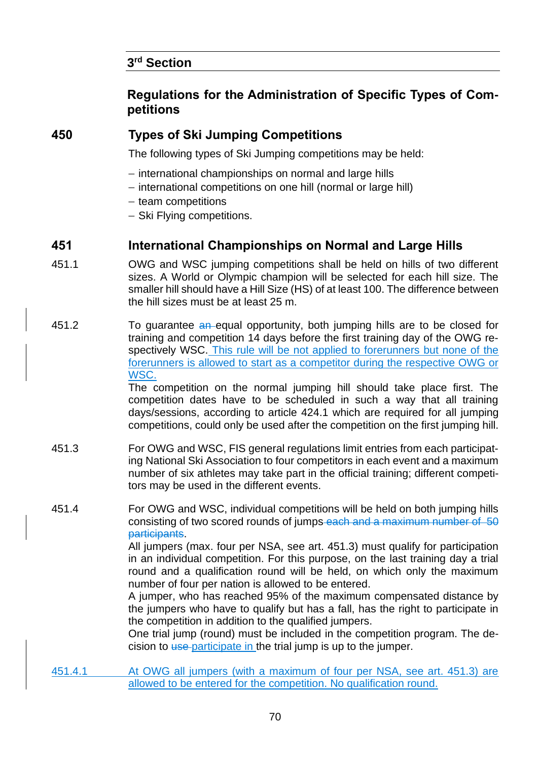# **3 rd Section**

## **Regulations for the Administration of Specific Types of Competitions**

## **450 Types of Ski Jumping Competitions**

The following types of Ski Jumping competitions may be held:

- − international championships on normal and large hills
- − international competitions on one hill (normal or large hill)
- − team competitions
- − Ski Flying competitions.

## **451 International Championships on Normal and Large Hills**

- 451.1 OWG and WSC jumping competitions shall be held on hills of two different sizes. A World or Olympic champion will be selected for each hill size. The smaller hill should have a Hill Size (HS) of at least 100. The difference between the hill sizes must be at least 25 m.
- 451.2 To guarantee an equal opportunity, both jumping hills are to be closed for training and competition 14 days before the first training day of the OWG respectively WSC. This rule will be not applied to forerunners but none of the forerunners is allowed to start as a competitor during the respective OWG or WSC.

The competition on the normal jumping hill should take place first. The competition dates have to be scheduled in such a way that all training days/sessions, according to article 424.1 which are required for all jumping competitions, could only be used after the competition on the first jumping hill.

- 451.3 For OWG and WSC, FIS general regulations limit entries from each participating National Ski Association to four competitors in each event and a maximum number of six athletes may take part in the official training; different competitors may be used in the different events.
- 451.4 For OWG and WSC, individual competitions will be held on both jumping hills consisting of two scored rounds of jumps each and a maximum number of 50 participants.

All jumpers (max. four per NSA, see art. 451.3) must qualify for participation in an individual competition. For this purpose, on the last training day a trial round and a qualification round will be held, on which only the maximum number of four per nation is allowed to be entered.

A jumper, who has reached 95% of the maximum compensated distance by the jumpers who have to qualify but has a fall, has the right to participate in the competition in addition to the qualified jumpers.

One trial jump (round) must be included in the competition program. The decision to use participate in the trial jump is up to the jumper.

451.4.1 At OWG all jumpers (with a maximum of four per NSA, see art. 451.3) are allowed to be entered for the competition. No qualification round.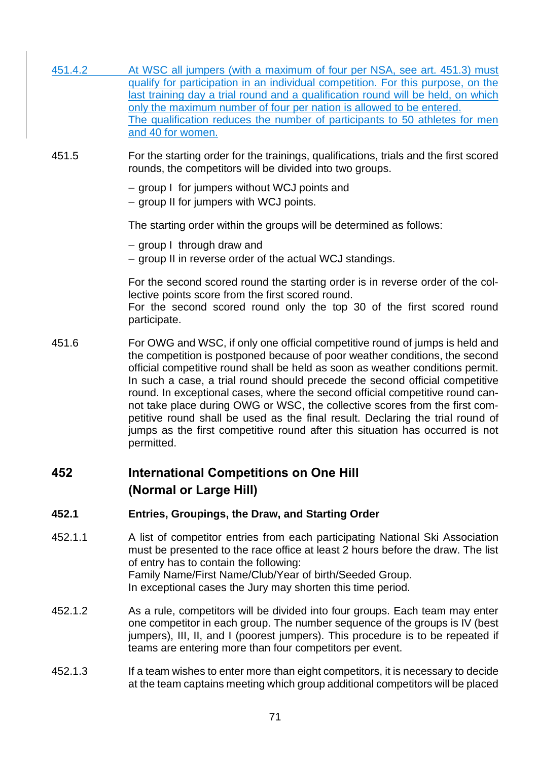| 451.4.2 | At WSC all jumpers (with a maximum of four per NSA, see art. 451.3) must<br>qualify for participation in an individual competition. For this purpose, on the<br>last training day a trial round and a qualification round will be held, on which<br>only the maximum number of four per nation is allowed to be entered.<br>The qualification reduces the number of participants to 50 athletes for men<br>and 40 for women.                                                                                                                                                                                                                                                   |
|---------|--------------------------------------------------------------------------------------------------------------------------------------------------------------------------------------------------------------------------------------------------------------------------------------------------------------------------------------------------------------------------------------------------------------------------------------------------------------------------------------------------------------------------------------------------------------------------------------------------------------------------------------------------------------------------------|
| 451.5   | For the starting order for the trainings, qualifications, trials and the first scored<br>rounds, the competitors will be divided into two groups.                                                                                                                                                                                                                                                                                                                                                                                                                                                                                                                              |
|         | - group I for jumpers without WCJ points and<br>- group II for jumpers with WCJ points.                                                                                                                                                                                                                                                                                                                                                                                                                                                                                                                                                                                        |
|         | The starting order within the groups will be determined as follows:                                                                                                                                                                                                                                                                                                                                                                                                                                                                                                                                                                                                            |
|         | - group I through draw and<br>- group II in reverse order of the actual WCJ standings.                                                                                                                                                                                                                                                                                                                                                                                                                                                                                                                                                                                         |
|         | For the second scored round the starting order is in reverse order of the col-<br>lective points score from the first scored round.<br>For the second scored round only the top 30 of the first scored round<br>participate.                                                                                                                                                                                                                                                                                                                                                                                                                                                   |
| 451.6   | For OWG and WSC, if only one official competitive round of jumps is held and<br>the competition is postponed because of poor weather conditions, the second<br>official competitive round shall be held as soon as weather conditions permit.<br>In such a case, a trial round should precede the second official competitive<br>round. In exceptional cases, where the second official competitive round can-<br>not take place during OWG or WSC, the collective scores from the first com-<br>petitive round shall be used as the final result. Declaring the trial round of<br>jumps as the first competitive round after this situation has occurred is not<br>permitted. |
| 452     | <b>International Competitions on One Hill</b><br>(Normal or Large Hill)                                                                                                                                                                                                                                                                                                                                                                                                                                                                                                                                                                                                        |
| 452.1   | <b>Entries, Groupings, the Draw, and Starting Order</b>                                                                                                                                                                                                                                                                                                                                                                                                                                                                                                                                                                                                                        |
| 452.1.1 | A list of competitor entries from each participating National Ski Association<br>must be presented to the race office at least 2 hours before the draw. The list<br>of entry has to contain the following:<br>Family Name/First Name/Club/Year of birth/Seeded Group.<br>In exceptional cases the Jury may shorten this time period.                                                                                                                                                                                                                                                                                                                                           |
| 452.1.2 | As a rule, competitors will be divided into four groups. Each team may enter<br>one competitor in each group. The number sequence of the groups is IV (best                                                                                                                                                                                                                                                                                                                                                                                                                                                                                                                    |

452.1.3 If a team wishes to enter more than eight competitors, it is necessary to decide at the team captains meeting which group additional competitors will be placed

teams are entering more than four competitors per event.

jumpers), III, II, and I (poorest jumpers). This procedure is to be repeated if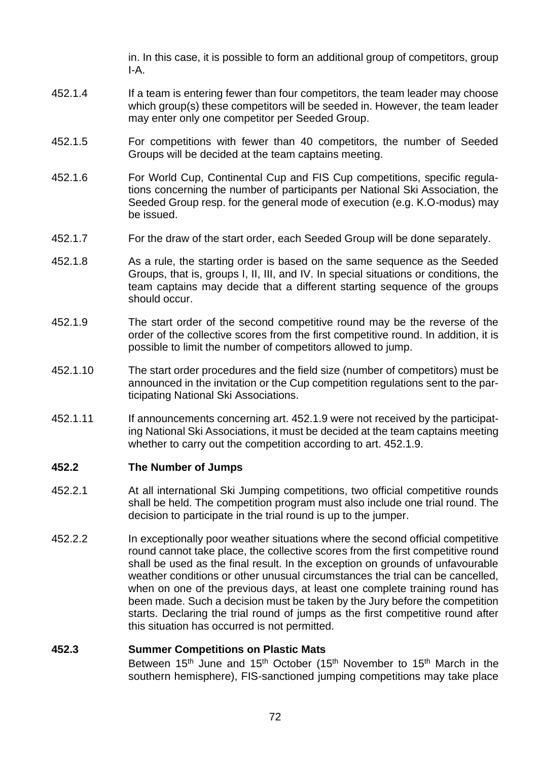in. In this case, it is possible to form an additional group of competitors, group I-A.

- 452.1.4 If a team is entering fewer than four competitors, the team leader may choose which group(s) these competitors will be seeded in. However, the team leader may enter only one competitor per Seeded Group.
- 452.1.5 For competitions with fewer than 40 competitors, the number of Seeded Groups will be decided at the team captains meeting.
- 452.1.6 For World Cup, Continental Cup and FIS Cup competitions, specific regulations concerning the number of participants per National Ski Association, the Seeded Group resp. for the general mode of execution (e.g. K.O-modus) may be issued.
- 452.1.7 For the draw of the start order, each Seeded Group will be done separately.
- 452.1.8 As a rule, the starting order is based on the same sequence as the Seeded Groups, that is, groups I, II, III, and IV. In special situations or conditions, the team captains may decide that a different starting sequence of the groups should occur.
- 452.1.9 The start order of the second competitive round may be the reverse of the order of the collective scores from the first competitive round. In addition, it is possible to limit the number of competitors allowed to jump.
- 452.1.10 The start order procedures and the field size (number of competitors) must be announced in the invitation or the Cup competition regulations sent to the participating National Ski Associations.
- 452.1.11 If announcements concerning art. 452.1.9 were not received by the participating National Ski Associations, it must be decided at the team captains meeting whether to carry out the competition according to art. 452.1.9.

#### **452.2 The Number of Jumps**

- 452.2.1 At all international Ski Jumping competitions, two official competitive rounds shall be held. The competition program must also include one trial round. The decision to participate in the trial round is up to the jumper.
- 452.2.2 In exceptionally poor weather situations where the second official competitive round cannot take place, the collective scores from the first competitive round shall be used as the final result. In the exception on grounds of unfavourable weather conditions or other unusual circumstances the trial can be cancelled, when on one of the previous days, at least one complete training round has been made. Such a decision must be taken by the Jury before the competition starts. Declaring the trial round of jumps as the first competitive round after this situation has occurred is not permitted.

### **452.3 Summer Competitions on Plastic Mats**

Between 15<sup>th</sup> June and 15<sup>th</sup> October (15<sup>th</sup> November to 15<sup>th</sup> March in the southern hemisphere), FIS-sanctioned jumping competitions may take place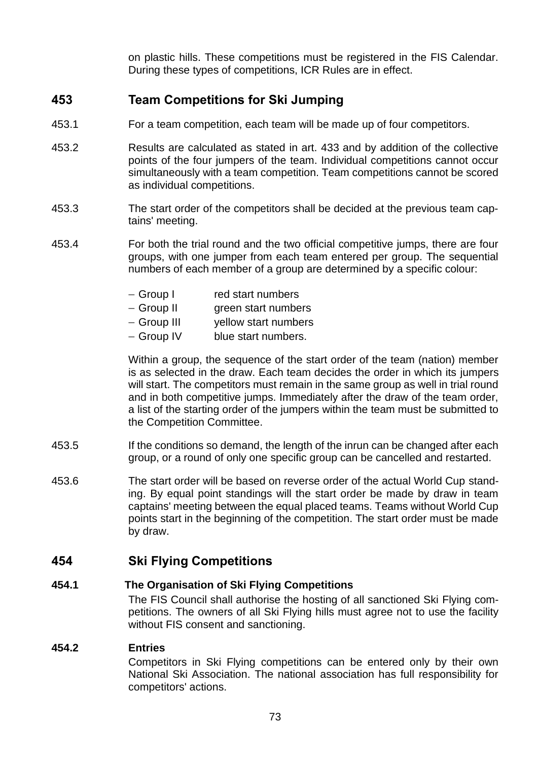on plastic hills. These competitions must be registered in the FIS Calendar. During these types of competitions, ICR Rules are in effect.

# **453 Team Competitions for Ski Jumping**

- 453.1 For a team competition, each team will be made up of four competitors.
- 453.2 Results are calculated as stated in art. 433 and by addition of the collective points of the four jumpers of the team. Individual competitions cannot occur simultaneously with a team competition. Team competitions cannot be scored as individual competitions.
- 453.3 The start order of the competitors shall be decided at the previous team captains' meeting.
- 453.4 For both the trial round and the two official competitive jumps, there are four groups, with one jumper from each team entered per group. The sequential numbers of each member of a group are determined by a specific colour:
	- − Group I red start numbers
	- − Group II green start numbers
	- − Group III yellow start numbers
	- − Group IV blue start numbers.

Within a group, the sequence of the start order of the team (nation) member is as selected in the draw. Each team decides the order in which its jumpers will start. The competitors must remain in the same group as well in trial round and in both competitive jumps. Immediately after the draw of the team order, a list of the starting order of the jumpers within the team must be submitted to the Competition Committee.

- 453.5 If the conditions so demand, the length of the inrun can be changed after each group, or a round of only one specific group can be cancelled and restarted.
- 453.6 The start order will be based on reverse order of the actual World Cup standing. By equal point standings will the start order be made by draw in team captains' meeting between the equal placed teams. Teams without World Cup points start in the beginning of the competition. The start order must be made by draw.

## **454 Ski Flying Competitions**

### **454.1 The Organisation of Ski Flying Competitions**

The FIS Council shall authorise the hosting of all sanctioned Ski Flying competitions. The owners of all Ski Flying hills must agree not to use the facility without FIS consent and sanctioning.

#### **454.2 Entries**

Competitors in Ski Flying competitions can be entered only by their own National Ski Association. The national association has full responsibility for competitors' actions.